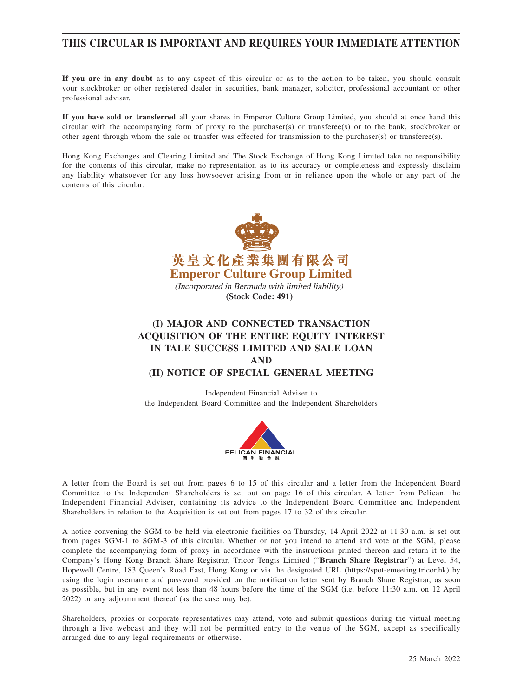## **THIS CIRCULAR IS IMPORTANT AND REQUIRES YOUR IMMEDIATE ATTENTION**

**If you are in any doubt** as to any aspect of this circular or as to the action to be taken, you should consult your stockbroker or other registered dealer in securities, bank manager, solicitor, professional accountant or other professional adviser.

**If you have sold or transferred** all your shares in Emperor Culture Group Limited, you should at once hand this circular with the accompanying form of proxy to the purchaser(s) or transferee(s) or to the bank, stockbroker or other agent through whom the sale or transfer was effected for transmission to the purchaser(s) or transferee(s).

Hong Kong Exchanges and Clearing Limited and The Stock Exchange of Hong Kong Limited take no responsibility for the contents of this circular, make no representation as to its accuracy or completeness and expressly disclaim any liability whatsoever for any loss howsoever arising from or in reliance upon the whole or any part of the contents of this circular.





A letter from the Board is set out from pages 6 to 15 of this circular and a letter from the Independent Board Committee to the Independent Shareholders is set out on page 16 of this circular. A letter from Pelican, the Independent Financial Adviser, containing its advice to the Independent Board Committee and Independent Shareholders in relation to the Acquisition is set out from pages 17 to 32 of this circular.

A notice convening the SGM to be held via electronic facilities on Thursday, 14 April 2022 at 11:30 a.m. is set out from pages SGM-1 to SGM-3 of this circular. Whether or not you intend to attend and vote at the SGM, please complete the accompanying form of proxy in accordance with the instructions printed thereon and return it to the Company's Hong Kong Branch Share Registrar, Tricor Tengis Limited ("**Branch Share Registrar**") at Level 54, Hopewell Centre, 183 Queen's Road East, Hong Kong or via the designated URL (https://spot-emeeting.tricor.hk) by using the login username and password provided on the notification letter sent by Branch Share Registrar, as soon as possible, but in any event not less than 48 hours before the time of the SGM (i.e. before 11:30 a.m. on 12 April 2022) or any adjournment thereof (as the case may be).

Shareholders, proxies or corporate representatives may attend, vote and submit questions during the virtual meeting through a live webcast and they will not be permitted entry to the venue of the SGM, except as specifically arranged due to any legal requirements or otherwise.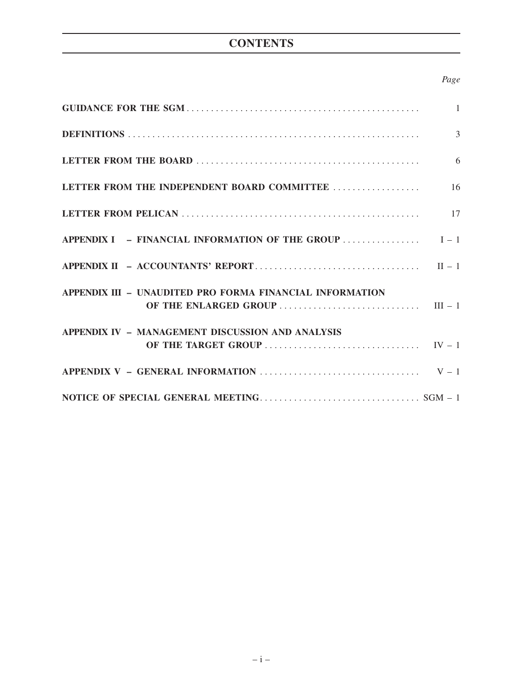# **CONTENTS**

## *Page*

|                                                                                                                                                                      | $\overline{3}$  |
|----------------------------------------------------------------------------------------------------------------------------------------------------------------------|-----------------|
|                                                                                                                                                                      | $6\overline{6}$ |
| LETTER FROM THE INDEPENDENT BOARD COMMITTEE                                                                                                                          | 16              |
|                                                                                                                                                                      |                 |
|                                                                                                                                                                      |                 |
|                                                                                                                                                                      |                 |
| APPENDIX III - UNAUDITED PRO FORMA FINANCIAL INFORMATION                                                                                                             |                 |
| APPENDIX IV - MANAGEMENT DISCUSSION AND ANALYSIS<br>OF THE TARGET GROUP $\ldots \ldots \ldots \ldots \ldots \ldots \ldots \ldots \ldots \ldots \qquad \text{IV - 1}$ |                 |
| APPENDIX V – GENERAL INFORMATION $\ldots$ $V-1$                                                                                                                      |                 |
|                                                                                                                                                                      |                 |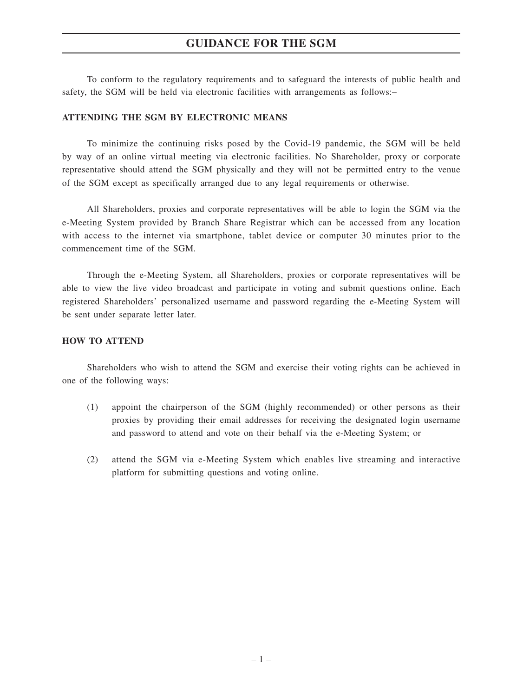## **GUIDANCE FOR THE SGM**

To conform to the regulatory requirements and to safeguard the interests of public health and safety, the SGM will be held via electronic facilities with arrangements as follows:–

#### **ATTENDING THE SGM BY ELECTRONIC MEANS**

To minimize the continuing risks posed by the Covid-19 pandemic, the SGM will be held by way of an online virtual meeting via electronic facilities. No Shareholder, proxy or corporate representative should attend the SGM physically and they will not be permitted entry to the venue of the SGM except as specifically arranged due to any legal requirements or otherwise.

All Shareholders, proxies and corporate representatives will be able to login the SGM via the e-Meeting System provided by Branch Share Registrar which can be accessed from any location with access to the internet via smartphone, tablet device or computer 30 minutes prior to the commencement time of the SGM.

Through the e-Meeting System, all Shareholders, proxies or corporate representatives will be able to view the live video broadcast and participate in voting and submit questions online. Each registered Shareholders' personalized username and password regarding the e-Meeting System will be sent under separate letter later.

## **HOW TO ATTEND**

Shareholders who wish to attend the SGM and exercise their voting rights can be achieved in one of the following ways:

- (1) appoint the chairperson of the SGM (highly recommended) or other persons as their proxies by providing their email addresses for receiving the designated login username and password to attend and vote on their behalf via the e-Meeting System; or
- (2) attend the SGM via e-Meeting System which enables live streaming and interactive platform for submitting questions and voting online.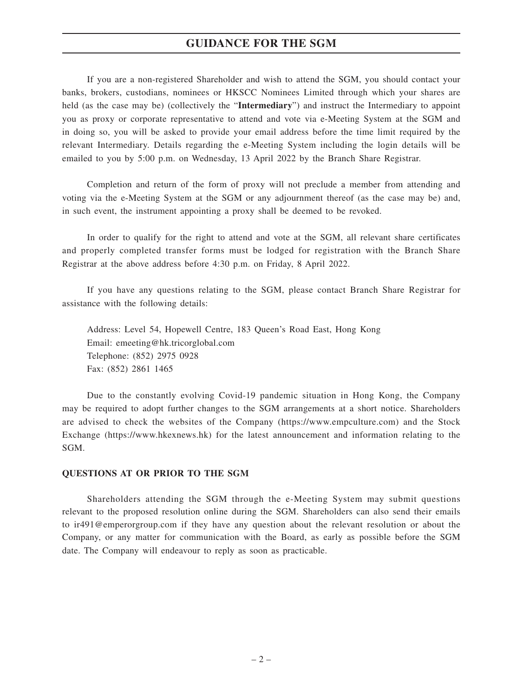## **GUIDANCE FOR THE SGM**

If you are a non-registered Shareholder and wish to attend the SGM, you should contact your banks, brokers, custodians, nominees or HKSCC Nominees Limited through which your shares are held (as the case may be) (collectively the "**Intermediary**") and instruct the Intermediary to appoint you as proxy or corporate representative to attend and vote via e-Meeting System at the SGM and in doing so, you will be asked to provide your email address before the time limit required by the relevant Intermediary. Details regarding the e-Meeting System including the login details will be emailed to you by 5:00 p.m. on Wednesday, 13 April 2022 by the Branch Share Registrar.

Completion and return of the form of proxy will not preclude a member from attending and voting via the e-Meeting System at the SGM or any adjournment thereof (as the case may be) and, in such event, the instrument appointing a proxy shall be deemed to be revoked.

In order to qualify for the right to attend and vote at the SGM, all relevant share certificates and properly completed transfer forms must be lodged for registration with the Branch Share Registrar at the above address before 4:30 p.m. on Friday, 8 April 2022.

If you have any questions relating to the SGM, please contact Branch Share Registrar for assistance with the following details:

Address: Level 54, Hopewell Centre, 183 Queen's Road East, Hong Kong Email: emeeting@hk.tricorglobal.com Telephone: (852) 2975 0928 Fax: (852) 2861 1465

Due to the constantly evolving Covid-19 pandemic situation in Hong Kong, the Company may be required to adopt further changes to the SGM arrangements at a short notice. Shareholders are advised to check the websites of the Company (https://www.empculture.com) and the Stock Exchange (https://www.hkexnews.hk) for the latest announcement and information relating to the SGM.

## **QUESTIONS AT OR PRIOR TO THE SGM**

Shareholders attending the SGM through the e-Meeting System may submit questions relevant to the proposed resolution online during the SGM. Shareholders can also send their emails to ir491@emperorgroup.com if they have any question about the relevant resolution or about the Company, or any matter for communication with the Board, as early as possible before the SGM date. The Company will endeavour to reply as soon as practicable.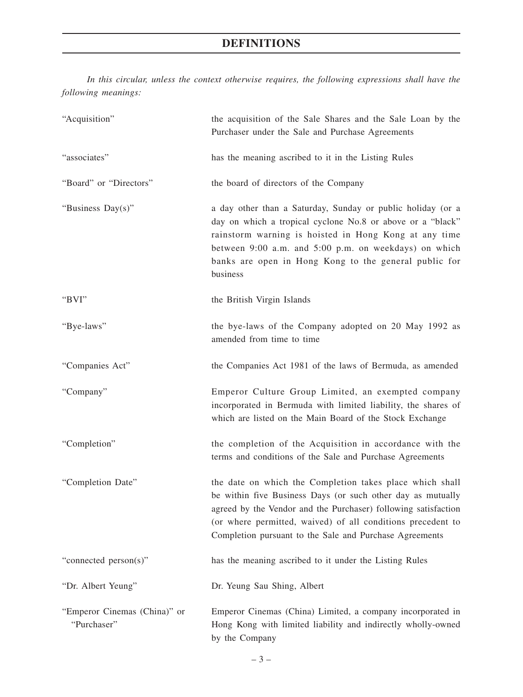# **DEFINITIONS**

*In this circular, unless the context otherwise requires, the following expressions shall have the following meanings:*

| "Acquisition"                               | the acquisition of the Sale Shares and the Sale Loan by the<br>Purchaser under the Sale and Purchase Agreements                                                                                                                                                                                                     |
|---------------------------------------------|---------------------------------------------------------------------------------------------------------------------------------------------------------------------------------------------------------------------------------------------------------------------------------------------------------------------|
| "associates"                                | has the meaning ascribed to it in the Listing Rules                                                                                                                                                                                                                                                                 |
| "Board" or "Directors"                      | the board of directors of the Company                                                                                                                                                                                                                                                                               |
| "Business Day(s)"                           | a day other than a Saturday, Sunday or public holiday (or a<br>day on which a tropical cyclone No.8 or above or a "black"<br>rainstorm warning is hoisted in Hong Kong at any time<br>between 9:00 a.m. and 5:00 p.m. on weekdays) on which<br>banks are open in Hong Kong to the general public for<br>business    |
| "BVI"                                       | the British Virgin Islands                                                                                                                                                                                                                                                                                          |
| "Bye-laws"                                  | the bye-laws of the Company adopted on 20 May 1992 as<br>amended from time to time                                                                                                                                                                                                                                  |
| "Companies Act"                             | the Companies Act 1981 of the laws of Bermuda, as amended                                                                                                                                                                                                                                                           |
| "Company"                                   | Emperor Culture Group Limited, an exempted company<br>incorporated in Bermuda with limited liability, the shares of<br>which are listed on the Main Board of the Stock Exchange                                                                                                                                     |
| "Completion"                                | the completion of the Acquisition in accordance with the<br>terms and conditions of the Sale and Purchase Agreements                                                                                                                                                                                                |
| "Completion Date"                           | the date on which the Completion takes place which shall<br>be within five Business Days (or such other day as mutually<br>agreed by the Vendor and the Purchaser) following satisfaction<br>(or where permitted, waived) of all conditions precedent to<br>Completion pursuant to the Sale and Purchase Agreements |
| "connected person(s)"                       | has the meaning ascribed to it under the Listing Rules                                                                                                                                                                                                                                                              |
| "Dr. Albert Yeung"                          | Dr. Yeung Sau Shing, Albert                                                                                                                                                                                                                                                                                         |
| "Emperor Cinemas (China)" or<br>"Purchaser" | Emperor Cinemas (China) Limited, a company incorporated in<br>Hong Kong with limited liability and indirectly wholly-owned<br>by the Company                                                                                                                                                                        |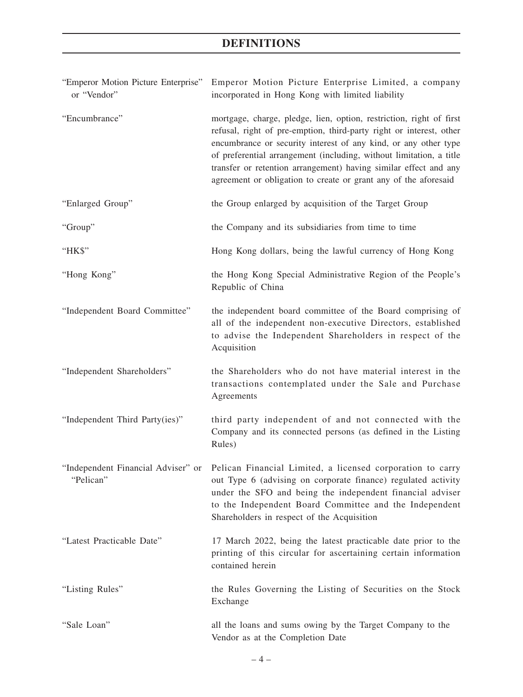# **DEFINITIONS**

| "Emperor Motion Picture Enterprise"<br>or "Vendor" | Emperor Motion Picture Enterprise Limited, a company<br>incorporated in Hong Kong with limited liability                                                                                                                                                                                                                                                                                                                    |
|----------------------------------------------------|-----------------------------------------------------------------------------------------------------------------------------------------------------------------------------------------------------------------------------------------------------------------------------------------------------------------------------------------------------------------------------------------------------------------------------|
| "Encumbrance"                                      | mortgage, charge, pledge, lien, option, restriction, right of first<br>refusal, right of pre-emption, third-party right or interest, other<br>encumbrance or security interest of any kind, or any other type<br>of preferential arrangement (including, without limitation, a title<br>transfer or retention arrangement) having similar effect and any<br>agreement or obligation to create or grant any of the aforesaid |
| "Enlarged Group"                                   | the Group enlarged by acquisition of the Target Group                                                                                                                                                                                                                                                                                                                                                                       |
| "Group"                                            | the Company and its subsidiaries from time to time                                                                                                                                                                                                                                                                                                                                                                          |
| "НК\$"                                             | Hong Kong dollars, being the lawful currency of Hong Kong                                                                                                                                                                                                                                                                                                                                                                   |
| "Hong Kong"                                        | the Hong Kong Special Administrative Region of the People's<br>Republic of China                                                                                                                                                                                                                                                                                                                                            |
| "Independent Board Committee"                      | the independent board committee of the Board comprising of<br>all of the independent non-executive Directors, established<br>to advise the Independent Shareholders in respect of the<br>Acquisition                                                                                                                                                                                                                        |
| "Independent Shareholders"                         | the Shareholders who do not have material interest in the<br>transactions contemplated under the Sale and Purchase<br>Agreements                                                                                                                                                                                                                                                                                            |
| "Independent Third Party(ies)"                     | third party independent of and not connected with the<br>Company and its connected persons (as defined in the Listing<br>Rules)                                                                                                                                                                                                                                                                                             |
| "Independent Financial Adviser" or<br>"Pelican"    | Pelican Financial Limited, a licensed corporation to carry<br>out Type 6 (advising on corporate finance) regulated activity<br>under the SFO and being the independent financial adviser<br>to the Independent Board Committee and the Independent<br>Shareholders in respect of the Acquisition                                                                                                                            |
| "Latest Practicable Date"                          | 17 March 2022, being the latest practicable date prior to the<br>printing of this circular for ascertaining certain information<br>contained herein                                                                                                                                                                                                                                                                         |
| "Listing Rules"                                    | the Rules Governing the Listing of Securities on the Stock<br>Exchange                                                                                                                                                                                                                                                                                                                                                      |
| "Sale Loan"                                        | all the loans and sums owing by the Target Company to the<br>Vendor as at the Completion Date                                                                                                                                                                                                                                                                                                                               |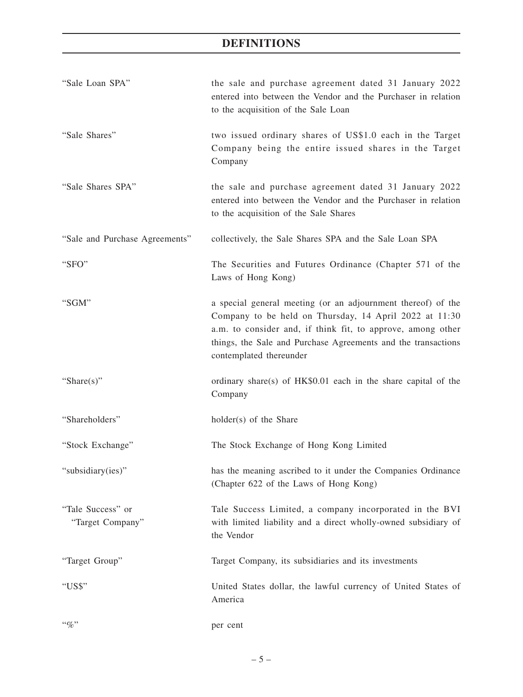# **DEFINITIONS**

| "Sale Loan SPA"                       | the sale and purchase agreement dated 31 January 2022<br>entered into between the Vendor and the Purchaser in relation<br>to the acquisition of the Sale Loan                                                                                                                     |
|---------------------------------------|-----------------------------------------------------------------------------------------------------------------------------------------------------------------------------------------------------------------------------------------------------------------------------------|
| "Sale Shares"                         | two issued ordinary shares of US\$1.0 each in the Target<br>Company being the entire issued shares in the Target<br>Company                                                                                                                                                       |
| "Sale Shares SPA"                     | the sale and purchase agreement dated 31 January 2022<br>entered into between the Vendor and the Purchaser in relation<br>to the acquisition of the Sale Shares                                                                                                                   |
| "Sale and Purchase Agreements"        | collectively, the Sale Shares SPA and the Sale Loan SPA                                                                                                                                                                                                                           |
| "SFO"                                 | The Securities and Futures Ordinance (Chapter 571 of the<br>Laws of Hong Kong)                                                                                                                                                                                                    |
| "SGM"                                 | a special general meeting (or an adjournment thereof) of the<br>Company to be held on Thursday, 14 April 2022 at 11:30<br>a.m. to consider and, if think fit, to approve, among other<br>things, the Sale and Purchase Agreements and the transactions<br>contemplated thereunder |
| "Share $(s)$ "                        | ordinary share(s) of HK\$0.01 each in the share capital of the<br>Company                                                                                                                                                                                                         |
| "Shareholders"                        | holder(s) of the Share                                                                                                                                                                                                                                                            |
| "Stock Exchange"                      | The Stock Exchange of Hong Kong Limited                                                                                                                                                                                                                                           |
| "subsidiary(ies)"                     | has the meaning ascribed to it under the Companies Ordinance<br>(Chapter 622 of the Laws of Hong Kong)                                                                                                                                                                            |
| "Tale Success" or<br>"Target Company" | Tale Success Limited, a company incorporated in the BVI<br>with limited liability and a direct wholly-owned subsidiary of<br>the Vendor                                                                                                                                           |
| "Target Group"                        | Target Company, its subsidiaries and its investments                                                                                                                                                                                                                              |
| "US\$"                                | United States dollar, the lawful currency of United States of<br>America                                                                                                                                                                                                          |
| $``\%"$                               | per cent                                                                                                                                                                                                                                                                          |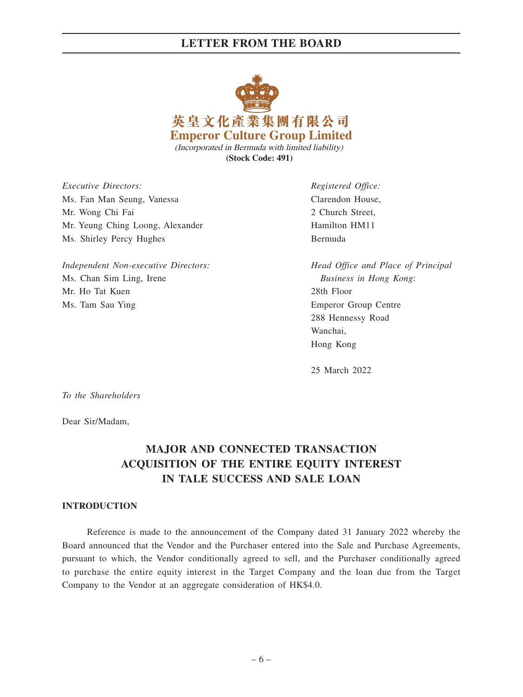

*Executive Directors: Registered Office:* Ms. Fan Man Seung, Vanessa Clarendon House, Mr. Wong Chi Fai 2 Church Street, Mr. Yeung Ching Loong, Alexander Hamilton HM11 Ms. Shirley Percy Hughes Bermuda

*Independent Non-executive Directors: Head Office and Place of Principal* Ms. Chan Sim Ling, Irene *Business in Hong Kong*: Mr. Ho Tat Kuen 28th Floor Ms. Tam Sau Ying **Emperor Group Centre** 

288 Hennessy Road Wanchai, Hong Kong

25 March 2022

*To the Shareholders*

Dear Sir/Madam,

# **MAJOR AND CONNECTED TRANSACTION ACQUISITION OF THE ENTIRE EQUITY INTEREST IN TALE SUCCESS AND SALE LOAN**

## **INTRODUCTION**

Reference is made to the announcement of the Company dated 31 January 2022 whereby the Board announced that the Vendor and the Purchaser entered into the Sale and Purchase Agreements, pursuant to which, the Vendor conditionally agreed to sell, and the Purchaser conditionally agreed to purchase the entire equity interest in the Target Company and the loan due from the Target Company to the Vendor at an aggregate consideration of HK\$4.0.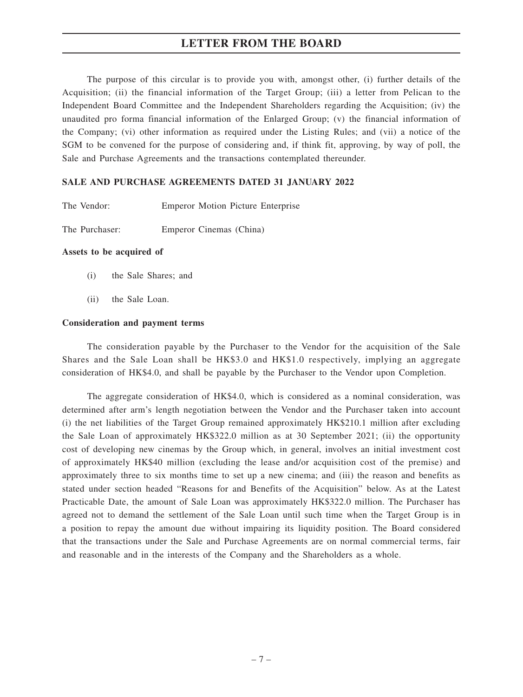The purpose of this circular is to provide you with, amongst other, (i) further details of the Acquisition; (ii) the financial information of the Target Group; (iii) a letter from Pelican to the Independent Board Committee and the Independent Shareholders regarding the Acquisition; (iv) the unaudited pro forma financial information of the Enlarged Group; (v) the financial information of the Company; (vi) other information as required under the Listing Rules; and (vii) a notice of the SGM to be convened for the purpose of considering and, if think fit, approving, by way of poll, the Sale and Purchase Agreements and the transactions contemplated thereunder.

## **SALE AND PURCHASE AGREEMENTS DATED 31 JANUARY 2022**

| The Vendor: |  | <b>Emperor Motion Picture Enterprise</b> |
|-------------|--|------------------------------------------|
|             |  |                                          |

The Purchaser: Emperor Cinemas (China)

#### **Assets to be acquired of**

- (i) the Sale Shares; and
- (ii) the Sale Loan.

#### **Consideration and payment terms**

The consideration payable by the Purchaser to the Vendor for the acquisition of the Sale Shares and the Sale Loan shall be HK\$3.0 and HK\$1.0 respectively, implying an aggregate consideration of HK\$4.0, and shall be payable by the Purchaser to the Vendor upon Completion.

The aggregate consideration of HK\$4.0, which is considered as a nominal consideration, was determined after arm's length negotiation between the Vendor and the Purchaser taken into account (i) the net liabilities of the Target Group remained approximately HK\$210.1 million after excluding the Sale Loan of approximately HK\$322.0 million as at 30 September 2021; (ii) the opportunity cost of developing new cinemas by the Group which, in general, involves an initial investment cost of approximately HK\$40 million (excluding the lease and/or acquisition cost of the premise) and approximately three to six months time to set up a new cinema; and (iii) the reason and benefits as stated under section headed "Reasons for and Benefits of the Acquisition" below. As at the Latest Practicable Date, the amount of Sale Loan was approximately HK\$322.0 million. The Purchaser has agreed not to demand the settlement of the Sale Loan until such time when the Target Group is in a position to repay the amount due without impairing its liquidity position. The Board considered that the transactions under the Sale and Purchase Agreements are on normal commercial terms, fair and reasonable and in the interests of the Company and the Shareholders as a whole.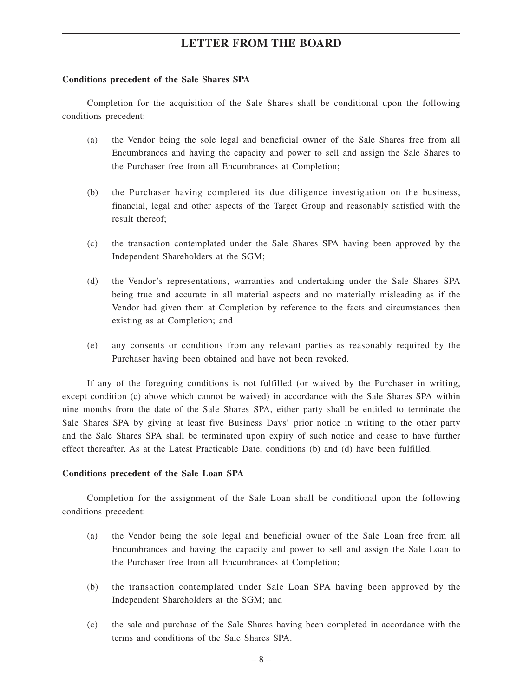#### **Conditions precedent of the Sale Shares SPA**

Completion for the acquisition of the Sale Shares shall be conditional upon the following conditions precedent:

- (a) the Vendor being the sole legal and beneficial owner of the Sale Shares free from all Encumbrances and having the capacity and power to sell and assign the Sale Shares to the Purchaser free from all Encumbrances at Completion;
- (b) the Purchaser having completed its due diligence investigation on the business, financial, legal and other aspects of the Target Group and reasonably satisfied with the result thereof;
- (c) the transaction contemplated under the Sale Shares SPA having been approved by the Independent Shareholders at the SGM;
- (d) the Vendor's representations, warranties and undertaking under the Sale Shares SPA being true and accurate in all material aspects and no materially misleading as if the Vendor had given them at Completion by reference to the facts and circumstances then existing as at Completion; and
- (e) any consents or conditions from any relevant parties as reasonably required by the Purchaser having been obtained and have not been revoked.

If any of the foregoing conditions is not fulfilled (or waived by the Purchaser in writing, except condition (c) above which cannot be waived) in accordance with the Sale Shares SPA within nine months from the date of the Sale Shares SPA, either party shall be entitled to terminate the Sale Shares SPA by giving at least five Business Days' prior notice in writing to the other party and the Sale Shares SPA shall be terminated upon expiry of such notice and cease to have further effect thereafter. As at the Latest Practicable Date, conditions (b) and (d) have been fulfilled.

## **Conditions precedent of the Sale Loan SPA**

Completion for the assignment of the Sale Loan shall be conditional upon the following conditions precedent:

- (a) the Vendor being the sole legal and beneficial owner of the Sale Loan free from all Encumbrances and having the capacity and power to sell and assign the Sale Loan to the Purchaser free from all Encumbrances at Completion;
- (b) the transaction contemplated under Sale Loan SPA having been approved by the Independent Shareholders at the SGM; and
- (c) the sale and purchase of the Sale Shares having been completed in accordance with the terms and conditions of the Sale Shares SPA.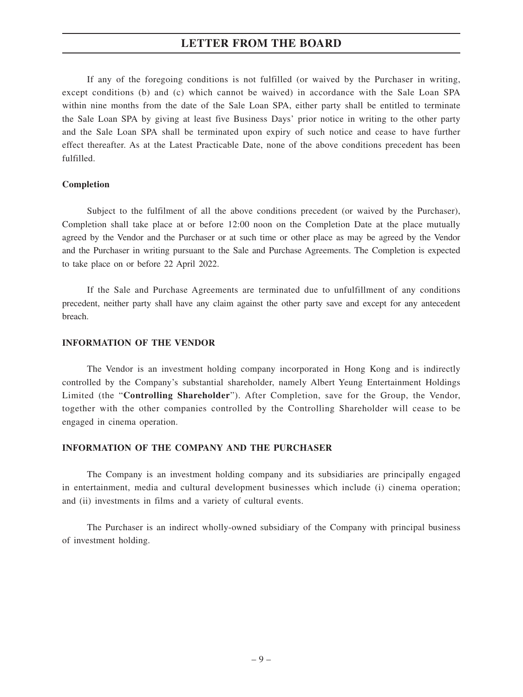If any of the foregoing conditions is not fulfilled (or waived by the Purchaser in writing, except conditions (b) and (c) which cannot be waived) in accordance with the Sale Loan SPA within nine months from the date of the Sale Loan SPA, either party shall be entitled to terminate the Sale Loan SPA by giving at least five Business Days' prior notice in writing to the other party and the Sale Loan SPA shall be terminated upon expiry of such notice and cease to have further effect thereafter. As at the Latest Practicable Date, none of the above conditions precedent has been fulfilled.

## **Completion**

Subject to the fulfilment of all the above conditions precedent (or waived by the Purchaser), Completion shall take place at or before 12:00 noon on the Completion Date at the place mutually agreed by the Vendor and the Purchaser or at such time or other place as may be agreed by the Vendor and the Purchaser in writing pursuant to the Sale and Purchase Agreements. The Completion is expected to take place on or before 22 April 2022.

If the Sale and Purchase Agreements are terminated due to unfulfillment of any conditions precedent, neither party shall have any claim against the other party save and except for any antecedent breach.

## **INFORMATION OF THE VENDOR**

The Vendor is an investment holding company incorporated in Hong Kong and is indirectly controlled by the Company's substantial shareholder, namely Albert Yeung Entertainment Holdings Limited (the "**Controlling Shareholder**"). After Completion, save for the Group, the Vendor, together with the other companies controlled by the Controlling Shareholder will cease to be engaged in cinema operation.

## **INFORMATION OF THE COMPANY AND THE PURCHASER**

The Company is an investment holding company and its subsidiaries are principally engaged in entertainment, media and cultural development businesses which include (i) cinema operation; and (ii) investments in films and a variety of cultural events.

The Purchaser is an indirect wholly-owned subsidiary of the Company with principal business of investment holding.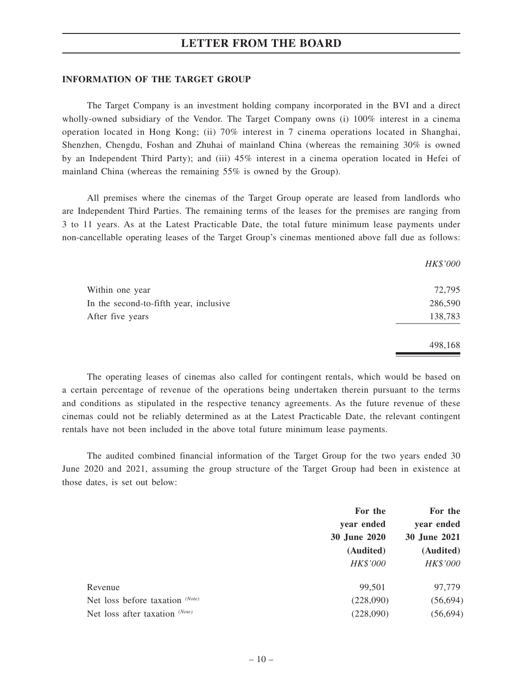#### **INFORMATION OF THE TARGET GROUP**

The Target Company is an investment holding company incorporated in the BVI and a direct wholly-owned subsidiary of the Vendor. The Target Company owns (i) 100% interest in a cinema operation located in Hong Kong; (ii) 70% interest in 7 cinema operations located in Shanghai, Shenzhen, Chengdu, Foshan and Zhuhai of mainland China (whereas the remaining 30% is owned by an Independent Third Party); and (iii) 45% interest in a cinema operation located in Hefei of mainland China (whereas the remaining 55% is owned by the Group).

All premises where the cinemas of the Target Group operate are leased from landlords who are Independent Third Parties. The remaining terms of the leases for the premises are ranging from 3 to 11 years. As at the Latest Practicable Date, the total future minimum lease payments under non-cancellable operating leases of the Target Group's cinemas mentioned above fall due as follows:

|                                        | HK\$'000 |
|----------------------------------------|----------|
| Within one year                        | 72,795   |
| In the second-to-fifth year, inclusive | 286,590  |
| After five years                       | 138,783  |
|                                        | 498,168  |

The operating leases of cinemas also called for contingent rentals, which would be based on a certain percentage of revenue of the operations being undertaken therein pursuant to the terms and conditions as stipulated in the respective tenancy agreements. As the future revenue of these cinemas could not be reliably determined as at the Latest Practicable Date, the relevant contingent rentals have not been included in the above total future minimum lease payments.

The audited combined financial information of the Target Group for the two years ended 30 June 2020 and 2021, assuming the group structure of the Target Group had been in existence at those dates, is set out below:

|                                  | For the<br>For the |              |
|----------------------------------|--------------------|--------------|
|                                  | year ended         | year ended   |
|                                  | 30 June 2020       | 30 June 2021 |
|                                  | (Audited)          | (Audited)    |
|                                  | HK\$'000           | HK\$'000     |
| Revenue                          | 99,501             | 97,779       |
| Net loss before taxation (Note)  | (228,090)          | (56, 694)    |
| Net loss after taxation $(Note)$ | (228,090)          | (56, 694)    |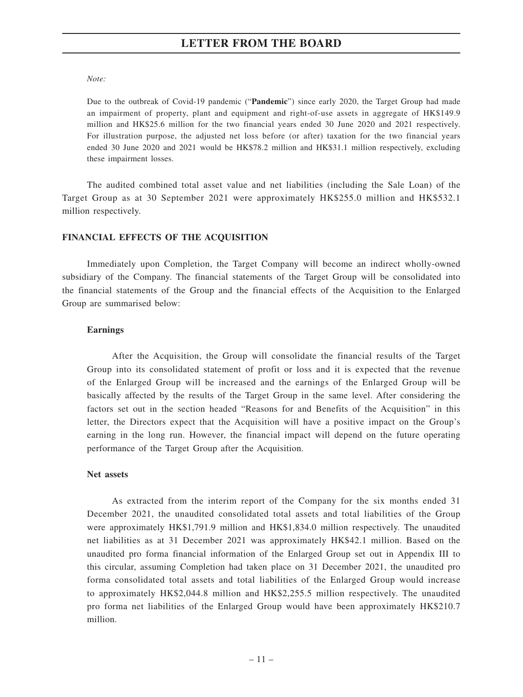#### *Note:*

Due to the outbreak of Covid-19 pandemic ("**Pandemic**") since early 2020, the Target Group had made an impairment of property, plant and equipment and right-of-use assets in aggregate of HK\$149.9 million and HK\$25.6 million for the two financial years ended 30 June 2020 and 2021 respectively. For illustration purpose, the adjusted net loss before (or after) taxation for the two financial years ended 30 June 2020 and 2021 would be HK\$78.2 million and HK\$31.1 million respectively, excluding these impairment losses.

The audited combined total asset value and net liabilities (including the Sale Loan) of the Target Group as at 30 September 2021 were approximately HK\$255.0 million and HK\$532.1 million respectively.

## **FINANCIAL EFFECTS OF THE ACQUISITION**

Immediately upon Completion, the Target Company will become an indirect wholly-owned subsidiary of the Company. The financial statements of the Target Group will be consolidated into the financial statements of the Group and the financial effects of the Acquisition to the Enlarged Group are summarised below:

## **Earnings**

After the Acquisition, the Group will consolidate the financial results of the Target Group into its consolidated statement of profit or loss and it is expected that the revenue of the Enlarged Group will be increased and the earnings of the Enlarged Group will be basically affected by the results of the Target Group in the same level. After considering the factors set out in the section headed "Reasons for and Benefits of the Acquisition" in this letter, the Directors expect that the Acquisition will have a positive impact on the Group's earning in the long run. However, the financial impact will depend on the future operating performance of the Target Group after the Acquisition.

## **Net assets**

As extracted from the interim report of the Company for the six months ended 31 December 2021, the unaudited consolidated total assets and total liabilities of the Group were approximately HK\$1,791.9 million and HK\$1,834.0 million respectively. The unaudited net liabilities as at 31 December 2021 was approximately HK\$42.1 million. Based on the unaudited pro forma financial information of the Enlarged Group set out in Appendix III to this circular, assuming Completion had taken place on 31 December 2021, the unaudited pro forma consolidated total assets and total liabilities of the Enlarged Group would increase to approximately HK\$2,044.8 million and HK\$2,255.5 million respectively. The unaudited pro forma net liabilities of the Enlarged Group would have been approximately HK\$210.7 million.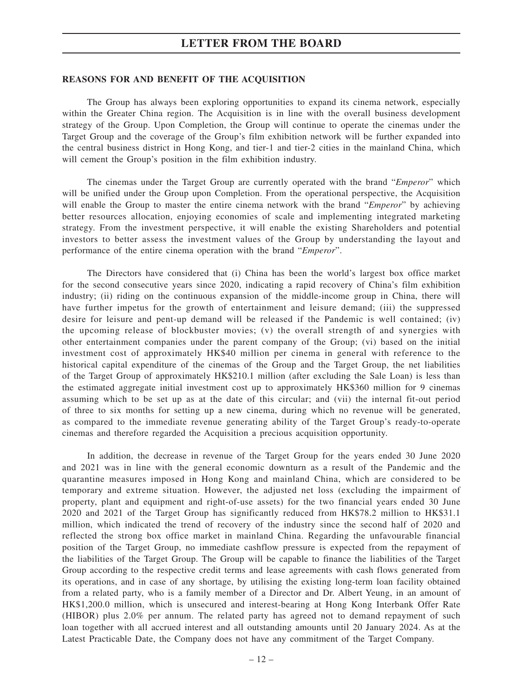#### **REASONS FOR AND BENEFIT OF THE ACQUISITION**

The Group has always been exploring opportunities to expand its cinema network, especially within the Greater China region. The Acquisition is in line with the overall business development strategy of the Group. Upon Completion, the Group will continue to operate the cinemas under the Target Group and the coverage of the Group's film exhibition network will be further expanded into the central business district in Hong Kong, and tier-1 and tier-2 cities in the mainland China, which will cement the Group's position in the film exhibition industry.

The cinemas under the Target Group are currently operated with the brand "*Emperor*" which will be unified under the Group upon Completion. From the operational perspective, the Acquisition will enable the Group to master the entire cinema network with the brand "*Emperor*" by achieving better resources allocation, enjoying economies of scale and implementing integrated marketing strategy. From the investment perspective, it will enable the existing Shareholders and potential investors to better assess the investment values of the Group by understanding the layout and performance of the entire cinema operation with the brand "*Emperor*".

The Directors have considered that (i) China has been the world's largest box office market for the second consecutive years since 2020, indicating a rapid recovery of China's film exhibition industry; (ii) riding on the continuous expansion of the middle-income group in China, there will have further impetus for the growth of entertainment and leisure demand; (iii) the suppressed desire for leisure and pent-up demand will be released if the Pandemic is well contained; (iv) the upcoming release of blockbuster movies; (v) the overall strength of and synergies with other entertainment companies under the parent company of the Group; (vi) based on the initial investment cost of approximately HK\$40 million per cinema in general with reference to the historical capital expenditure of the cinemas of the Group and the Target Group, the net liabilities of the Target Group of approximately HK\$210.1 million (after excluding the Sale Loan) is less than the estimated aggregate initial investment cost up to approximately HK\$360 million for 9 cinemas assuming which to be set up as at the date of this circular; and (vii) the internal fit-out period of three to six months for setting up a new cinema, during which no revenue will be generated, as compared to the immediate revenue generating ability of the Target Group's ready-to-operate cinemas and therefore regarded the Acquisition a precious acquisition opportunity.

In addition, the decrease in revenue of the Target Group for the years ended 30 June 2020 and 2021 was in line with the general economic downturn as a result of the Pandemic and the quarantine measures imposed in Hong Kong and mainland China, which are considered to be temporary and extreme situation. However, the adjusted net loss (excluding the impairment of property, plant and equipment and right-of-use assets) for the two financial years ended 30 June 2020 and 2021 of the Target Group has significantly reduced from HK\$78.2 million to HK\$31.1 million, which indicated the trend of recovery of the industry since the second half of 2020 and reflected the strong box office market in mainland China. Regarding the unfavourable financial position of the Target Group, no immediate cashflow pressure is expected from the repayment of the liabilities of the Target Group. The Group will be capable to finance the liabilities of the Target Group according to the respective credit terms and lease agreements with cash flows generated from its operations, and in case of any shortage, by utilising the existing long-term loan facility obtained from a related party, who is a family member of a Director and Dr. Albert Yeung, in an amount of HK\$1,200.0 million, which is unsecured and interest-bearing at Hong Kong Interbank Offer Rate (HIBOR) plus 2.0% per annum. The related party has agreed not to demand repayment of such loan together with all accrued interest and all outstanding amounts until 20 January 2024. As at the Latest Practicable Date, the Company does not have any commitment of the Target Company.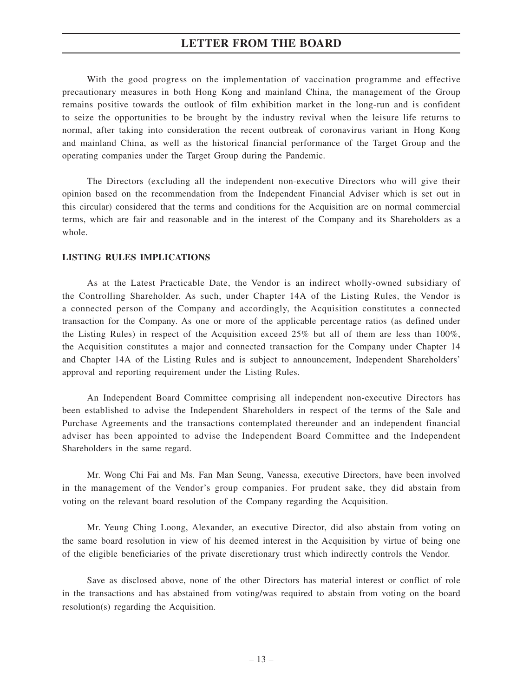With the good progress on the implementation of vaccination programme and effective precautionary measures in both Hong Kong and mainland China, the management of the Group remains positive towards the outlook of film exhibition market in the long-run and is confident to seize the opportunities to be brought by the industry revival when the leisure life returns to normal, after taking into consideration the recent outbreak of coronavirus variant in Hong Kong and mainland China, as well as the historical financial performance of the Target Group and the operating companies under the Target Group during the Pandemic.

The Directors (excluding all the independent non-executive Directors who will give their opinion based on the recommendation from the Independent Financial Adviser which is set out in this circular) considered that the terms and conditions for the Acquisition are on normal commercial terms, which are fair and reasonable and in the interest of the Company and its Shareholders as a whole.

## **LISTING RULES IMPLICATIONS**

As at the Latest Practicable Date, the Vendor is an indirect wholly-owned subsidiary of the Controlling Shareholder. As such, under Chapter 14A of the Listing Rules, the Vendor is a connected person of the Company and accordingly, the Acquisition constitutes a connected transaction for the Company. As one or more of the applicable percentage ratios (as defined under the Listing Rules) in respect of the Acquisition exceed 25% but all of them are less than 100%, the Acquisition constitutes a major and connected transaction for the Company under Chapter 14 and Chapter 14A of the Listing Rules and is subject to announcement, Independent Shareholders' approval and reporting requirement under the Listing Rules.

An Independent Board Committee comprising all independent non-executive Directors has been established to advise the Independent Shareholders in respect of the terms of the Sale and Purchase Agreements and the transactions contemplated thereunder and an independent financial adviser has been appointed to advise the Independent Board Committee and the Independent Shareholders in the same regard.

Mr. Wong Chi Fai and Ms. Fan Man Seung, Vanessa, executive Directors, have been involved in the management of the Vendor's group companies. For prudent sake, they did abstain from voting on the relevant board resolution of the Company regarding the Acquisition.

Mr. Yeung Ching Loong, Alexander, an executive Director, did also abstain from voting on the same board resolution in view of his deemed interest in the Acquisition by virtue of being one of the eligible beneficiaries of the private discretionary trust which indirectly controls the Vendor.

Save as disclosed above, none of the other Directors has material interest or conflict of role in the transactions and has abstained from voting/was required to abstain from voting on the board resolution(s) regarding the Acquisition.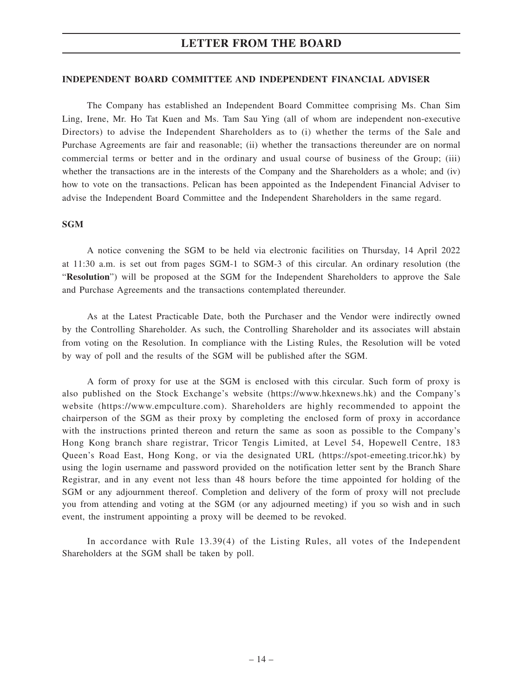## **INDEPENDENT BOARD COMMITTEE AND INDEPENDENT FINANCIAL ADVISER**

The Company has established an Independent Board Committee comprising Ms. Chan Sim Ling, Irene, Mr. Ho Tat Kuen and Ms. Tam Sau Ying (all of whom are independent non-executive Directors) to advise the Independent Shareholders as to (i) whether the terms of the Sale and Purchase Agreements are fair and reasonable; (ii) whether the transactions thereunder are on normal commercial terms or better and in the ordinary and usual course of business of the Group; (iii) whether the transactions are in the interests of the Company and the Shareholders as a whole; and (iv) how to vote on the transactions. Pelican has been appointed as the Independent Financial Adviser to advise the Independent Board Committee and the Independent Shareholders in the same regard.

## **SGM**

A notice convening the SGM to be held via electronic facilities on Thursday, 14 April 2022 at 11:30 a.m. is set out from pages SGM-1 to SGM-3 of this circular. An ordinary resolution (the "**Resolution**") will be proposed at the SGM for the Independent Shareholders to approve the Sale and Purchase Agreements and the transactions contemplated thereunder.

As at the Latest Practicable Date, both the Purchaser and the Vendor were indirectly owned by the Controlling Shareholder. As such, the Controlling Shareholder and its associates will abstain from voting on the Resolution. In compliance with the Listing Rules, the Resolution will be voted by way of poll and the results of the SGM will be published after the SGM.

A form of proxy for use at the SGM is enclosed with this circular. Such form of proxy is also published on the Stock Exchange's website (https://www.hkexnews.hk) and the Company's website (https://www.empculture.com). Shareholders are highly recommended to appoint the chairperson of the SGM as their proxy by completing the enclosed form of proxy in accordance with the instructions printed thereon and return the same as soon as possible to the Company's Hong Kong branch share registrar, Tricor Tengis Limited, at Level 54, Hopewell Centre, 183 Queen's Road East, Hong Kong, or via the designated URL (https://spot-emeeting.tricor.hk) by using the login username and password provided on the notification letter sent by the Branch Share Registrar, and in any event not less than 48 hours before the time appointed for holding of the SGM or any adjournment thereof. Completion and delivery of the form of proxy will not preclude you from attending and voting at the SGM (or any adjourned meeting) if you so wish and in such event, the instrument appointing a proxy will be deemed to be revoked.

In accordance with Rule 13.39(4) of the Listing Rules, all votes of the Independent Shareholders at the SGM shall be taken by poll.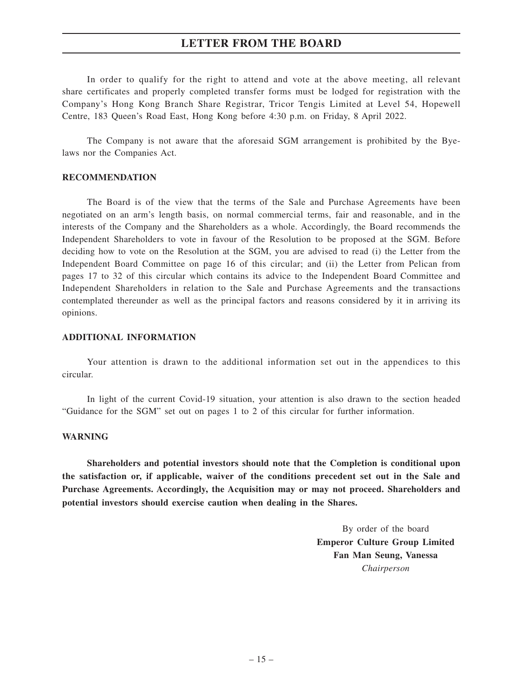In order to qualify for the right to attend and vote at the above meeting, all relevant share certificates and properly completed transfer forms must be lodged for registration with the Company's Hong Kong Branch Share Registrar, Tricor Tengis Limited at Level 54, Hopewell Centre, 183 Queen's Road East, Hong Kong before 4:30 p.m. on Friday, 8 April 2022.

The Company is not aware that the aforesaid SGM arrangement is prohibited by the Byelaws nor the Companies Act.

## **RECOMMENDATION**

The Board is of the view that the terms of the Sale and Purchase Agreements have been negotiated on an arm's length basis, on normal commercial terms, fair and reasonable, and in the interests of the Company and the Shareholders as a whole. Accordingly, the Board recommends the Independent Shareholders to vote in favour of the Resolution to be proposed at the SGM. Before deciding how to vote on the Resolution at the SGM, you are advised to read (i) the Letter from the Independent Board Committee on page 16 of this circular; and (ii) the Letter from Pelican from pages 17 to 32 of this circular which contains its advice to the Independent Board Committee and Independent Shareholders in relation to the Sale and Purchase Agreements and the transactions contemplated thereunder as well as the principal factors and reasons considered by it in arriving its opinions.

#### **ADDITIONAL INFORMATION**

Your attention is drawn to the additional information set out in the appendices to this circular.

In light of the current Covid-19 situation, your attention is also drawn to the section headed "Guidance for the SGM" set out on pages 1 to 2 of this circular for further information.

#### **WARNING**

**Shareholders and potential investors should note that the Completion is conditional upon the satisfaction or, if applicable, waiver of the conditions precedent set out in the Sale and Purchase Agreements. Accordingly, the Acquisition may or may not proceed. Shareholders and potential investors should exercise caution when dealing in the Shares.**

> By order of the board **Emperor Culture Group Limited Fan Man Seung, Vanessa** *Chairperson*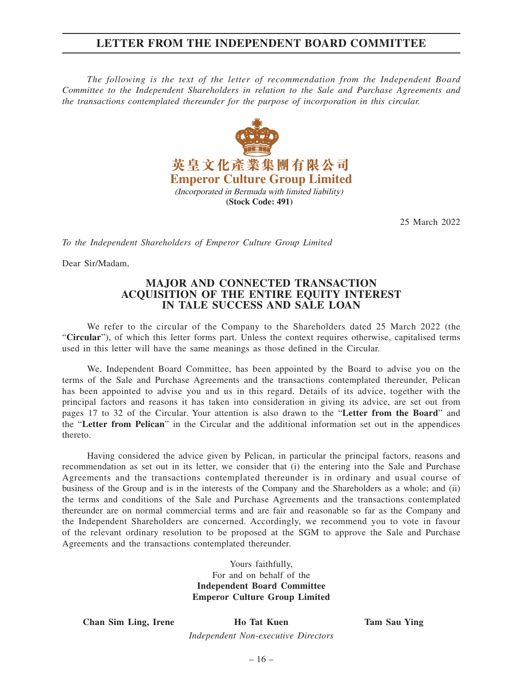## **LETTER FROM THE INDEPENDENT BOARD COMMITTEE**

*The following is the text of the letter of recommendation from the Independent Board Committee to the Independent Shareholders in relation to the Sale and Purchase Agreements and the transactions contemplated thereunder for the purpose of incorporation in this circular.*



25 March 2022

*To the Independent Shareholders of Emperor Culture Group Limited*

Dear Sir/Madam,

## **MAJOR AND CONNECTED TRANSACTION ACQUISITION OF THE ENTIRE EQUITY INTEREST IN TALE SUCCESS AND SALE LOAN**

We refer to the circular of the Company to the Shareholders dated 25 March 2022 (the "**Circular**"), of which this letter forms part. Unless the context requires otherwise, capitalised terms used in this letter will have the same meanings as those defined in the Circular.

We, Independent Board Committee, has been appointed by the Board to advise you on the terms of the Sale and Purchase Agreements and the transactions contemplated thereunder, Pelican has been appointed to advise you and us in this regard. Details of its advice, together with the principal factors and reasons it has taken into consideration in giving its advice, are set out from pages 17 to 32 of the Circular. Your attention is also drawn to the "**Letter from the Board**" and the "**Letter from Pelican**" in the Circular and the additional information set out in the appendices thereto.

Having considered the advice given by Pelican, in particular the principal factors, reasons and recommendation as set out in its letter, we consider that (i) the entering into the Sale and Purchase Agreements and the transactions contemplated thereunder is in ordinary and usual course of business of the Group and is in the interests of the Company and the Shareholders as a whole; and (ii) the terms and conditions of the Sale and Purchase Agreements and the transactions contemplated thereunder are on normal commercial terms and are fair and reasonable so far as the Company and the Independent Shareholders are concerned. Accordingly, we recommend you to vote in favour of the relevant ordinary resolution to be proposed at the SGM to approve the Sale and Purchase Agreements and the transactions contemplated thereunder.

> Yours faithfully, For and on behalf of the **Independent Board Committee Emperor Culture Group Limited**

**Chan Sim Ling, Irene Ho Tat Kuen Tam Sau Ying**

*Independent Non-executive Directors*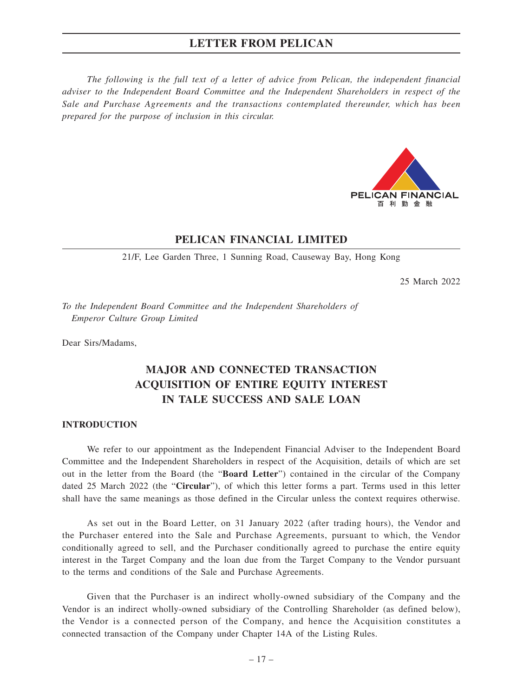*The following is the full text of a letter of advice from Pelican, the independent financial adviser to the Independent Board Committee and the Independent Shareholders in respect of the Sale and Purchase Agreements and the transactions contemplated thereunder, which has been prepared for the purpose of inclusion in this circular.*



## **PELICAN FINANCIAL LIMITED**

21/F, Lee Garden Three, 1 Sunning Road, Causeway Bay, Hong Kong

25 March 2022

*To the Independent Board Committee and the Independent Shareholders of Emperor Culture Group Limited*

Dear Sirs/Madams,

## **MAJOR AND CONNECTED TRANSACTION ACQUISITION OF ENTIRE EQUITY INTEREST IN TALE SUCCESS AND SALE LOAN**

#### **INTRODUCTION**

We refer to our appointment as the Independent Financial Adviser to the Independent Board Committee and the Independent Shareholders in respect of the Acquisition, details of which are set out in the letter from the Board (the "**Board Letter**") contained in the circular of the Company dated 25 March 2022 (the "**Circular**"), of which this letter forms a part. Terms used in this letter shall have the same meanings as those defined in the Circular unless the context requires otherwise.

As set out in the Board Letter, on 31 January 2022 (after trading hours), the Vendor and the Purchaser entered into the Sale and Purchase Agreements, pursuant to which, the Vendor conditionally agreed to sell, and the Purchaser conditionally agreed to purchase the entire equity interest in the Target Company and the loan due from the Target Company to the Vendor pursuant to the terms and conditions of the Sale and Purchase Agreements.

Given that the Purchaser is an indirect wholly-owned subsidiary of the Company and the Vendor is an indirect wholly-owned subsidiary of the Controlling Shareholder (as defined below), the Vendor is a connected person of the Company, and hence the Acquisition constitutes a connected transaction of the Company under Chapter 14A of the Listing Rules.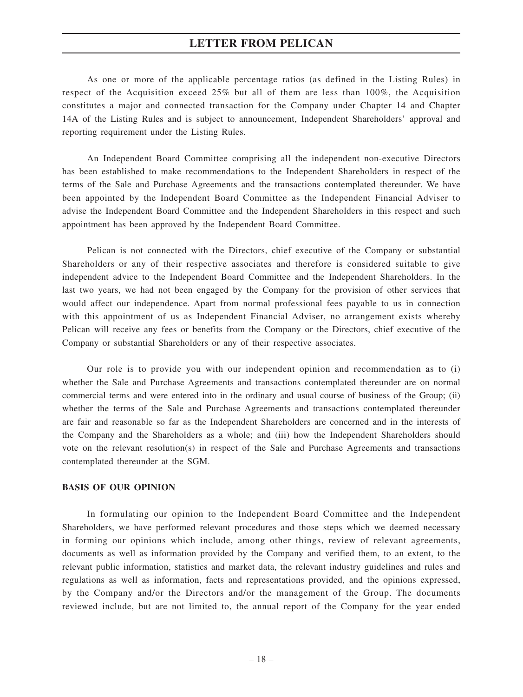As one or more of the applicable percentage ratios (as defined in the Listing Rules) in respect of the Acquisition exceed 25% but all of them are less than 100%, the Acquisition constitutes a major and connected transaction for the Company under Chapter 14 and Chapter 14A of the Listing Rules and is subject to announcement, Independent Shareholders' approval and reporting requirement under the Listing Rules.

An Independent Board Committee comprising all the independent non-executive Directors has been established to make recommendations to the Independent Shareholders in respect of the terms of the Sale and Purchase Agreements and the transactions contemplated thereunder. We have been appointed by the Independent Board Committee as the Independent Financial Adviser to advise the Independent Board Committee and the Independent Shareholders in this respect and such appointment has been approved by the Independent Board Committee.

Pelican is not connected with the Directors, chief executive of the Company or substantial Shareholders or any of their respective associates and therefore is considered suitable to give independent advice to the Independent Board Committee and the Independent Shareholders. In the last two years, we had not been engaged by the Company for the provision of other services that would affect our independence. Apart from normal professional fees payable to us in connection with this appointment of us as Independent Financial Adviser, no arrangement exists whereby Pelican will receive any fees or benefits from the Company or the Directors, chief executive of the Company or substantial Shareholders or any of their respective associates.

Our role is to provide you with our independent opinion and recommendation as to (i) whether the Sale and Purchase Agreements and transactions contemplated thereunder are on normal commercial terms and were entered into in the ordinary and usual course of business of the Group; (ii) whether the terms of the Sale and Purchase Agreements and transactions contemplated thereunder are fair and reasonable so far as the Independent Shareholders are concerned and in the interests of the Company and the Shareholders as a whole; and (iii) how the Independent Shareholders should vote on the relevant resolution(s) in respect of the Sale and Purchase Agreements and transactions contemplated thereunder at the SGM.

#### **BASIS OF OUR OPINION**

In formulating our opinion to the Independent Board Committee and the Independent Shareholders, we have performed relevant procedures and those steps which we deemed necessary in forming our opinions which include, among other things, review of relevant agreements, documents as well as information provided by the Company and verified them, to an extent, to the relevant public information, statistics and market data, the relevant industry guidelines and rules and regulations as well as information, facts and representations provided, and the opinions expressed, by the Company and/or the Directors and/or the management of the Group. The documents reviewed include, but are not limited to, the annual report of the Company for the year ended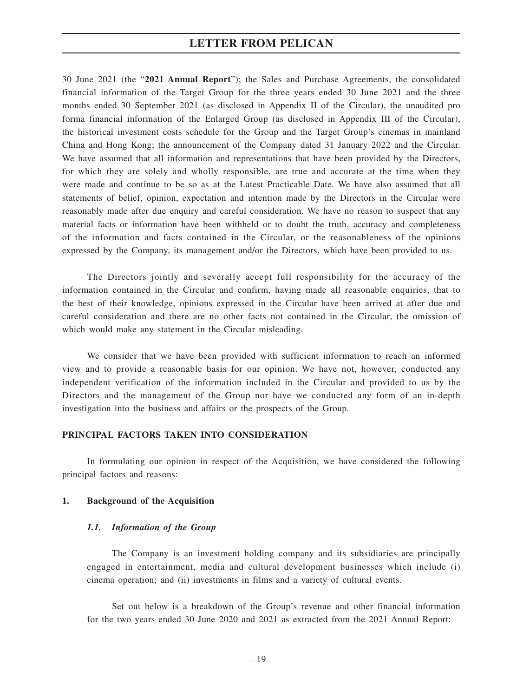30 June 2021 (the "**2021 Annual Report**"); the Sales and Purchase Agreements, the consolidated financial information of the Target Group for the three years ended 30 June 2021 and the three months ended 30 September 2021 (as disclosed in Appendix II of the Circular), the unaudited pro forma financial information of the Enlarged Group (as disclosed in Appendix III of the Circular), the historical investment costs schedule for the Group and the Target Group's cinemas in mainland China and Hong Kong; the announcement of the Company dated 31 January 2022 and the Circular. We have assumed that all information and representations that have been provided by the Directors, for which they are solely and wholly responsible, are true and accurate at the time when they were made and continue to be so as at the Latest Practicable Date. We have also assumed that all statements of belief, opinion, expectation and intention made by the Directors in the Circular were reasonably made after due enquiry and careful consideration. We have no reason to suspect that any material facts or information have been withheld or to doubt the truth, accuracy and completeness of the information and facts contained in the Circular, or the reasonableness of the opinions expressed by the Company, its management and/or the Directors, which have been provided to us.

The Directors jointly and severally accept full responsibility for the accuracy of the information contained in the Circular and confirm, having made all reasonable enquiries, that to the best of their knowledge, opinions expressed in the Circular have been arrived at after due and careful consideration and there are no other facts not contained in the Circular, the omission of which would make any statement in the Circular misleading.

We consider that we have been provided with sufficient information to reach an informed view and to provide a reasonable basis for our opinion. We have not, however, conducted any independent verification of the information included in the Circular and provided to us by the Directors and the management of the Group nor have we conducted any form of an in-depth investigation into the business and affairs or the prospects of the Group.

## **PRINCIPAL FACTORS TAKEN INTO CONSIDERATION**

In formulating our opinion in respect of the Acquisition, we have considered the following principal factors and reasons:

#### **1. Background of the Acquisition**

#### *1.1. Information of the Group*

The Company is an investment holding company and its subsidiaries are principally engaged in entertainment, media and cultural development businesses which include (i) cinema operation; and (ii) investments in films and a variety of cultural events.

Set out below is a breakdown of the Group's revenue and other financial information for the two years ended 30 June 2020 and 2021 as extracted from the 2021 Annual Report: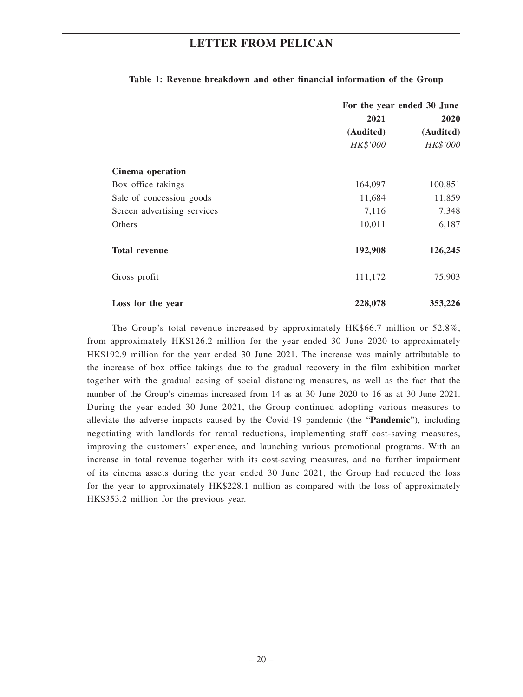|                             | For the year ended 30 June |           |
|-----------------------------|----------------------------|-----------|
|                             | 2021<br><b>2020</b>        |           |
|                             | (Audited)                  | (Audited) |
|                             | HK\$'000                   | HK\$'000  |
| Cinema operation            |                            |           |
| Box office takings          | 164,097                    | 100,851   |
| Sale of concession goods    | 11,684                     | 11,859    |
| Screen advertising services | 7,116                      | 7,348     |
| Others                      | 10,011                     | 6,187     |
| <b>Total revenue</b>        | 192,908                    | 126,245   |
| Gross profit                | 111,172                    | 75,903    |
| Loss for the year           | 228,078                    | 353,226   |

## **Table 1: Revenue breakdown and other financial information of the Group**

The Group's total revenue increased by approximately HK\$66.7 million or 52.8%, from approximately HK\$126.2 million for the year ended 30 June 2020 to approximately HK\$192.9 million for the year ended 30 June 2021. The increase was mainly attributable to the increase of box office takings due to the gradual recovery in the film exhibition market together with the gradual easing of social distancing measures, as well as the fact that the number of the Group's cinemas increased from 14 as at 30 June 2020 to 16 as at 30 June 2021. During the year ended 30 June 2021, the Group continued adopting various measures to alleviate the adverse impacts caused by the Covid-19 pandemic (the "**Pandemic**"), including negotiating with landlords for rental reductions, implementing staff cost-saving measures, improving the customers' experience, and launching various promotional programs. With an increase in total revenue together with its cost-saving measures, and no further impairment of its cinema assets during the year ended 30 June 2021, the Group had reduced the loss for the year to approximately HK\$228.1 million as compared with the loss of approximately HK\$353.2 million for the previous year.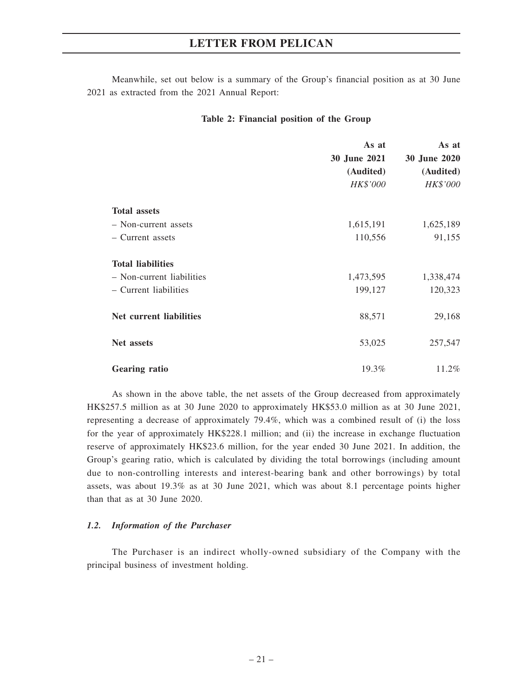Meanwhile, set out below is a summary of the Group's financial position as at 30 June 2021 as extracted from the 2021 Annual Report:

## **Table 2: Financial position of the Group**

|                           | As at<br>30 June 2021<br>(Audited)<br>HK\$'000 | As at<br>30 June 2020<br>(Audited)<br>HK\$'000 |
|---------------------------|------------------------------------------------|------------------------------------------------|
| <b>Total assets</b>       |                                                |                                                |
| - Non-current assets      | 1,615,191                                      | 1,625,189                                      |
| - Current assets          | 110,556                                        | 91,155                                         |
| <b>Total liabilities</b>  |                                                |                                                |
| - Non-current liabilities | 1,473,595                                      | 1,338,474                                      |
| - Current liabilities     | 199,127                                        | 120,323                                        |
| Net current liabilities   | 88,571                                         | 29,168                                         |
| Net assets                | 53,025                                         | 257,547                                        |
| <b>Gearing ratio</b>      | 19.3%                                          | 11.2%                                          |

As shown in the above table, the net assets of the Group decreased from approximately HK\$257.5 million as at 30 June 2020 to approximately HK\$53.0 million as at 30 June 2021, representing a decrease of approximately 79.4%, which was a combined result of (i) the loss for the year of approximately HK\$228.1 million; and (ii) the increase in exchange fluctuation reserve of approximately HK\$23.6 million, for the year ended 30 June 2021. In addition, the Group's gearing ratio, which is calculated by dividing the total borrowings (including amount due to non-controlling interests and interest-bearing bank and other borrowings) by total assets, was about 19.3% as at 30 June 2021, which was about 8.1 percentage points higher than that as at 30 June 2020.

## *1.2. Information of the Purchaser*

The Purchaser is an indirect wholly-owned subsidiary of the Company with the principal business of investment holding.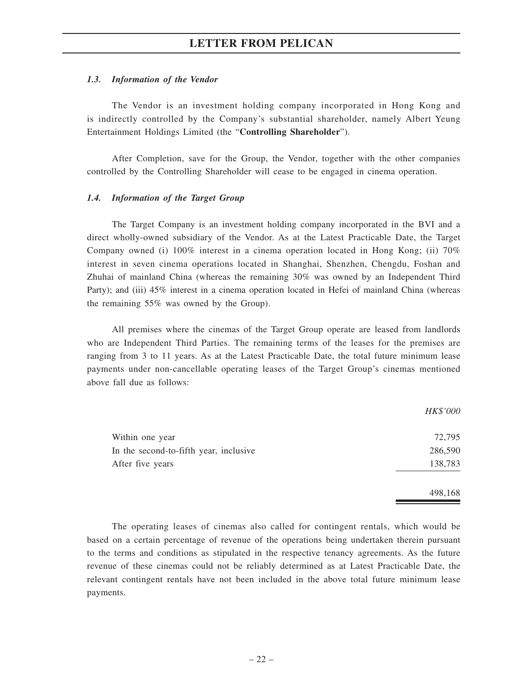## *1.3. Information of the Vendor*

The Vendor is an investment holding company incorporated in Hong Kong and is indirectly controlled by the Company's substantial shareholder, namely Albert Yeung Entertainment Holdings Limited (the "**Controlling Shareholder**").

After Completion, save for the Group, the Vendor, together with the other companies controlled by the Controlling Shareholder will cease to be engaged in cinema operation.

## *1.4. Information of the Target Group*

The Target Company is an investment holding company incorporated in the BVI and a direct wholly-owned subsidiary of the Vendor. As at the Latest Practicable Date, the Target Company owned (i) 100% interest in a cinema operation located in Hong Kong; (ii) 70% interest in seven cinema operations located in Shanghai, Shenzhen, Chengdu, Foshan and Zhuhai of mainland China (whereas the remaining 30% was owned by an Independent Third Party); and (iii) 45% interest in a cinema operation located in Hefei of mainland China (whereas the remaining 55% was owned by the Group).

All premises where the cinemas of the Target Group operate are leased from landlords who are Independent Third Parties. The remaining terms of the leases for the premises are ranging from 3 to 11 years. As at the Latest Practicable Date, the total future minimum lease payments under non-cancellable operating leases of the Target Group's cinemas mentioned above fall due as follows:

|                                        | HK\$'000 |
|----------------------------------------|----------|
| Within one year                        | 72,795   |
| In the second-to-fifth year, inclusive | 286,590  |
| After five years                       | 138,783  |
|                                        | 498,168  |

The operating leases of cinemas also called for contingent rentals, which would be based on a certain percentage of revenue of the operations being undertaken therein pursuant to the terms and conditions as stipulated in the respective tenancy agreements. As the future revenue of these cinemas could not be reliably determined as at Latest Practicable Date, the relevant contingent rentals have not been included in the above total future minimum lease payments.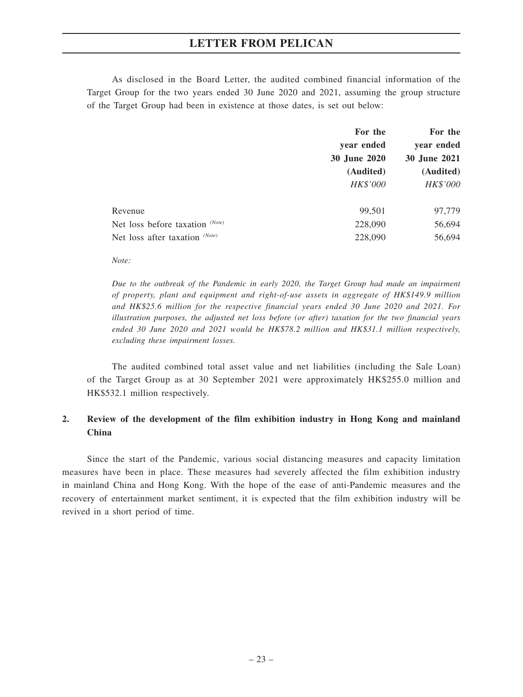As disclosed in the Board Letter, the audited combined financial information of the Target Group for the two years ended 30 June 2020 and 2021, assuming the group structure of the Target Group had been in existence at those dates, is set out below:

|                                   | For the             | For the             |
|-----------------------------------|---------------------|---------------------|
|                                   | year ended          | year ended          |
|                                   | <b>30 June 2020</b> | <b>30 June 2021</b> |
|                                   | (Audited)           | (Audited)           |
|                                   | HK\$'000            | HK\$'000            |
| Revenue                           | 99,501              | 97,779              |
| Net loss before taxation $(Note)$ | 228,090             | 56,694              |
| Net loss after taxation (Note)    | 228,090             | 56,694              |

*Note:*

*Due to the outbreak of the Pandemic in early 2020, the Target Group had made an impairment of property, plant and equipment and right-of-use assets in aggregate of HK\$149.9 million and HK\$25.6 million for the respective financial years ended 30 June 2020 and 2021. For illustration purposes, the adjusted net loss before (or after) taxation for the two financial years ended 30 June 2020 and 2021 would be HK\$78.2 million and HK\$31.1 million respectively, excluding these impairment losses.*

The audited combined total asset value and net liabilities (including the Sale Loan) of the Target Group as at 30 September 2021 were approximately HK\$255.0 million and HK\$532.1 million respectively.

## **2. Review of the development of the film exhibition industry in Hong Kong and mainland China**

Since the start of the Pandemic, various social distancing measures and capacity limitation measures have been in place. These measures had severely affected the film exhibition industry in mainland China and Hong Kong. With the hope of the ease of anti-Pandemic measures and the recovery of entertainment market sentiment, it is expected that the film exhibition industry will be revived in a short period of time.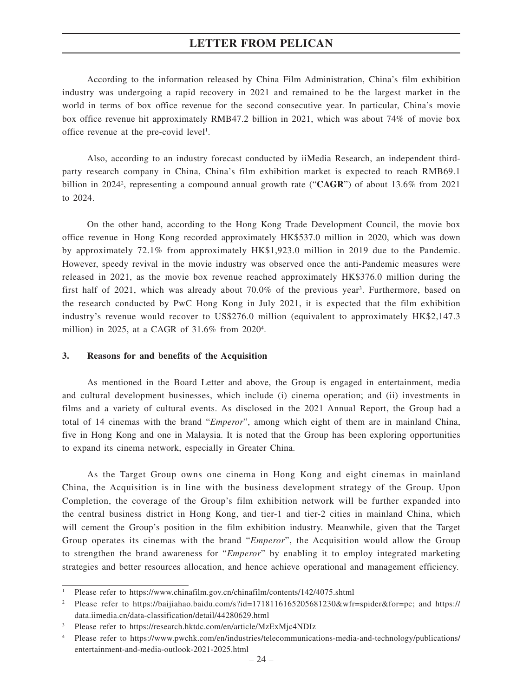According to the information released by China Film Administration, China's film exhibition industry was undergoing a rapid recovery in 2021 and remained to be the largest market in the world in terms of box office revenue for the second consecutive year. In particular, China's movie box office revenue hit approximately RMB47.2 billion in 2021, which was about 74% of movie box office revenue at the pre-covid level<sup>1</sup>.

Also, according to an industry forecast conducted by iiMedia Research, an independent thirdparty research company in China, China's film exhibition market is expected to reach RMB69.1 billion in 2024<sup>2</sup>, representing a compound annual growth rate ("CAGR") of about 13.6% from 2021 to 2024.

On the other hand, according to the Hong Kong Trade Development Council, the movie box office revenue in Hong Kong recorded approximately HK\$537.0 million in 2020, which was down by approximately 72.1% from approximately HK\$1,923.0 million in 2019 due to the Pandemic. However, speedy revival in the movie industry was observed once the anti-Pandemic measures were released in 2021, as the movie box revenue reached approximately HK\$376.0 million during the first half of 2021, which was already about 70.0% of the previous year<sup>3</sup>. Furthermore, based on the research conducted by PwC Hong Kong in July 2021, it is expected that the film exhibition industry's revenue would recover to US\$276.0 million (equivalent to approximately HK\$2,147.3 million) in 2025, at a CAGR of 31.6% from 20204 .

#### **3. Reasons for and benefits of the Acquisition**

As mentioned in the Board Letter and above, the Group is engaged in entertainment, media and cultural development businesses, which include (i) cinema operation; and (ii) investments in films and a variety of cultural events. As disclosed in the 2021 Annual Report, the Group had a total of 14 cinemas with the brand "*Emperor*", among which eight of them are in mainland China, five in Hong Kong and one in Malaysia. It is noted that the Group has been exploring opportunities to expand its cinema network, especially in Greater China.

As the Target Group owns one cinema in Hong Kong and eight cinemas in mainland China, the Acquisition is in line with the business development strategy of the Group. Upon Completion, the coverage of the Group's film exhibition network will be further expanded into the central business district in Hong Kong, and tier-1 and tier-2 cities in mainland China, which will cement the Group's position in the film exhibition industry. Meanwhile, given that the Target Group operates its cinemas with the brand "*Emperor*", the Acquisition would allow the Group to strengthen the brand awareness for "*Emperor*" by enabling it to employ integrated marketing strategies and better resources allocation, and hence achieve operational and management efficiency.

 $\overline{a}$ 

<sup>1</sup> Please refer to https://www.chinafilm.gov.cn/chinafilm/contents/142/4075.shtml

<sup>2</sup> Please refer to https://baijiahao.baidu.com/s?id=1718116165205681230&wfr=spider&for=pc; and https:// data.iimedia.cn/data-classification/detail/44280629.html

<sup>3</sup> Please refer to https://research.hktdc.com/en/article/MzExMjc4NDIz

<sup>4</sup> Please refer to https://www.pwchk.com/en/industries/telecommunications-media-and-technology/publications/ entertainment-and-media-outlook-2021-2025.html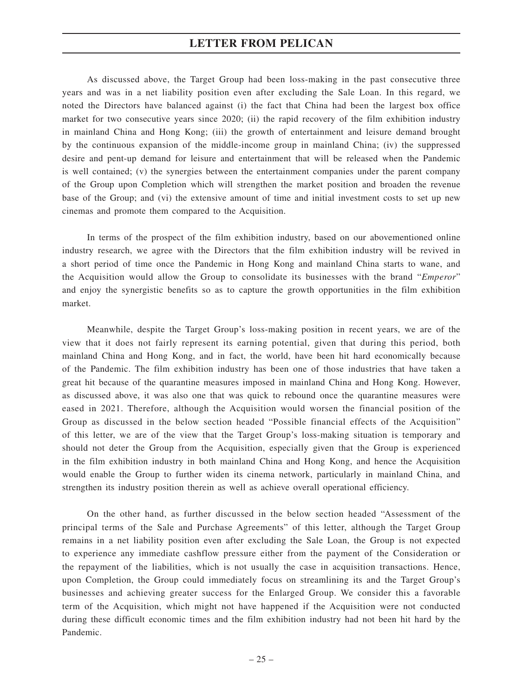As discussed above, the Target Group had been loss-making in the past consecutive three years and was in a net liability position even after excluding the Sale Loan. In this regard, we noted the Directors have balanced against (i) the fact that China had been the largest box office market for two consecutive years since 2020; (ii) the rapid recovery of the film exhibition industry in mainland China and Hong Kong; (iii) the growth of entertainment and leisure demand brought by the continuous expansion of the middle-income group in mainland China; (iv) the suppressed desire and pent-up demand for leisure and entertainment that will be released when the Pandemic is well contained; (v) the synergies between the entertainment companies under the parent company of the Group upon Completion which will strengthen the market position and broaden the revenue base of the Group; and (vi) the extensive amount of time and initial investment costs to set up new cinemas and promote them compared to the Acquisition.

In terms of the prospect of the film exhibition industry, based on our abovementioned online industry research, we agree with the Directors that the film exhibition industry will be revived in a short period of time once the Pandemic in Hong Kong and mainland China starts to wane, and the Acquisition would allow the Group to consolidate its businesses with the brand "*Emperor*" and enjoy the synergistic benefits so as to capture the growth opportunities in the film exhibition market.

Meanwhile, despite the Target Group's loss-making position in recent years, we are of the view that it does not fairly represent its earning potential, given that during this period, both mainland China and Hong Kong, and in fact, the world, have been hit hard economically because of the Pandemic. The film exhibition industry has been one of those industries that have taken a great hit because of the quarantine measures imposed in mainland China and Hong Kong. However, as discussed above, it was also one that was quick to rebound once the quarantine measures were eased in 2021. Therefore, although the Acquisition would worsen the financial position of the Group as discussed in the below section headed "Possible financial effects of the Acquisition" of this letter, we are of the view that the Target Group's loss-making situation is temporary and should not deter the Group from the Acquisition, especially given that the Group is experienced in the film exhibition industry in both mainland China and Hong Kong, and hence the Acquisition would enable the Group to further widen its cinema network, particularly in mainland China, and strengthen its industry position therein as well as achieve overall operational efficiency.

On the other hand, as further discussed in the below section headed "Assessment of the principal terms of the Sale and Purchase Agreements" of this letter, although the Target Group remains in a net liability position even after excluding the Sale Loan, the Group is not expected to experience any immediate cashflow pressure either from the payment of the Consideration or the repayment of the liabilities, which is not usually the case in acquisition transactions. Hence, upon Completion, the Group could immediately focus on streamlining its and the Target Group's businesses and achieving greater success for the Enlarged Group. We consider this a favorable term of the Acquisition, which might not have happened if the Acquisition were not conducted during these difficult economic times and the film exhibition industry had not been hit hard by the Pandemic.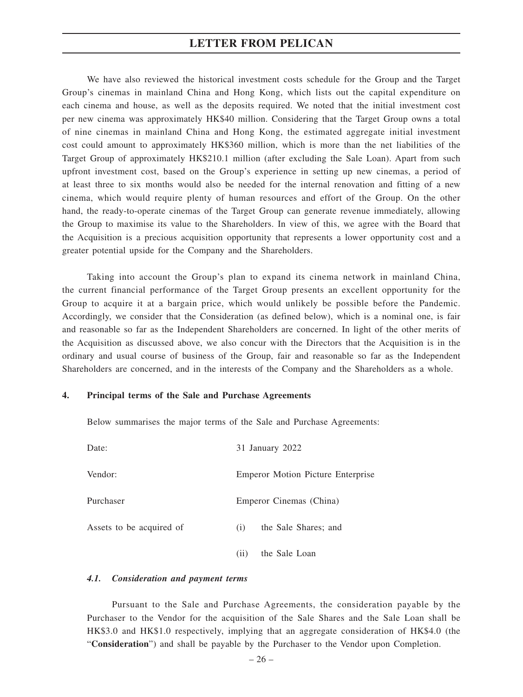We have also reviewed the historical investment costs schedule for the Group and the Target Group's cinemas in mainland China and Hong Kong, which lists out the capital expenditure on each cinema and house, as well as the deposits required. We noted that the initial investment cost per new cinema was approximately HK\$40 million. Considering that the Target Group owns a total of nine cinemas in mainland China and Hong Kong, the estimated aggregate initial investment cost could amount to approximately HK\$360 million, which is more than the net liabilities of the Target Group of approximately HK\$210.1 million (after excluding the Sale Loan). Apart from such upfront investment cost, based on the Group's experience in setting up new cinemas, a period of at least three to six months would also be needed for the internal renovation and fitting of a new cinema, which would require plenty of human resources and effort of the Group. On the other hand, the ready-to-operate cinemas of the Target Group can generate revenue immediately, allowing the Group to maximise its value to the Shareholders. In view of this, we agree with the Board that the Acquisition is a precious acquisition opportunity that represents a lower opportunity cost and a greater potential upside for the Company and the Shareholders.

Taking into account the Group's plan to expand its cinema network in mainland China, the current financial performance of the Target Group presents an excellent opportunity for the Group to acquire it at a bargain price, which would unlikely be possible before the Pandemic. Accordingly, we consider that the Consideration (as defined below), which is a nominal one, is fair and reasonable so far as the Independent Shareholders are concerned. In light of the other merits of the Acquisition as discussed above, we also concur with the Directors that the Acquisition is in the ordinary and usual course of business of the Group, fair and reasonable so far as the Independent Shareholders are concerned, and in the interests of the Company and the Shareholders as a whole.

## **4. Principal terms of the Sale and Purchase Agreements**

Below summarises the major terms of the Sale and Purchase Agreements:

| Date:                    | 31 January 2022                          |
|--------------------------|------------------------------------------|
| Vendor:                  | <b>Emperor Motion Picture Enterprise</b> |
| Purchaser                | Emperor Cinemas (China)                  |
| Assets to be acquired of | the Sale Shares; and<br>(i)              |
|                          | the Sale Loan<br>(11)                    |

#### *4.1. Consideration and payment terms*

Pursuant to the Sale and Purchase Agreements, the consideration payable by the Purchaser to the Vendor for the acquisition of the Sale Shares and the Sale Loan shall be HK\$3.0 and HK\$1.0 respectively, implying that an aggregate consideration of HK\$4.0 (the "**Consideration**") and shall be payable by the Purchaser to the Vendor upon Completion.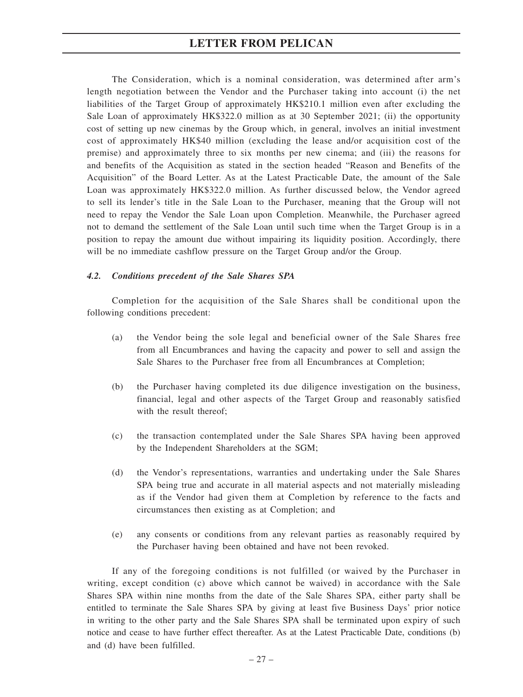The Consideration, which is a nominal consideration, was determined after arm's length negotiation between the Vendor and the Purchaser taking into account (i) the net liabilities of the Target Group of approximately HK\$210.1 million even after excluding the Sale Loan of approximately HK\$322.0 million as at 30 September 2021; (ii) the opportunity cost of setting up new cinemas by the Group which, in general, involves an initial investment cost of approximately HK\$40 million (excluding the lease and/or acquisition cost of the premise) and approximately three to six months per new cinema; and (iii) the reasons for and benefits of the Acquisition as stated in the section headed "Reason and Benefits of the Acquisition" of the Board Letter. As at the Latest Practicable Date, the amount of the Sale Loan was approximately HK\$322.0 million. As further discussed below, the Vendor agreed to sell its lender's title in the Sale Loan to the Purchaser, meaning that the Group will not need to repay the Vendor the Sale Loan upon Completion. Meanwhile, the Purchaser agreed not to demand the settlement of the Sale Loan until such time when the Target Group is in a position to repay the amount due without impairing its liquidity position. Accordingly, there will be no immediate cashflow pressure on the Target Group and/or the Group.

## *4.2. Conditions precedent of the Sale Shares SPA*

Completion for the acquisition of the Sale Shares shall be conditional upon the following conditions precedent:

- (a) the Vendor being the sole legal and beneficial owner of the Sale Shares free from all Encumbrances and having the capacity and power to sell and assign the Sale Shares to the Purchaser free from all Encumbrances at Completion;
- (b) the Purchaser having completed its due diligence investigation on the business, financial, legal and other aspects of the Target Group and reasonably satisfied with the result thereof;
- (c) the transaction contemplated under the Sale Shares SPA having been approved by the Independent Shareholders at the SGM;
- (d) the Vendor's representations, warranties and undertaking under the Sale Shares SPA being true and accurate in all material aspects and not materially misleading as if the Vendor had given them at Completion by reference to the facts and circumstances then existing as at Completion; and
- (e) any consents or conditions from any relevant parties as reasonably required by the Purchaser having been obtained and have not been revoked.

If any of the foregoing conditions is not fulfilled (or waived by the Purchaser in writing, except condition (c) above which cannot be waived) in accordance with the Sale Shares SPA within nine months from the date of the Sale Shares SPA, either party shall be entitled to terminate the Sale Shares SPA by giving at least five Business Days' prior notice in writing to the other party and the Sale Shares SPA shall be terminated upon expiry of such notice and cease to have further effect thereafter. As at the Latest Practicable Date, conditions (b) and (d) have been fulfilled.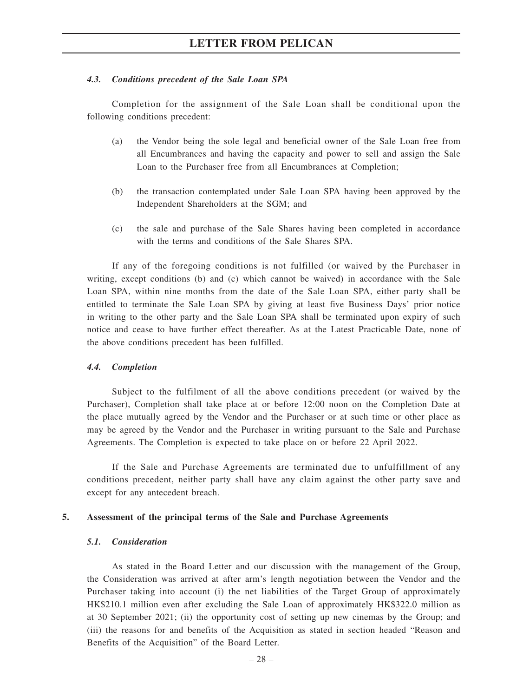#### *4.3. Conditions precedent of the Sale Loan SPA*

Completion for the assignment of the Sale Loan shall be conditional upon the following conditions precedent:

- (a) the Vendor being the sole legal and beneficial owner of the Sale Loan free from all Encumbrances and having the capacity and power to sell and assign the Sale Loan to the Purchaser free from all Encumbrances at Completion;
- (b) the transaction contemplated under Sale Loan SPA having been approved by the Independent Shareholders at the SGM; and
- (c) the sale and purchase of the Sale Shares having been completed in accordance with the terms and conditions of the Sale Shares SPA.

If any of the foregoing conditions is not fulfilled (or waived by the Purchaser in writing, except conditions (b) and (c) which cannot be waived) in accordance with the Sale Loan SPA, within nine months from the date of the Sale Loan SPA, either party shall be entitled to terminate the Sale Loan SPA by giving at least five Business Days' prior notice in writing to the other party and the Sale Loan SPA shall be terminated upon expiry of such notice and cease to have further effect thereafter. As at the Latest Practicable Date, none of the above conditions precedent has been fulfilled.

#### *4.4. Completion*

Subject to the fulfilment of all the above conditions precedent (or waived by the Purchaser), Completion shall take place at or before 12:00 noon on the Completion Date at the place mutually agreed by the Vendor and the Purchaser or at such time or other place as may be agreed by the Vendor and the Purchaser in writing pursuant to the Sale and Purchase Agreements. The Completion is expected to take place on or before 22 April 2022.

If the Sale and Purchase Agreements are terminated due to unfulfillment of any conditions precedent, neither party shall have any claim against the other party save and except for any antecedent breach.

#### **5. Assessment of the principal terms of the Sale and Purchase Agreements**

## *5.1. Consideration*

As stated in the Board Letter and our discussion with the management of the Group, the Consideration was arrived at after arm's length negotiation between the Vendor and the Purchaser taking into account (i) the net liabilities of the Target Group of approximately HK\$210.1 million even after excluding the Sale Loan of approximately HK\$322.0 million as at 30 September 2021; (ii) the opportunity cost of setting up new cinemas by the Group; and (iii) the reasons for and benefits of the Acquisition as stated in section headed "Reason and Benefits of the Acquisition" of the Board Letter.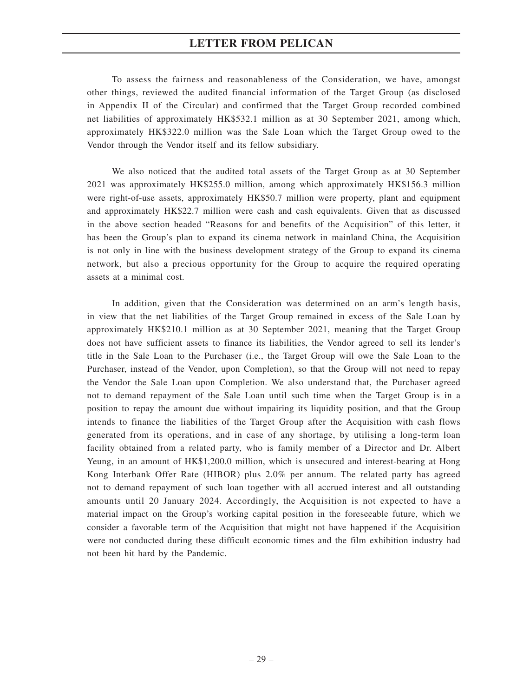To assess the fairness and reasonableness of the Consideration, we have, amongst other things, reviewed the audited financial information of the Target Group (as disclosed in Appendix II of the Circular) and confirmed that the Target Group recorded combined net liabilities of approximately HK\$532.1 million as at 30 September 2021, among which, approximately HK\$322.0 million was the Sale Loan which the Target Group owed to the Vendor through the Vendor itself and its fellow subsidiary.

We also noticed that the audited total assets of the Target Group as at 30 September 2021 was approximately HK\$255.0 million, among which approximately HK\$156.3 million were right-of-use assets, approximately HK\$50.7 million were property, plant and equipment and approximately HK\$22.7 million were cash and cash equivalents. Given that as discussed in the above section headed "Reasons for and benefits of the Acquisition" of this letter, it has been the Group's plan to expand its cinema network in mainland China, the Acquisition is not only in line with the business development strategy of the Group to expand its cinema network, but also a precious opportunity for the Group to acquire the required operating assets at a minimal cost.

In addition, given that the Consideration was determined on an arm's length basis, in view that the net liabilities of the Target Group remained in excess of the Sale Loan by approximately HK\$210.1 million as at 30 September 2021, meaning that the Target Group does not have sufficient assets to finance its liabilities, the Vendor agreed to sell its lender's title in the Sale Loan to the Purchaser (i.e., the Target Group will owe the Sale Loan to the Purchaser, instead of the Vendor, upon Completion), so that the Group will not need to repay the Vendor the Sale Loan upon Completion. We also understand that, the Purchaser agreed not to demand repayment of the Sale Loan until such time when the Target Group is in a position to repay the amount due without impairing its liquidity position, and that the Group intends to finance the liabilities of the Target Group after the Acquisition with cash flows generated from its operations, and in case of any shortage, by utilising a long-term loan facility obtained from a related party, who is family member of a Director and Dr. Albert Yeung, in an amount of HK\$1,200.0 million, which is unsecured and interest-bearing at Hong Kong Interbank Offer Rate (HIBOR) plus 2.0% per annum. The related party has agreed not to demand repayment of such loan together with all accrued interest and all outstanding amounts until 20 January 2024. Accordingly, the Acquisition is not expected to have a material impact on the Group's working capital position in the foreseeable future, which we consider a favorable term of the Acquisition that might not have happened if the Acquisition were not conducted during these difficult economic times and the film exhibition industry had not been hit hard by the Pandemic.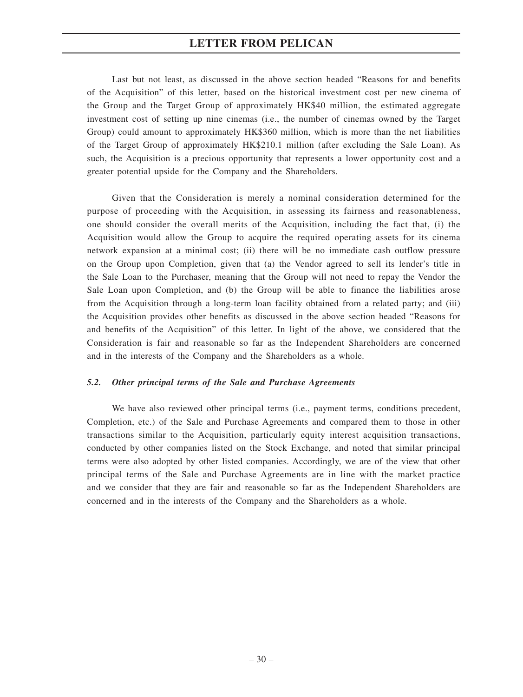Last but not least, as discussed in the above section headed "Reasons for and benefits of the Acquisition" of this letter, based on the historical investment cost per new cinema of the Group and the Target Group of approximately HK\$40 million, the estimated aggregate investment cost of setting up nine cinemas (i.e., the number of cinemas owned by the Target Group) could amount to approximately HK\$360 million, which is more than the net liabilities of the Target Group of approximately HK\$210.1 million (after excluding the Sale Loan). As such, the Acquisition is a precious opportunity that represents a lower opportunity cost and a greater potential upside for the Company and the Shareholders.

Given that the Consideration is merely a nominal consideration determined for the purpose of proceeding with the Acquisition, in assessing its fairness and reasonableness, one should consider the overall merits of the Acquisition, including the fact that, (i) the Acquisition would allow the Group to acquire the required operating assets for its cinema network expansion at a minimal cost; (ii) there will be no immediate cash outflow pressure on the Group upon Completion, given that (a) the Vendor agreed to sell its lender's title in the Sale Loan to the Purchaser, meaning that the Group will not need to repay the Vendor the Sale Loan upon Completion, and (b) the Group will be able to finance the liabilities arose from the Acquisition through a long-term loan facility obtained from a related party; and (iii) the Acquisition provides other benefits as discussed in the above section headed "Reasons for and benefits of the Acquisition" of this letter. In light of the above, we considered that the Consideration is fair and reasonable so far as the Independent Shareholders are concerned and in the interests of the Company and the Shareholders as a whole.

## *5.2. Other principal terms of the Sale and Purchase Agreements*

We have also reviewed other principal terms (i.e., payment terms, conditions precedent, Completion, etc.) of the Sale and Purchase Agreements and compared them to those in other transactions similar to the Acquisition, particularly equity interest acquisition transactions, conducted by other companies listed on the Stock Exchange, and noted that similar principal terms were also adopted by other listed companies. Accordingly, we are of the view that other principal terms of the Sale and Purchase Agreements are in line with the market practice and we consider that they are fair and reasonable so far as the Independent Shareholders are concerned and in the interests of the Company and the Shareholders as a whole.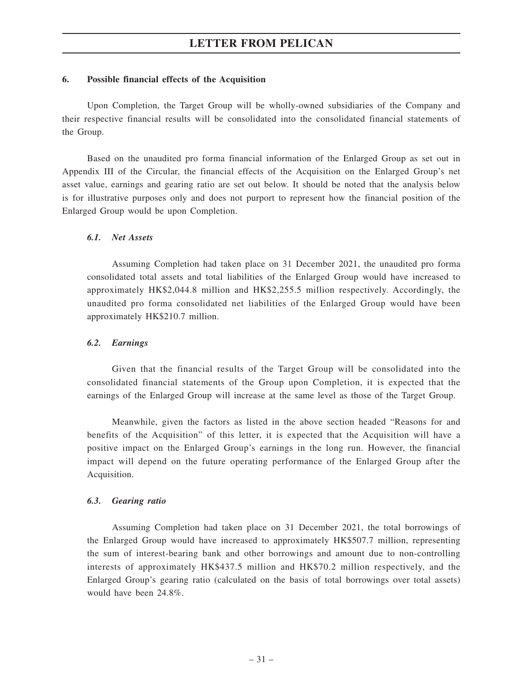## **6. Possible financial effects of the Acquisition**

Upon Completion, the Target Group will be wholly-owned subsidiaries of the Company and their respective financial results will be consolidated into the consolidated financial statements of the Group.

Based on the unaudited pro forma financial information of the Enlarged Group as set out in Appendix III of the Circular, the financial effects of the Acquisition on the Enlarged Group's net asset value, earnings and gearing ratio are set out below. It should be noted that the analysis below is for illustrative purposes only and does not purport to represent how the financial position of the Enlarged Group would be upon Completion.

## *6.1. Net Assets*

Assuming Completion had taken place on 31 December 2021, the unaudited pro forma consolidated total assets and total liabilities of the Enlarged Group would have increased to approximately HK\$2,044.8 million and HK\$2,255.5 million respectively. Accordingly, the unaudited pro forma consolidated net liabilities of the Enlarged Group would have been approximately HK\$210.7 million.

## *6.2. Earnings*

Given that the financial results of the Target Group will be consolidated into the consolidated financial statements of the Group upon Completion, it is expected that the earnings of the Enlarged Group will increase at the same level as those of the Target Group.

Meanwhile, given the factors as listed in the above section headed "Reasons for and benefits of the Acquisition" of this letter, it is expected that the Acquisition will have a positive impact on the Enlarged Group's earnings in the long run. However, the financial impact will depend on the future operating performance of the Enlarged Group after the Acquisition.

## *6.3. Gearing ratio*

Assuming Completion had taken place on 31 December 2021, the total borrowings of the Enlarged Group would have increased to approximately HK\$507.7 million, representing the sum of interest-bearing bank and other borrowings and amount due to non-controlling interests of approximately HK\$437.5 million and HK\$70.2 million respectively, and the Enlarged Group's gearing ratio (calculated on the basis of total borrowings over total assets) would have been 24.8%.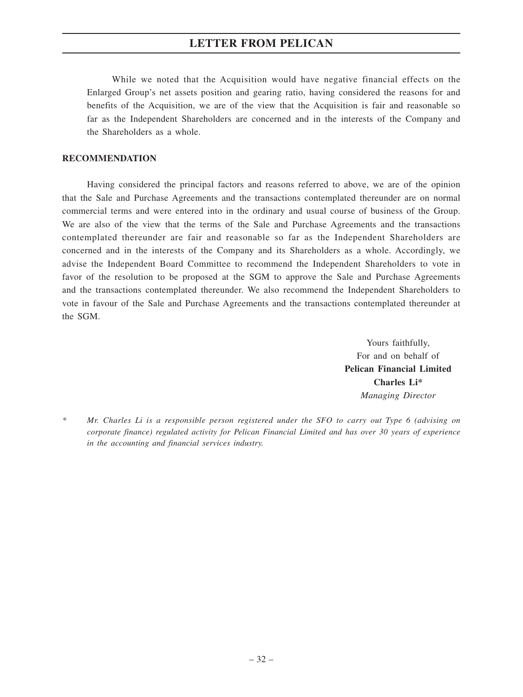While we noted that the Acquisition would have negative financial effects on the Enlarged Group's net assets position and gearing ratio, having considered the reasons for and benefits of the Acquisition, we are of the view that the Acquisition is fair and reasonable so far as the Independent Shareholders are concerned and in the interests of the Company and the Shareholders as a whole.

## **RECOMMENDATION**

Having considered the principal factors and reasons referred to above, we are of the opinion that the Sale and Purchase Agreements and the transactions contemplated thereunder are on normal commercial terms and were entered into in the ordinary and usual course of business of the Group. We are also of the view that the terms of the Sale and Purchase Agreements and the transactions contemplated thereunder are fair and reasonable so far as the Independent Shareholders are concerned and in the interests of the Company and its Shareholders as a whole. Accordingly, we advise the Independent Board Committee to recommend the Independent Shareholders to vote in favor of the resolution to be proposed at the SGM to approve the Sale and Purchase Agreements and the transactions contemplated thereunder. We also recommend the Independent Shareholders to vote in favour of the Sale and Purchase Agreements and the transactions contemplated thereunder at the SGM.

> Yours faithfully, For and on behalf of **Pelican Financial Limited Charles Li\*** *Managing Director*

*<sup>\*</sup> Mr. Charles Li is a responsible person registered under the SFO to carry out Type 6 (advising on corporate finance) regulated activity for Pelican Financial Limited and has over 30 years of experience in the accounting and financial services industry.*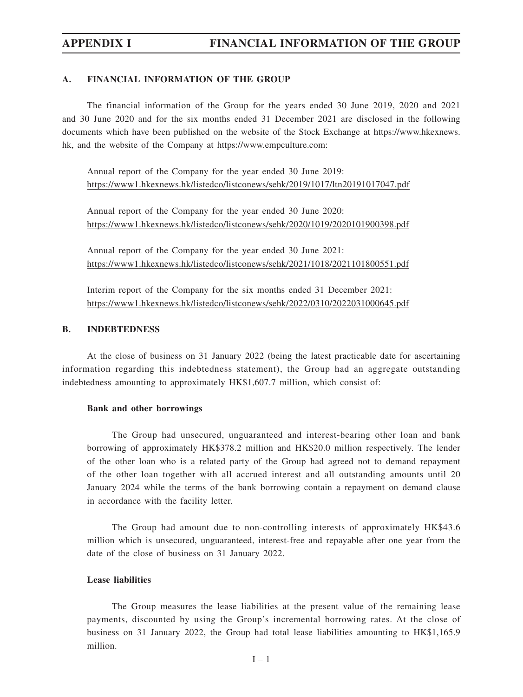## **A. FINANCIAL INFORMATION OF THE GROUP**

The financial information of the Group for the years ended 30 June 2019, 2020 and 2021 and 30 June 2020 and for the six months ended 31 December 2021 are disclosed in the following documents which have been published on the website of the Stock Exchange at https://www.hkexnews. hk, and the website of the Company at https://www.empculture.com:

Annual report of the Company for the year ended 30 June 2019: https://www1.hkexnews.hk/listedco/listconews/sehk/2019/1017/ltn20191017047.pdf

Annual report of the Company for the year ended 30 June 2020: https://www1.hkexnews.hk/listedco/listconews/sehk/2020/1019/2020101900398.pdf

Annual report of the Company for the year ended 30 June 2021: https://www1.hkexnews.hk/listedco/listconews/sehk/2021/1018/2021101800551.pdf

Interim report of the Company for the six months ended 31 December 2021: https://www1.hkexnews.hk/listedco/listconews/sehk/2022/0310/2022031000645.pdf

## **B. INDEBTEDNESS**

At the close of business on 31 January 2022 (being the latest practicable date for ascertaining information regarding this indebtedness statement), the Group had an aggregate outstanding indebtedness amounting to approximately HK\$1,607.7 million, which consist of:

#### **Bank and other borrowings**

The Group had unsecured, unguaranteed and interest-bearing other loan and bank borrowing of approximately HK\$378.2 million and HK\$20.0 million respectively. The lender of the other loan who is a related party of the Group had agreed not to demand repayment of the other loan together with all accrued interest and all outstanding amounts until 20 January 2024 while the terms of the bank borrowing contain a repayment on demand clause in accordance with the facility letter.

The Group had amount due to non-controlling interests of approximately HK\$43.6 million which is unsecured, unguaranteed, interest-free and repayable after one year from the date of the close of business on 31 January 2022.

## **Lease liabilities**

The Group measures the lease liabilities at the present value of the remaining lease payments, discounted by using the Group's incremental borrowing rates. At the close of business on 31 January 2022, the Group had total lease liabilities amounting to HK\$1,165.9 million.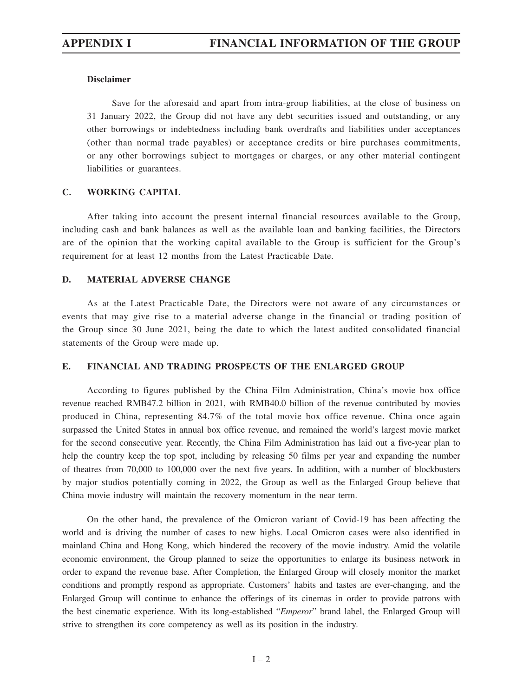## **Disclaimer**

Save for the aforesaid and apart from intra-group liabilities, at the close of business on 31 January 2022, the Group did not have any debt securities issued and outstanding, or any other borrowings or indebtedness including bank overdrafts and liabilities under acceptances (other than normal trade payables) or acceptance credits or hire purchases commitments, or any other borrowings subject to mortgages or charges, or any other material contingent liabilities or guarantees.

## **C. WORKING CAPITAL**

After taking into account the present internal financial resources available to the Group, including cash and bank balances as well as the available loan and banking facilities, the Directors are of the opinion that the working capital available to the Group is sufficient for the Group's requirement for at least 12 months from the Latest Practicable Date.

## **D. MATERIAL ADVERSE CHANGE**

As at the Latest Practicable Date, the Directors were not aware of any circumstances or events that may give rise to a material adverse change in the financial or trading position of the Group since 30 June 2021, being the date to which the latest audited consolidated financial statements of the Group were made up.

## **E. FINANCIAL AND TRADING PROSPECTS OF THE ENLARGED GROUP**

According to figures published by the China Film Administration, China's movie box office revenue reached RMB47.2 billion in 2021, with RMB40.0 billion of the revenue contributed by movies produced in China, representing 84.7% of the total movie box office revenue. China once again surpassed the United States in annual box office revenue, and remained the world's largest movie market for the second consecutive year. Recently, the China Film Administration has laid out a five-year plan to help the country keep the top spot, including by releasing 50 films per year and expanding the number of theatres from 70,000 to 100,000 over the next five years. In addition, with a number of blockbusters by major studios potentially coming in 2022, the Group as well as the Enlarged Group believe that China movie industry will maintain the recovery momentum in the near term.

On the other hand, the prevalence of the Omicron variant of Covid-19 has been affecting the world and is driving the number of cases to new highs. Local Omicron cases were also identified in mainland China and Hong Kong, which hindered the recovery of the movie industry. Amid the volatile economic environment, the Group planned to seize the opportunities to enlarge its business network in order to expand the revenue base. After Completion, the Enlarged Group will closely monitor the market conditions and promptly respond as appropriate. Customers' habits and tastes are ever-changing, and the Enlarged Group will continue to enhance the offerings of its cinemas in order to provide patrons with the best cinematic experience. With its long-established "*Emperor*" brand label, the Enlarged Group will strive to strengthen its core competency as well as its position in the industry.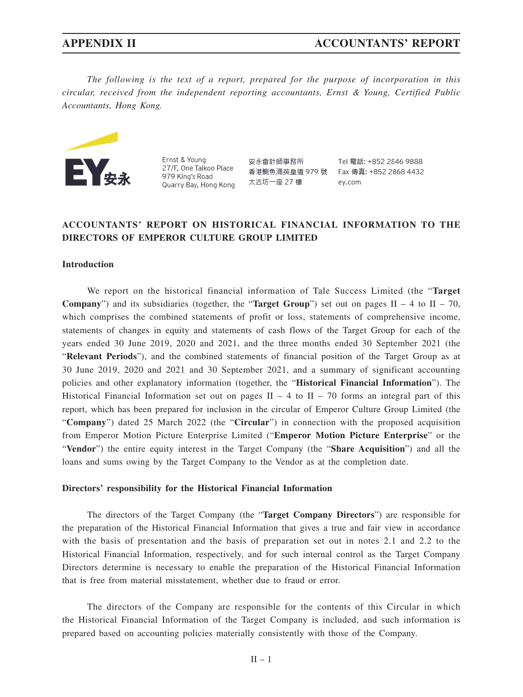*The following is the text of a report, prepared for the purpose of incorporation in this circular, received from the independent reporting accountants, Ernst & Young, Certified Public Accountants, Hong Kong.*



Ernst & Young 27/F, One Taikoo Place 979 King's Road Quarry Bay, Hong Kong

安永會計師事務所 太古坊一座 27 樓

Tel 雷話: +852 2846 9888 香港鰂魚涌英皇道 979 號 Fax 傳真: +852 2868 4432 ev.com

# **ACCOUNTANTS' REPORT ON HISTORICAL FINANCIAL INFORMATION TO THE DIRECTORS OF EMPEROR CULTURE GROUP LIMITED**

# **Introduction**

We report on the historical financial information of Tale Success Limited (the "**Target Company**") and its subsidiaries (together, the "**Target Group**") set out on pages  $II - 4$  to  $II - 70$ , which comprises the combined statements of profit or loss, statements of comprehensive income, statements of changes in equity and statements of cash flows of the Target Group for each of the years ended 30 June 2019, 2020 and 2021, and the three months ended 30 September 2021 (the "**Relevant Periods**"), and the combined statements of financial position of the Target Group as at 30 June 2019, 2020 and 2021 and 30 September 2021, and a summary of significant accounting policies and other explanatory information (together, the "**Historical Financial Information**"). The Historical Financial Information set out on pages  $II - 4$  to  $II - 70$  forms an integral part of this report, which has been prepared for inclusion in the circular of Emperor Culture Group Limited (the "**Company**") dated 25 March 2022 (the "**Circular**") in connection with the proposed acquisition from Emperor Motion Picture Enterprise Limited ("**Emperor Motion Picture Enterprise**" or the "**Vendor**") the entire equity interest in the Target Company (the "**Share Acquisition**") and all the loans and sums owing by the Target Company to the Vendor as at the completion date.

### **Directors' responsibility for the Historical Financial Information**

The directors of the Target Company (the "**Target Company Directors**") are responsible for the preparation of the Historical Financial Information that gives a true and fair view in accordance with the basis of presentation and the basis of preparation set out in notes 2.1 and 2.2 to the Historical Financial Information, respectively, and for such internal control as the Target Company Directors determine is necessary to enable the preparation of the Historical Financial Information that is free from material misstatement, whether due to fraud or error.

The directors of the Company are responsible for the contents of this Circular in which the Historical Financial Information of the Target Company is included, and such information is prepared based on accounting policies materially consistently with those of the Company.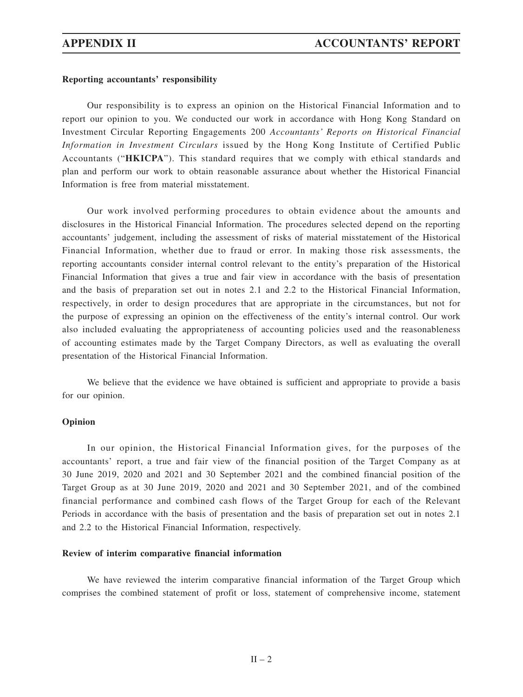# **Reporting accountants' responsibility**

Our responsibility is to express an opinion on the Historical Financial Information and to report our opinion to you. We conducted our work in accordance with Hong Kong Standard on Investment Circular Reporting Engagements 200 *Accountants' Reports on Historical Financial Information in Investment Circulars* issued by the Hong Kong Institute of Certified Public Accountants ("**HKICPA**"). This standard requires that we comply with ethical standards and plan and perform our work to obtain reasonable assurance about whether the Historical Financial Information is free from material misstatement.

Our work involved performing procedures to obtain evidence about the amounts and disclosures in the Historical Financial Information. The procedures selected depend on the reporting accountants' judgement, including the assessment of risks of material misstatement of the Historical Financial Information, whether due to fraud or error. In making those risk assessments, the reporting accountants consider internal control relevant to the entity's preparation of the Historical Financial Information that gives a true and fair view in accordance with the basis of presentation and the basis of preparation set out in notes 2.1 and 2.2 to the Historical Financial Information, respectively, in order to design procedures that are appropriate in the circumstances, but not for the purpose of expressing an opinion on the effectiveness of the entity's internal control. Our work also included evaluating the appropriateness of accounting policies used and the reasonableness of accounting estimates made by the Target Company Directors, as well as evaluating the overall presentation of the Historical Financial Information.

We believe that the evidence we have obtained is sufficient and appropriate to provide a basis for our opinion.

# **Opinion**

In our opinion, the Historical Financial Information gives, for the purposes of the accountants' report, a true and fair view of the financial position of the Target Company as at 30 June 2019, 2020 and 2021 and 30 September 2021 and the combined financial position of the Target Group as at 30 June 2019, 2020 and 2021 and 30 September 2021, and of the combined financial performance and combined cash flows of the Target Group for each of the Relevant Periods in accordance with the basis of presentation and the basis of preparation set out in notes 2.1 and 2.2 to the Historical Financial Information, respectively.

# **Review of interim comparative financial information**

We have reviewed the interim comparative financial information of the Target Group which comprises the combined statement of profit or loss, statement of comprehensive income, statement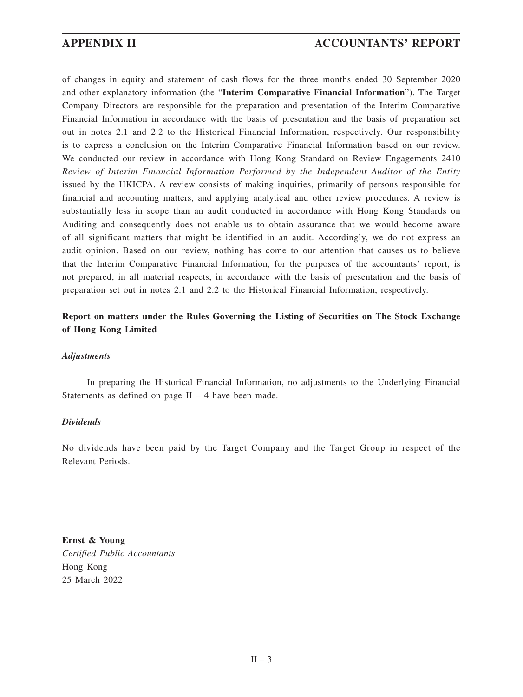of changes in equity and statement of cash flows for the three months ended 30 September 2020 and other explanatory information (the "**Interim Comparative Financial Information**"). The Target Company Directors are responsible for the preparation and presentation of the Interim Comparative Financial Information in accordance with the basis of presentation and the basis of preparation set out in notes 2.1 and 2.2 to the Historical Financial Information, respectively. Our responsibility is to express a conclusion on the Interim Comparative Financial Information based on our review. We conducted our review in accordance with Hong Kong Standard on Review Engagements 2410 *Review of Interim Financial Information Performed by the Independent Auditor of the Entity* issued by the HKICPA. A review consists of making inquiries, primarily of persons responsible for financial and accounting matters, and applying analytical and other review procedures. A review is substantially less in scope than an audit conducted in accordance with Hong Kong Standards on Auditing and consequently does not enable us to obtain assurance that we would become aware of all significant matters that might be identified in an audit. Accordingly, we do not express an audit opinion. Based on our review, nothing has come to our attention that causes us to believe that the Interim Comparative Financial Information, for the purposes of the accountants' report, is not prepared, in all material respects, in accordance with the basis of presentation and the basis of preparation set out in notes 2.1 and 2.2 to the Historical Financial Information, respectively.

# **Report on matters under the Rules Governing the Listing of Securities on The Stock Exchange of Hong Kong Limited**

# *Adjustments*

In preparing the Historical Financial Information, no adjustments to the Underlying Financial Statements as defined on page  $II - 4$  have been made.

# *Dividends*

No dividends have been paid by the Target Company and the Target Group in respect of the Relevant Periods.

**Ernst & Young** *Certified Public Accountants* Hong Kong 25 March 2022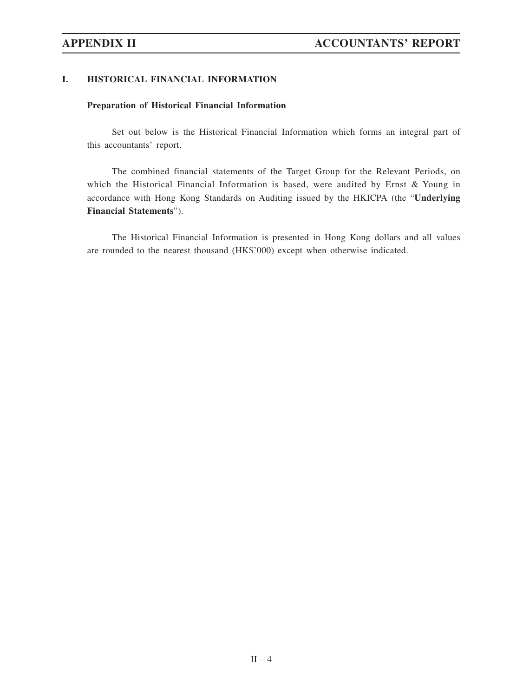# **I. HISTORICAL FINANCIAL INFORMATION**

# **Preparation of Historical Financial Information**

Set out below is the Historical Financial Information which forms an integral part of this accountants' report.

The combined financial statements of the Target Group for the Relevant Periods, on which the Historical Financial Information is based, were audited by Ernst & Young in accordance with Hong Kong Standards on Auditing issued by the HKICPA (the "**Underlying Financial Statements**").

The Historical Financial Information is presented in Hong Kong dollars and all values are rounded to the nearest thousand (HK\$'000) except when otherwise indicated.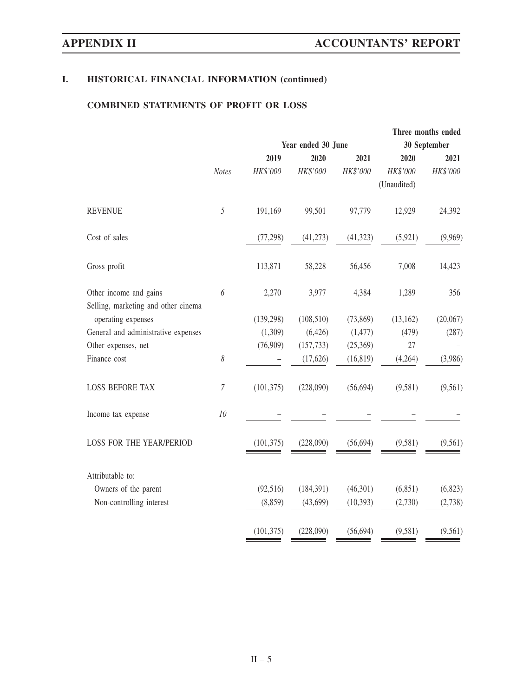# **COMBINED STATEMENTS OF PROFIT OR LOSS**

|                | Three months ended |            |              |                    |          |  |
|----------------|--------------------|------------|--------------|--------------------|----------|--|
|                |                    |            | 30 September |                    |          |  |
|                | 2019               | 2020       | 2021         | 2020               | 2021     |  |
| <b>Notes</b>   | HK\$'000           | HK\$'000   | HK\$'000     | HK\$'000           | HK\$'000 |  |
|                |                    |            |              | (Unaudited)        |          |  |
| 5              | 191,169            | 99,501     | 97,779       | 12,929             | 24,392   |  |
|                | (77, 298)          | (41, 273)  | (41, 323)    | (5,921)            | (9,969)  |  |
|                | 113,871            | 58,228     | 56,456       | 7,008              | 14,423   |  |
| 6              | 2,270              | 3,977      | 4,384        | 1,289              | 356      |  |
|                | (139, 298)         | (108, 510) | (73, 869)    | (13, 162)          | (20,067) |  |
|                | (1,309)            | (6,426)    | (1, 477)     | (479)              | (287)    |  |
|                | (76,909)           | (157, 733) | (25,369)     | 27                 |          |  |
| 8              |                    | (17,626)   | (16, 819)    | (4,264)            | (3,986)  |  |
| $\overline{7}$ | (101, 375)         | (228,090)  | (56, 694)    | (9,581)            | (9,561)  |  |
| 10             |                    |            |              |                    |          |  |
|                | (101, 375)         | (228,090)  | (56, 694)    | (9,581)            | (9, 561) |  |
|                |                    |            |              |                    |          |  |
|                | (92, 516)          | (184, 391) | (46,301)     | (6,851)            | (6, 823) |  |
|                | (8, 859)           | (43,699)   | (10, 393)    | (2,730)            | (2,738)  |  |
|                | (101, 375)         | (228,090)  | (56, 694)    | (9,581)            | (9, 561) |  |
|                |                    |            |              | Year ended 30 June |          |  |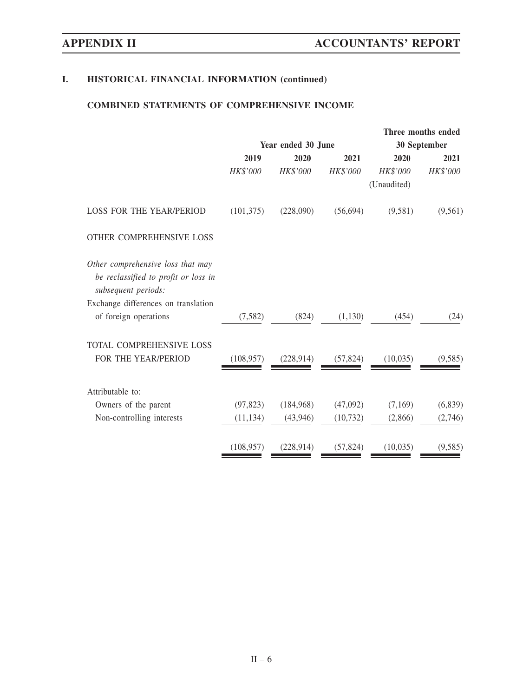# **COMBINED STATEMENTS OF COMPREHENSIVE INCOME**

|                                                             |            |                    |           |              | Three months ended |  |
|-------------------------------------------------------------|------------|--------------------|-----------|--------------|--------------------|--|
|                                                             |            | Year ended 30 June |           | 30 September |                    |  |
|                                                             | 2019       | 2020               | 2021      | 2020         | 2021               |  |
|                                                             | HK\$'000   | HK\$'000           | HK\$'000  | HK\$'000     | HK\$'000           |  |
|                                                             |            |                    |           | (Unaudited)  |                    |  |
| <b>LOSS FOR THE YEAR/PERIOD</b>                             | (101, 375) | (228,090)          | (56, 694) | (9,581)      | (9, 561)           |  |
| OTHER COMPREHENSIVE LOSS                                    |            |                    |           |              |                    |  |
| Other comprehensive loss that may                           |            |                    |           |              |                    |  |
| be reclassified to profit or loss in<br>subsequent periods: |            |                    |           |              |                    |  |
| Exchange differences on translation                         |            |                    |           |              |                    |  |
| of foreign operations                                       | (7, 582)   | (824)              | (1,130)   | (454)        | (24)               |  |
| TOTAL COMPREHENSIVE LOSS                                    |            |                    |           |              |                    |  |
| FOR THE YEAR/PERIOD                                         | (108, 957) | (228, 914)         | (57, 824) | (10,035)     | (9,585)            |  |
| Attributable to:                                            |            |                    |           |              |                    |  |
| Owners of the parent                                        | (97, 823)  | (184,968)          | (47,092)  | (7,169)      | (6,839)            |  |
| Non-controlling interests                                   | (11, 134)  | (43,946)           | (10, 732) | (2,866)      | (2,746)            |  |
|                                                             |            |                    |           |              |                    |  |
|                                                             | (108, 957) | (228, 914)         | (57, 824) | (10,035)     | (9, 585)           |  |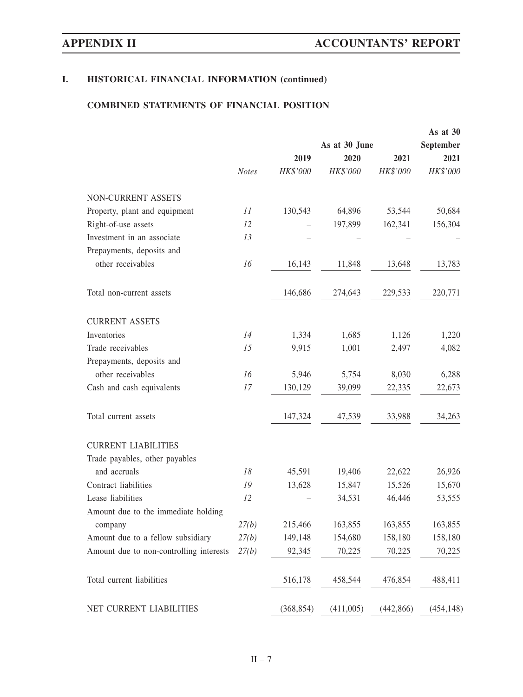# **COMBINED STATEMENTS OF FINANCIAL POSITION**

|                                         |              |            |               |            | As at 30   |  |
|-----------------------------------------|--------------|------------|---------------|------------|------------|--|
|                                         |              |            | As at 30 June |            | September  |  |
|                                         |              | 2019       | 2020          | 2021       | 2021       |  |
|                                         | <b>Notes</b> | HK\$'000   | HK\$'000      | HK\$'000   | HK\$'000   |  |
| NON-CURRENT ASSETS                      |              |            |               |            |            |  |
| Property, plant and equipment           | 11           | 130,543    | 64,896        | 53,544     | 50,684     |  |
| Right-of-use assets                     | 12           |            | 197,899       | 162,341    | 156,304    |  |
| Investment in an associate              | 13           |            |               |            |            |  |
| Prepayments, deposits and               |              |            |               |            |            |  |
| other receivables                       | 16           | 16,143     | 11,848        | 13,648     | 13,783     |  |
| Total non-current assets                |              | 146,686    | 274,643       | 229,533    | 220,771    |  |
| <b>CURRENT ASSETS</b>                   |              |            |               |            |            |  |
| Inventories                             | 14           | 1,334      | 1,685         | 1,126      | 1,220      |  |
| Trade receivables                       | 15           | 9,915      | 1,001         | 2,497      | 4,082      |  |
| Prepayments, deposits and               |              |            |               |            |            |  |
| other receivables                       | 16           | 5,946      | 5,754         | 8,030      | 6,288      |  |
| Cash and cash equivalents               | 17           | 130,129    | 39,099        | 22,335     | 22,673     |  |
| Total current assets                    |              | 147,324    | 47,539        | 33,988     | 34,263     |  |
| <b>CURRENT LIABILITIES</b>              |              |            |               |            |            |  |
| Trade payables, other payables          |              |            |               |            |            |  |
| and accruals                            | 18           | 45,591     | 19,406        | 22,622     | 26,926     |  |
| Contract liabilities                    | 19           | 13,628     | 15,847        | 15,526     | 15,670     |  |
| Lease liabilities                       | 12           |            | 34,531        | 46,446     | 53,555     |  |
| Amount due to the immediate holding     |              |            |               |            |            |  |
| company                                 | 27(b)        | 215,466    | 163,855       | 163,855    | 163,855    |  |
| Amount due to a fellow subsidiary       | 27(b)        | 149,148    | 154,680       | 158,180    | 158,180    |  |
| Amount due to non-controlling interests | 27(b)        | 92,345     | 70,225        | 70,225     | 70,225     |  |
| Total current liabilities               |              | 516,178    | 458,544       | 476,854    | 488,411    |  |
| NET CURRENT LIABILITIES                 |              | (368, 854) | (411,005)     | (442, 866) | (454, 148) |  |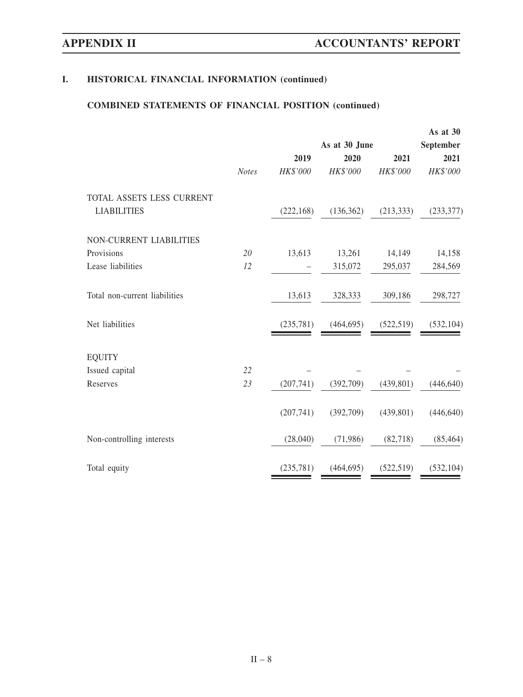# **COMBINED STATEMENTS OF FINANCIAL POSITION (continued)**

|                               |              |            |               |            | As at 30   |
|-------------------------------|--------------|------------|---------------|------------|------------|
|                               |              |            | As at 30 June |            | September  |
|                               |              | 2019       | 2020          | 2021       | 2021       |
|                               | <b>Notes</b> | HK\$'000   | HK\$'000      | HK\$'000   | HK\$'000   |
| TOTAL ASSETS LESS CURRENT     |              |            |               |            |            |
| <b>LIABILITIES</b>            |              | (222, 168) | (136, 362)    | (213, 333) | (233, 377) |
| NON-CURRENT LIABILITIES       |              |            |               |            |            |
| Provisions                    | 20           | 13,613     | 13,261        | 14,149     | 14,158     |
| Lease liabilities             | 12           |            | 315,072       | 295,037    | 284,569    |
| Total non-current liabilities |              | 13,613     | 328,333       | 309,186    | 298,727    |
| Net liabilities               |              | (235,781)  | (464, 695)    | (522, 519) | (532, 104) |
| <b>EQUITY</b>                 |              |            |               |            |            |
| Issued capital                | 22           |            |               |            |            |
| Reserves                      | 23           | (207,741)  | (392,709)     | (439, 801) | (446, 640) |
|                               |              | (207,741)  | (392,709)     | (439, 801) | (446, 640) |
| Non-controlling interests     |              | (28,040)   | (71,986)      | (82,718)   | (85, 464)  |
| Total equity                  |              | (235, 781) | (464, 695)    | (522, 519) | (532, 104) |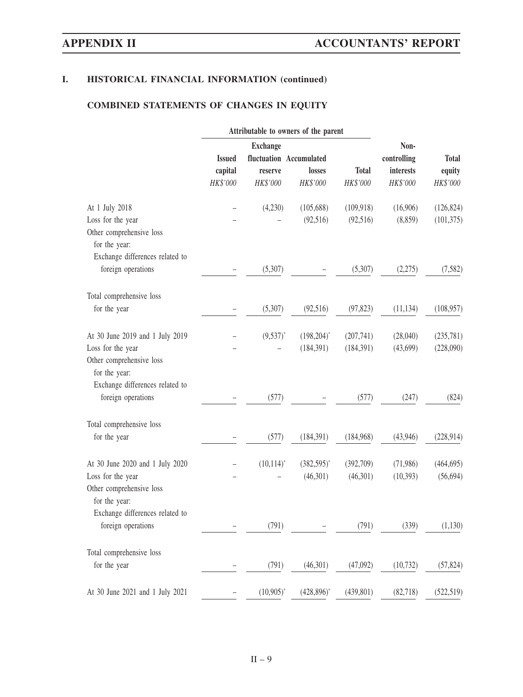# **COMBINED STATEMENTS OF CHANGES IN EQUITY**

|                                                                                                   |                                      | Attributable to owners of the parent   |                                               |                          |                                              |                                    |
|---------------------------------------------------------------------------------------------------|--------------------------------------|----------------------------------------|-----------------------------------------------|--------------------------|----------------------------------------------|------------------------------------|
|                                                                                                   | <b>Issued</b><br>capital<br>HK\$'000 | <b>Exchange</b><br>reserve<br>HK\$'000 | fluctuation Accumulated<br>losses<br>HK\$'000 | <b>Total</b><br>HK\$'000 | Non-<br>controlling<br>interests<br>HK\$'000 | <b>Total</b><br>equity<br>HK\$'000 |
| At 1 July 2018                                                                                    |                                      | (4,230)                                | (105, 688)                                    | (109, 918)               | (16,906)                                     | (126, 824)                         |
| Loss for the year<br>Other comprehensive loss<br>for the year:<br>Exchange differences related to |                                      |                                        | (92, 516)                                     | (92,516)                 | (8, 859)                                     | (101, 375)                         |
| foreign operations                                                                                |                                      | (5,307)                                |                                               | (5,307)                  | (2,275)                                      | (7, 582)                           |
| Total comprehensive loss                                                                          |                                      |                                        |                                               |                          |                                              |                                    |
| for the year                                                                                      |                                      | (5,307)                                | (92, 516)                                     | (97, 823)                | (11, 134)                                    | (108, 957)                         |
| At 30 June 2019 and 1 July 2019                                                                   |                                      | $(9,537)^*$                            | $(198,204)^*$                                 | (207,741)                | (28,040)                                     | (235,781)                          |
| Loss for the year<br>Other comprehensive loss<br>for the year:<br>Exchange differences related to |                                      |                                        | (184, 391)                                    | (184, 391)               | (43,699)                                     | (228,090)                          |
| foreign operations                                                                                |                                      | (577)                                  |                                               | (577)                    | (247)                                        | (824)                              |
| Total comprehensive loss                                                                          |                                      |                                        |                                               |                          |                                              |                                    |
| for the year                                                                                      |                                      | (577)                                  | (184, 391)                                    | (184,968)                | (43,946)                                     | (228, 914)                         |
| At 30 June 2020 and 1 July 2020                                                                   |                                      | $(10,114)^*$                           | $(382,595)^*$                                 | (392,709)                | (71,986)                                     | (464, 695)                         |
| Loss for the year<br>Other comprehensive loss<br>for the year:<br>Exchange differences related to |                                      |                                        | (46,301)                                      | (46,301)                 | (10, 393)                                    | (56, 694)                          |
| foreign operations                                                                                |                                      | (791)                                  |                                               | (791)                    | (339)                                        | (1,130)                            |
| Total comprehensive loss                                                                          |                                      |                                        |                                               |                          |                                              |                                    |
| for the year                                                                                      |                                      | (791)                                  | (46,301)                                      | (47,092)                 | (10, 732)                                    | (57, 824)                          |
| At 30 June 2021 and 1 July 2021                                                                   |                                      | $(10,905)^{*}$                         | $(428,896)^*$                                 | (439, 801)               | (82, 718)                                    | (522, 519)                         |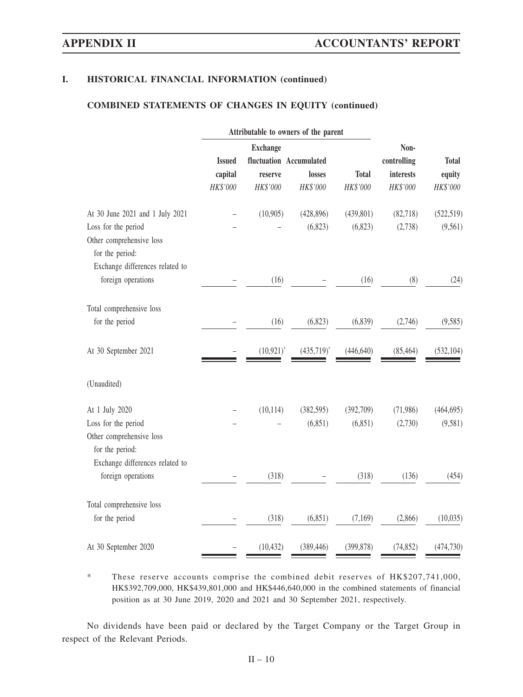# **COMBINED STATEMENTS OF CHANGES IN EQUITY (continued)**

|                                                                                                       |               | Attributable to owners of the parent |                         |              |             |              |
|-------------------------------------------------------------------------------------------------------|---------------|--------------------------------------|-------------------------|--------------|-------------|--------------|
|                                                                                                       |               | <b>Exchange</b>                      | Non-                    |              |             |              |
|                                                                                                       | <b>Issued</b> |                                      | fluctuation Accumulated |              | controlling | <b>Total</b> |
|                                                                                                       | capital       | reserve                              | losses                  | <b>Total</b> | interests   | equity       |
|                                                                                                       | HK\$'000      | HK\$'000                             | HK\$'000                | HK\$'000     | HK\$'000    | HK\$'000     |
| At 30 June 2021 and 1 July 2021                                                                       |               | (10,905)                             | (428, 896)              | (439, 801)   | (82,718)    | (522, 519)   |
| Loss for the period<br>Other comprehensive loss<br>for the period:<br>Exchange differences related to |               |                                      | (6, 823)                | (6,823)      | (2,738)     | (9, 561)     |
| foreign operations                                                                                    |               | (16)                                 |                         | (16)         | (8)         | (24)         |
| Total comprehensive loss                                                                              |               |                                      |                         |              |             |              |
| for the period                                                                                        |               | (16)                                 | (6, 823)                | (6,839)      | (2,746)     | (9, 585)     |
| At 30 September 2021                                                                                  |               | $(10, 921)^*$                        | $(435,719)^*$           | (446, 640)   | (85, 464)   | (532, 104)   |
| (Unaudited)                                                                                           |               |                                      |                         |              |             |              |
| At 1 July 2020                                                                                        |               | (10, 114)                            | (382, 595)              | (392,709)    | (71,986)    | (464, 695)   |
| Loss for the period<br>Other comprehensive loss<br>for the period:                                    |               |                                      | (6, 851)                | (6,851)      | (2,730)     | (9,581)      |
| Exchange differences related to<br>foreign operations                                                 |               | (318)                                |                         | (318)        | (136)       | (454)        |
| Total comprehensive loss                                                                              |               |                                      |                         |              |             |              |
| for the period                                                                                        |               | (318)                                | (6, 851)                | (7,169)      | (2,866)     | (10,035)     |
| At 30 September 2020                                                                                  |               | (10, 432)                            | (389, 446)              | (399, 878)   | (74, 852)   | (474, 730)   |

\* These reserve accounts comprise the combined debit reserves of HK\$207,741,000, HK\$392,709,000, HK\$439,801,000 and HK\$446,640,000 in the combined statements of financial position as at 30 June 2019, 2020 and 2021 and 30 September 2021, respectively.

No dividends have been paid or declared by the Target Company or the Target Group in respect of the Relevant Periods.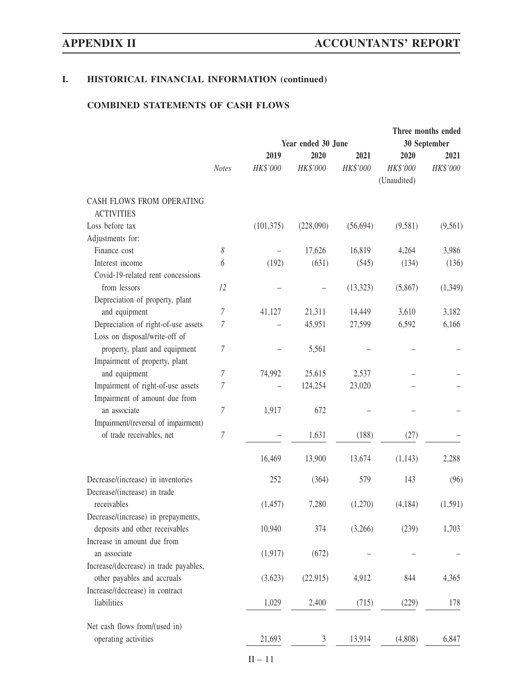# **COMBINED STATEMENTS OF CASH FLOWS**

|                                                                       |                  |                    |           |           |                         | Three months ended |  |
|-----------------------------------------------------------------------|------------------|--------------------|-----------|-----------|-------------------------|--------------------|--|
|                                                                       |                  | Year ended 30 June |           |           | 30 September            |                    |  |
|                                                                       |                  | 2019               | 2020      | 2021      | 2020                    | 2021               |  |
|                                                                       | <b>Notes</b>     | HK\$'000           | HK\$'000  | HK\$'000  | HK\$'000<br>(Unaudited) | HK\$'000           |  |
| CASH FLOWS FROM OPERATING<br><b>ACTIVITIES</b>                        |                  |                    |           |           |                         |                    |  |
| Loss before tax                                                       |                  | (101, 375)         | (228,090) | (56, 694) | (9,581)                 | (9, 561)           |  |
| Adjustments for:                                                      |                  |                    |           |           |                         |                    |  |
| Finance cost                                                          | 8                |                    | 17,626    | 16,819    | 4,264                   | 3,986              |  |
| Interest income                                                       | 6                | (192)              | (631)     | (545)     | (134)                   |                    |  |
| Covid-19-related rent concessions                                     |                  |                    |           |           |                         | (136)              |  |
| from lessors                                                          | 12               |                    |           |           |                         |                    |  |
|                                                                       |                  |                    |           | (13, 323) | (5,867)                 | (1, 349)           |  |
| Depreciation of property, plant                                       |                  |                    |           |           |                         |                    |  |
| and equipment                                                         | 7                | 41,127             | 21,311    | 14,449    | 3,610                   | 3,182              |  |
| Depreciation of right-of-use assets<br>Loss on disposal/write-off of  | 7                |                    | 45,951    | 27,599    | 6,592                   | 6,166              |  |
| property, plant and equipment                                         | 7                |                    | 5,561     |           |                         |                    |  |
| Impairment of property, plant                                         |                  |                    |           |           |                         |                    |  |
| and equipment                                                         | $\overline{7}$   | 74,992             | 25,615    | 2,537     |                         |                    |  |
| Impairment of right-of-use assets                                     | 7                |                    | 124,254   | 23,020    |                         |                    |  |
| Impairment of amount due from                                         |                  |                    |           |           |                         |                    |  |
| an associate                                                          | $\overline{7}$   | 1,917              | 672       |           |                         |                    |  |
| Impairment/(reversal of impairment)                                   |                  |                    |           |           |                         |                    |  |
| of trade receivables, net                                             | $\boldsymbol{7}$ |                    | 1,631     | (188)     | (27)                    |                    |  |
|                                                                       |                  | 16,469             | 13,900    | 13,674    | (1,143)                 | 2,288              |  |
| Decrease/(increase) in inventories                                    |                  | 252                | (364)     | 579       | 143                     | (96)               |  |
| Decrease/(increase) in trade<br>receivables                           |                  | (1, 457)           | 7,280     | (1,270)   | (4, 184)                | (1,591)            |  |
| Decrease/(increase) in prepayments,<br>deposits and other receivables |                  | 10,940             | 374       | (3,266)   | (239)                   | 1,703              |  |
| Increase in amount due from                                           |                  |                    |           |           |                         |                    |  |
| an associate<br>Increase/(decrease) in trade payables,                |                  | (1, 917)           | (672)     |           |                         |                    |  |
| other payables and accruals                                           |                  | (3,623)            | (22, 915) | 4,912     | 844                     | 4,365              |  |
| Increase/(decrease) in contract<br>liabilities                        |                  | 1,029              | 2,400     | (715)     | (229)                   | 178                |  |
|                                                                       |                  |                    |           |           |                         |                    |  |
| Net cash flows from/(used in)                                         |                  |                    |           |           |                         |                    |  |
| operating activities                                                  |                  | 21,693             | 3         | 13,914    | (4,808)                 | 6,847              |  |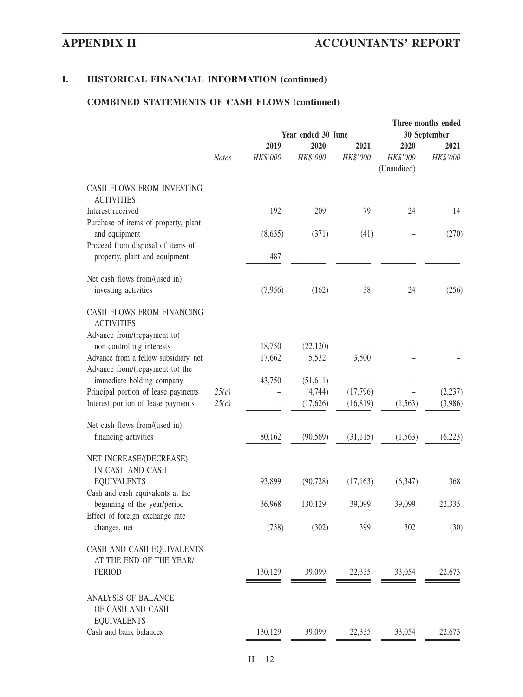# **COMBINED STATEMENTS OF CASH FLOWS (continued)**

|                                                                               |                    |                  |                  |                  | Three months ended              |                  |
|-------------------------------------------------------------------------------|--------------------|------------------|------------------|------------------|---------------------------------|------------------|
|                                                                               | Year ended 30 June |                  |                  | 30 September     |                                 |                  |
|                                                                               | <b>Notes</b>       | 2019<br>HK\$'000 | 2020<br>HK\$'000 | 2021<br>HK\$'000 | 2020<br>HK\$'000<br>(Unaudited) | 2021<br>HK\$'000 |
| CASH FLOWS FROM INVESTING<br><b>ACTIVITIES</b>                                |                    |                  |                  |                  |                                 |                  |
| Interest received<br>Purchase of items of property, plant                     |                    | 192              | 209              | 79               | 24                              | 14               |
| and equipment<br>Proceed from disposal of items of                            |                    | (8,635)          | (371)            | (41)             |                                 | (270)            |
| property, plant and equipment                                                 |                    | 487              |                  |                  |                                 |                  |
| Net cash flows from/(used in)<br>investing activities                         |                    | (7,956)          | (162)            | 38               | 24                              | (256)            |
| CASH FLOWS FROM FINANCING<br><b>ACTIVITIES</b><br>Advance from/(repayment to) |                    |                  |                  |                  |                                 |                  |
| non-controlling interests                                                     |                    | 18,750           | (22, 120)        |                  |                                 |                  |
| Advance from a fellow subsidiary, net<br>Advance from/(repayment to) the      |                    | 17,662           | 5,532            | 3,500            |                                 |                  |
| immediate holding company                                                     |                    | 43,750           | (51, 611)        |                  |                                 |                  |
| Principal portion of lease payments                                           | 25(c)              |                  | (4,744)          | (17,796)         |                                 | (2, 237)         |
| Interest portion of lease payments                                            | 25(c)              |                  | (17,626)         | (16, 819)        | (1, 563)                        | (3,986)          |
| Net cash flows from/(used in)<br>financing activities                         |                    | 80,162           | (90, 569)        | (31, 115)        | (1, 563)                        | (6,223)          |
|                                                                               |                    |                  |                  |                  |                                 |                  |
| NET INCREASE/(DECREASE)                                                       |                    |                  |                  |                  |                                 |                  |
| IN CASH AND CASH<br><b>EQUIVALENTS</b><br>Cash and cash equivalents at the    |                    | 93,899           | (90, 728)        | (17, 163)        | (6,347)                         | 368              |
| beginning of the year/period<br>Effect of foreign exchange rate               |                    | 36,968           | 130,129          | 39,099           | 39,099                          | 22,335           |
| changes, net                                                                  |                    | (738)            | (302)            | 399              | 302                             | (30)             |
| CASH AND CASH EQUIVALENTS<br>AT THE END OF THE YEAR/                          |                    |                  |                  |                  |                                 |                  |
| <b>PERIOD</b>                                                                 |                    | 130,129          | 39,099           | 22,335           | 33,054                          | 22,673           |
| ANALYSIS OF BALANCE<br>OF CASH AND CASH<br><b>EQUIVALENTS</b>                 |                    |                  |                  |                  |                                 |                  |
| Cash and bank balances                                                        |                    | 130,129          | 39,099           | 22,335           | 33,054                          | 22,673           |
|                                                                               |                    |                  |                  |                  |                                 |                  |

II – 12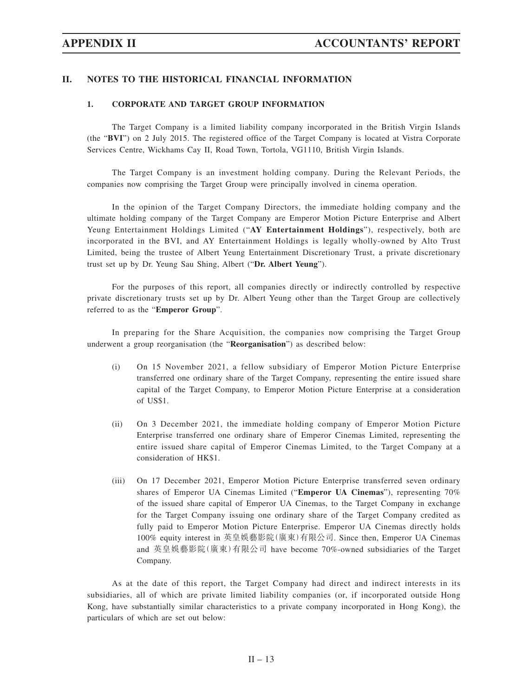# **II. NOTES TO THE HISTORICAL FINANCIAL INFORMATION**

# **1. CORPORATE AND TARGET GROUP INFORMATION**

The Target Company is a limited liability company incorporated in the British Virgin Islands (the "**BVI**") on 2 July 2015. The registered office of the Target Company is located at Vistra Corporate Services Centre, Wickhams Cay II, Road Town, Tortola, VG1110, British Virgin Islands.

The Target Company is an investment holding company. During the Relevant Periods, the companies now comprising the Target Group were principally involved in cinema operation.

In the opinion of the Target Company Directors, the immediate holding company and the ultimate holding company of the Target Company are Emperor Motion Picture Enterprise and Albert Yeung Entertainment Holdings Limited ("**AY Entertainment Holdings**"), respectively, both are incorporated in the BVI, and AY Entertainment Holdings is legally wholly-owned by Alto Trust Limited, being the trustee of Albert Yeung Entertainment Discretionary Trust, a private discretionary trust set up by Dr. Yeung Sau Shing, Albert ("**Dr. Albert Yeung**").

For the purposes of this report, all companies directly or indirectly controlled by respective private discretionary trusts set up by Dr. Albert Yeung other than the Target Group are collectively referred to as the "**Emperor Group**".

In preparing for the Share Acquisition, the companies now comprising the Target Group underwent a group reorganisation (the "**Reorganisation**") as described below:

- (i) On 15 November 2021, a fellow subsidiary of Emperor Motion Picture Enterprise transferred one ordinary share of the Target Company, representing the entire issued share capital of the Target Company, to Emperor Motion Picture Enterprise at a consideration of US\$1.
- (ii) On 3 December 2021, the immediate holding company of Emperor Motion Picture Enterprise transferred one ordinary share of Emperor Cinemas Limited, representing the entire issued share capital of Emperor Cinemas Limited, to the Target Company at a consideration of HK\$1.
- (iii) On 17 December 2021, Emperor Motion Picture Enterprise transferred seven ordinary shares of Emperor UA Cinemas Limited ("**Emperor UA Cinemas**"), representing 70% of the issued share capital of Emperor UA Cinemas, to the Target Company in exchange for the Target Company issuing one ordinary share of the Target Company credited as fully paid to Emperor Motion Picture Enterprise. Emperor UA Cinemas directly holds 100% equity interest in 英皇娛藝影院(廣東)有限公司. Since then, Emperor UA Cinemas and 英皇娛藝影院(廣東)有限公司 have become 70%-owned subsidiaries of the Target Company.

As at the date of this report, the Target Company had direct and indirect interests in its subsidiaries, all of which are private limited liability companies (or, if incorporated outside Hong Kong, have substantially similar characteristics to a private company incorporated in Hong Kong), the particulars of which are set out below: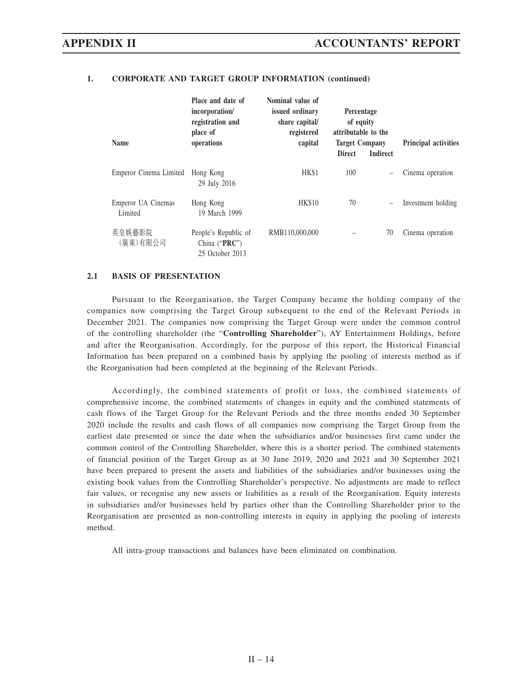| <b>Name</b>                   | Place and date of<br>incorporation/<br>registration and<br>place of<br>operations | Nominal value of<br>issued ordinary<br>share capital/<br>registered<br>capital | Percentage<br>of equity<br>attributable to the<br><b>Target Company</b><br><b>Direct</b> | <b>Indirect</b> | <b>Principal activities</b> |
|-------------------------------|-----------------------------------------------------------------------------------|--------------------------------------------------------------------------------|------------------------------------------------------------------------------------------|-----------------|-----------------------------|
| Emperor Cinema Limited        | Hong Kong<br>29 July 2016                                                         | HK\$1                                                                          | 100                                                                                      |                 | Cinema operation            |
| Emperor UA Cinemas<br>Limited | Hong Kong<br>19 March 1999                                                        | <b>HK\$10</b>                                                                  | 70                                                                                       |                 | Investment holding          |
| 英皇娛藝影院<br>(廣東)有限公司            | People's Republic of<br>China (" $PRC$ ")<br>25 October 2013                      | RMB110,000,000                                                                 |                                                                                          | 70              | Cinema operation            |

## **1. CORPORATE AND TARGET GROUP INFORMATION (continued)**

## **2.1 BASIS OF PRESENTATION**

Pursuant to the Reorganisation, the Target Company became the holding company of the companies now comprising the Target Group subsequent to the end of the Relevant Periods in December 2021. The companies now comprising the Target Group were under the common control of the controlling shareholder (the "**Controlling Shareholder**"), AY Entertainment Holdings, before and after the Reorganisation. Accordingly, for the purpose of this report, the Historical Financial Information has been prepared on a combined basis by applying the pooling of interests method as if the Reorganisation had been completed at the beginning of the Relevant Periods.

Accordingly, the combined statements of profit or loss, the combined statements of comprehensive income, the combined statements of changes in equity and the combined statements of cash flows of the Target Group for the Relevant Periods and the three months ended 30 September 2020 include the results and cash flows of all companies now comprising the Target Group from the earliest date presented or since the date when the subsidiaries and/or businesses first came under the common control of the Controlling Shareholder, where this is a shorter period. The combined statements of financial position of the Target Group as at 30 June 2019, 2020 and 2021 and 30 September 2021 have been prepared to present the assets and liabilities of the subsidiaries and/or businesses using the existing book values from the Controlling Shareholder's perspective. No adjustments are made to reflect fair values, or recognise any new assets or liabilities as a result of the Reorganisation. Equity interests in subsidiaries and/or businesses held by parties other than the Controlling Shareholder prior to the Reorganisation are presented as non-controlling interests in equity in applying the pooling of interests method.

All intra-group transactions and balances have been eliminated on combination.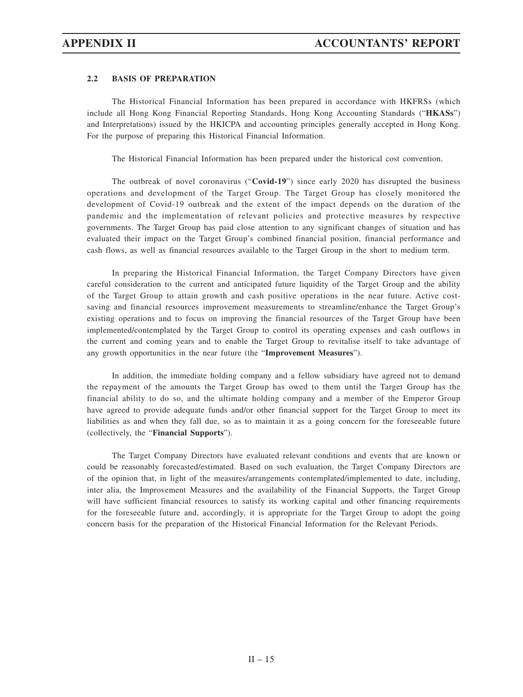# **2.2 BASIS OF PREPARATION**

The Historical Financial Information has been prepared in accordance with HKFRSs (which include all Hong Kong Financial Reporting Standards, Hong Kong Accounting Standards ("**HKASs**") and Interpretations) issued by the HKICPA and accounting principles generally accepted in Hong Kong. For the purpose of preparing this Historical Financial Information.

The Historical Financial Information has been prepared under the historical cost convention.

The outbreak of novel coronavirus ("**Covid-19**") since early 2020 has disrupted the business operations and development of the Target Group. The Target Group has closely monitored the development of Covid-19 outbreak and the extent of the impact depends on the duration of the pandemic and the implementation of relevant policies and protective measures by respective governments. The Target Group has paid close attention to any significant changes of situation and has evaluated their impact on the Target Group's combined financial position, financial performance and cash flows, as well as financial resources available to the Target Group in the short to medium term.

In preparing the Historical Financial Information, the Target Company Directors have given careful consideration to the current and anticipated future liquidity of the Target Group and the ability of the Target Group to attain growth and cash positive operations in the near future. Active costsaving and financial resources improvement measurements to streamline/enhance the Target Group's existing operations and to focus on improving the financial resources of the Target Group have been implemented/contemplated by the Target Group to control its operating expenses and cash outflows in the current and coming years and to enable the Target Group to revitalise itself to take advantage of any growth opportunities in the near future (the "**Improvement Measures**").

In addition, the immediate holding company and a fellow subsidiary have agreed not to demand the repayment of the amounts the Target Group has owed to them until the Target Group has the financial ability to do so, and the ultimate holding company and a member of the Emperor Group have agreed to provide adequate funds and/or other financial support for the Target Group to meet its liabilities as and when they fall due, so as to maintain it as a going concern for the foreseeable future (collectively, the "**Financial Supports**").

The Target Company Directors have evaluated relevant conditions and events that are known or could be reasonably forecasted/estimated. Based on such evaluation, the Target Company Directors are of the opinion that, in light of the measures/arrangements contemplated/implemented to date, including, inter alia, the Improvement Measures and the availability of the Financial Supports, the Target Group will have sufficient financial resources to satisfy its working capital and other financing requirements for the foreseeable future and, accordingly, it is appropriate for the Target Group to adopt the going concern basis for the preparation of the Historical Financial Information for the Relevant Periods.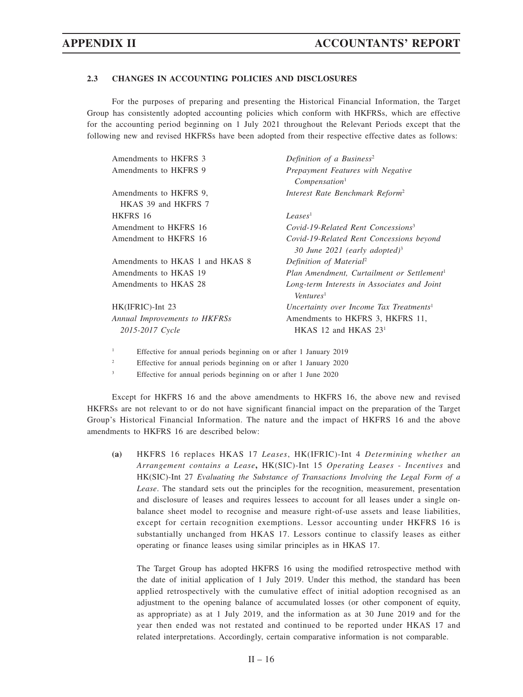## **2.3 CHANGES IN ACCOUNTING POLICIES AND DISCLOSURES**

For the purposes of preparing and presenting the Historical Financial Information, the Target Group has consistently adopted accounting policies which conform with HKFRSs, which are effective for the accounting period beginning on 1 July 2021 throughout the Relevant Periods except that the following new and revised HKFRSs have been adopted from their respective effective dates as follows:

| Definition of a Business <sup>2</sup>                                                 |
|---------------------------------------------------------------------------------------|
| Prepayment Features with Negative<br>Compensation <sup>1</sup>                        |
| Interest Rate Benchmark Reform <sup>2</sup>                                           |
|                                                                                       |
| Leases <sup>1</sup>                                                                   |
| Covid-19-Related Rent Concessions <sup>3</sup>                                        |
| Covid-19-Related Rent Concessions beyond<br>30 June 2021 (early adopted) <sup>3</sup> |
| Definition of Material <sup>2</sup>                                                   |
| Plan Amendment, Curtailment or Settlement <sup>1</sup>                                |
| Long-term Interests in Associates and Joint<br>Ventures <sup>1</sup>                  |
| Uncertainty over Income Tax Treatments <sup>1</sup>                                   |
| Amendments to HKFRS 3, HKFRS 11,                                                      |
| $HKAS$ 12 and $HKAS$ 23 <sup>1</sup>                                                  |
|                                                                                       |

- 1 Effective for annual periods beginning on or after 1 January 2019
- 2 Effective for annual periods beginning on or after 1 January 2020
- 3 Effective for annual periods beginning on or after 1 June 2020

Except for HKFRS 16 and the above amendments to HKFRS 16, the above new and revised HKFRSs are not relevant to or do not have significant financial impact on the preparation of the Target Group's Historical Financial Information. The nature and the impact of HKFRS 16 and the above amendments to HKFRS 16 are described below:

**(a)** HKFRS 16 replaces HKAS 17 *Leases*, HK(IFRIC)-Int 4 *Determining whether an Arrangement contains a Lease***,** HK(SIC)-Int 15 *Operating Leases* - *Incentives* and HK(SIC)-Int 27 *Evaluating the Substance of Transactions Involving the Legal Form of a Lease*. The standard sets out the principles for the recognition, measurement, presentation and disclosure of leases and requires lessees to account for all leases under a single onbalance sheet model to recognise and measure right-of-use assets and lease liabilities, except for certain recognition exemptions. Lessor accounting under HKFRS 16 is substantially unchanged from HKAS 17. Lessors continue to classify leases as either operating or finance leases using similar principles as in HKAS 17.

The Target Group has adopted HKFRS 16 using the modified retrospective method with the date of initial application of 1 July 2019. Under this method, the standard has been applied retrospectively with the cumulative effect of initial adoption recognised as an adjustment to the opening balance of accumulated losses (or other component of equity, as appropriate) as at 1 July 2019, and the information as at 30 June 2019 and for the year then ended was not restated and continued to be reported under HKAS 17 and related interpretations. Accordingly, certain comparative information is not comparable.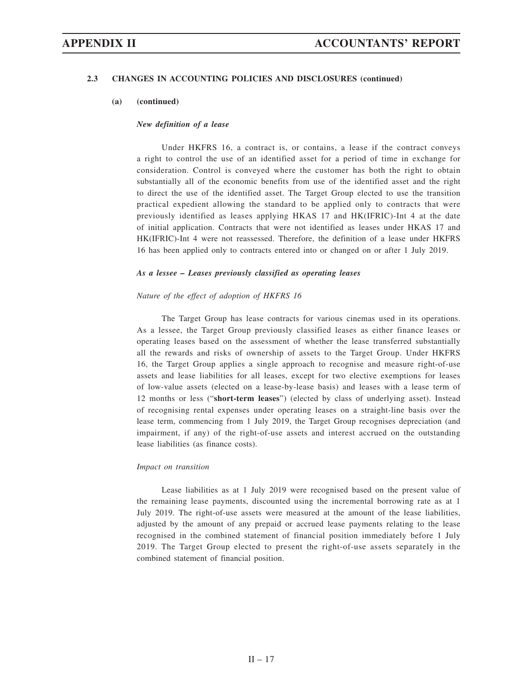## **2.3 CHANGES IN ACCOUNTING POLICIES AND DISCLOSURES (continued)**

#### **(a) (continued)**

### *New definition of a lease*

Under HKFRS 16, a contract is, or contains, a lease if the contract conveys a right to control the use of an identified asset for a period of time in exchange for consideration. Control is conveyed where the customer has both the right to obtain substantially all of the economic benefits from use of the identified asset and the right to direct the use of the identified asset. The Target Group elected to use the transition practical expedient allowing the standard to be applied only to contracts that were previously identified as leases applying HKAS 17 and HK(IFRIC)-Int 4 at the date of initial application. Contracts that were not identified as leases under HKAS 17 and HK(IFRIC)-Int 4 were not reassessed. Therefore, the definition of a lease under HKFRS 16 has been applied only to contracts entered into or changed on or after 1 July 2019.

#### *As a lessee – Leases previously classified as operating leases*

### *Nature of the effect of adoption of HKFRS 16*

The Target Group has lease contracts for various cinemas used in its operations. As a lessee, the Target Group previously classified leases as either finance leases or operating leases based on the assessment of whether the lease transferred substantially all the rewards and risks of ownership of assets to the Target Group. Under HKFRS 16, the Target Group applies a single approach to recognise and measure right-of-use assets and lease liabilities for all leases, except for two elective exemptions for leases of low-value assets (elected on a lease-by-lease basis) and leases with a lease term of 12 months or less ("**short-term leases**") (elected by class of underlying asset). Instead of recognising rental expenses under operating leases on a straight-line basis over the lease term, commencing from 1 July 2019, the Target Group recognises depreciation (and impairment, if any) of the right-of-use assets and interest accrued on the outstanding lease liabilities (as finance costs).

#### *Impact on transition*

Lease liabilities as at 1 July 2019 were recognised based on the present value of the remaining lease payments, discounted using the incremental borrowing rate as at 1 July 2019. The right-of-use assets were measured at the amount of the lease liabilities, adjusted by the amount of any prepaid or accrued lease payments relating to the lease recognised in the combined statement of financial position immediately before 1 July 2019. The Target Group elected to present the right-of-use assets separately in the combined statement of financial position.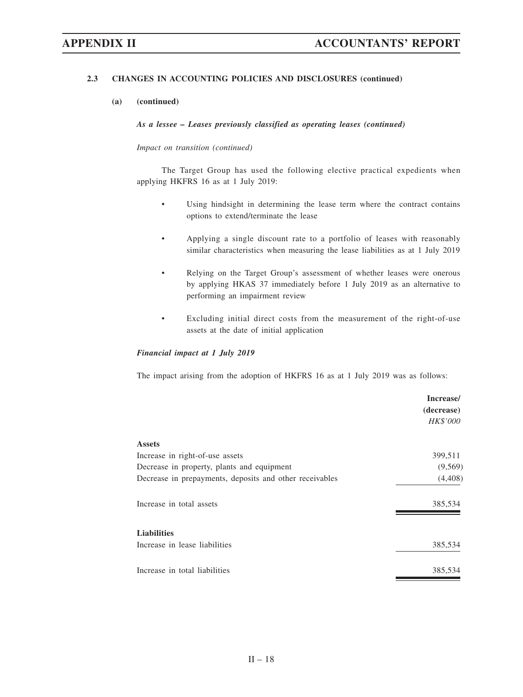# **2.3 CHANGES IN ACCOUNTING POLICIES AND DISCLOSURES (continued)**

### **(a) (continued)**

*As a lessee – Leases previously classified as operating leases (continued)*

## *Impact on transition (continued)*

The Target Group has used the following elective practical expedients when applying HKFRS 16 as at 1 July 2019:

- Using hindsight in determining the lease term where the contract contains options to extend/terminate the lease
- Applying a single discount rate to a portfolio of leases with reasonably similar characteristics when measuring the lease liabilities as at 1 July 2019
- Relying on the Target Group's assessment of whether leases were onerous by applying HKAS 37 immediately before 1 July 2019 as an alternative to performing an impairment review
- Excluding initial direct costs from the measurement of the right-of-use assets at the date of initial application

### *Financial impact at 1 July 2019*

The impact arising from the adoption of HKFRS 16 as at 1 July 2019 was as follows:

|                                                         | Increase/  |
|---------------------------------------------------------|------------|
|                                                         | (decrease) |
|                                                         | HK\$'000   |
| <b>Assets</b>                                           |            |
| Increase in right-of-use assets                         | 399,511    |
| Decrease in property, plants and equipment              | (9, 569)   |
| Decrease in prepayments, deposits and other receivables | (4,408)    |
| Increase in total assets                                | 385,534    |
| <b>Liabilities</b>                                      |            |
| Increase in lease liabilities                           | 385,534    |
| Increase in total liabilities                           | 385,534    |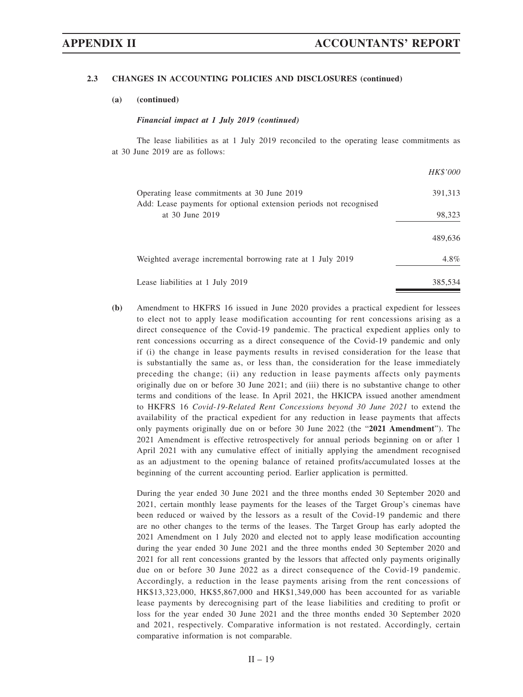## **2.3 CHANGES IN ACCOUNTING POLICIES AND DISCLOSURES (continued)**

## **(a) (continued)**

### *Financial impact at 1 July 2019 (continued)*

The lease liabilities as at 1 July 2019 reconciled to the operating lease commitments as at 30 June 2019 are as follows:

|                                                                                                                  | HK\$'000 |
|------------------------------------------------------------------------------------------------------------------|----------|
| Operating lease commitments at 30 June 2019<br>Add: Lease payments for optional extension periods not recognised | 391,313  |
| at 30 June 2019                                                                                                  | 98,323   |
|                                                                                                                  | 489,636  |
| Weighted average incremental borrowing rate at 1 July 2019                                                       | $4.8\%$  |
| Lease liabilities at 1 July 2019                                                                                 | 385,534  |

**(b)** Amendment to HKFRS 16 issued in June 2020 provides a practical expedient for lessees to elect not to apply lease modification accounting for rent concessions arising as a direct consequence of the Covid-19 pandemic. The practical expedient applies only to rent concessions occurring as a direct consequence of the Covid-19 pandemic and only if (i) the change in lease payments results in revised consideration for the lease that is substantially the same as, or less than, the consideration for the lease immediately preceding the change; (ii) any reduction in lease payments affects only payments originally due on or before 30 June 2021; and (iii) there is no substantive change to other terms and conditions of the lease. In April 2021, the HKICPA issued another amendment to HKFRS 16 *Covid-19-Related Rent Concessions beyond 30 June 2021* to extend the availability of the practical expedient for any reduction in lease payments that affects only payments originally due on or before 30 June 2022 (the "**2021 Amendment**"). The 2021 Amendment is effective retrospectively for annual periods beginning on or after 1 April 2021 with any cumulative effect of initially applying the amendment recognised as an adjustment to the opening balance of retained profits/accumulated losses at the beginning of the current accounting period. Earlier application is permitted.

 During the year ended 30 June 2021 and the three months ended 30 September 2020 and 2021, certain monthly lease payments for the leases of the Target Group's cinemas have been reduced or waived by the lessors as a result of the Covid-19 pandemic and there are no other changes to the terms of the leases. The Target Group has early adopted the 2021 Amendment on 1 July 2020 and elected not to apply lease modification accounting during the year ended 30 June 2021 and the three months ended 30 September 2020 and 2021 for all rent concessions granted by the lessors that affected only payments originally due on or before 30 June 2022 as a direct consequence of the Covid-19 pandemic. Accordingly, a reduction in the lease payments arising from the rent concessions of HK\$13,323,000, HK\$5,867,000 and HK\$1,349,000 has been accounted for as variable lease payments by derecognising part of the lease liabilities and crediting to profit or loss for the year ended 30 June 2021 and the three months ended 30 September 2020 and 2021, respectively. Comparative information is not restated. Accordingly, certain comparative information is not comparable.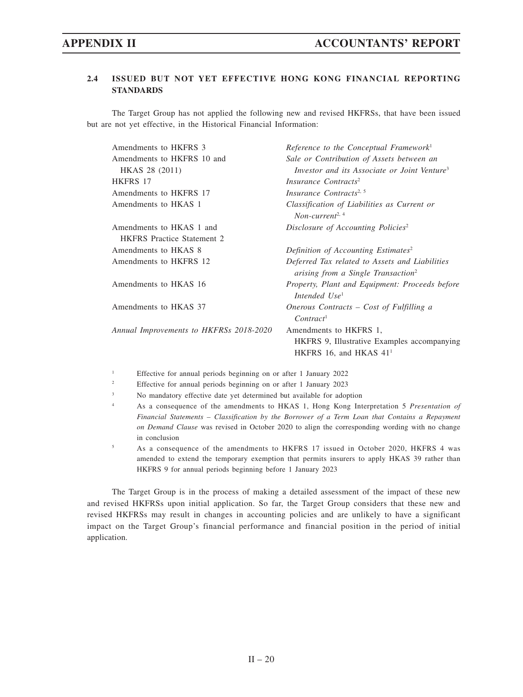# **2.4 ISSUED BUT NOT YET EFFECTIVE HONG KONG FINANCIAL REPORTING STANDARDS**

The Target Group has not applied the following new and revised HKFRSs, that have been issued but are not yet effective, in the Historical Financial Information:

| Amendments to HKFRS 3                   | Reference to the Conceptual Framework <sup>1</sup>                                                          |
|-----------------------------------------|-------------------------------------------------------------------------------------------------------------|
| Amendments to HKFRS 10 and              | Sale or Contribution of Assets between an                                                                   |
| HKAS 28 (2011)                          | Investor and its Associate or Joint Venture <sup>3</sup>                                                    |
| HKFRS 17                                | Insurance Contracts <sup>2</sup>                                                                            |
| Amendments to HKFRS 17                  | Insurance Contracts <sup>2, 5</sup>                                                                         |
| Amendments to HKAS 1                    | Classification of Liabilities as Current or<br>Non-current <sup>2, 4</sup>                                  |
| Amendments to HKAS 1 and                | Disclosure of Accounting Policies <sup>2</sup>                                                              |
| <b>HKFRS</b> Practice Statement 2       |                                                                                                             |
| Amendments to HKAS 8                    | Definition of Accounting Estimates <sup>2</sup>                                                             |
| Amendments to HKFRS 12                  | Deferred Tax related to Assets and Liabilities<br>arising from a Single Transaction <sup>2</sup>            |
| Amendments to HKAS 16                   | Property, Plant and Equipment: Proceeds before<br>Intended Use <sup>1</sup>                                 |
| Amendments to HKAS 37                   | Onerous Contracts - Cost of Fulfilling a<br>Contract <sup>1</sup>                                           |
| Annual Improvements to HKFRSs 2018-2020 | Amendments to HKFRS 1,<br>HKFRS 9, Illustrative Examples accompanying<br>HKFRS 16, and HKAS 41 <sup>1</sup> |
|                                         |                                                                                                             |

- 1 Effective for annual periods beginning on or after 1 January 2022
- 2 Effective for annual periods beginning on or after 1 January 2023
- 3 No mandatory effective date yet determined but available for adoption
- 4 As a consequence of the amendments to HKAS 1, Hong Kong Interpretation 5 *Presentation of Financial Statements – Classification by the Borrower of a Term Loan that Contains a Repayment on Demand Clause* was revised in October 2020 to align the corresponding wording with no change in conclusion
- 5 As a consequence of the amendments to HKFRS 17 issued in October 2020, HKFRS 4 was amended to extend the temporary exemption that permits insurers to apply HKAS 39 rather than HKFRS 9 for annual periods beginning before 1 January 2023

The Target Group is in the process of making a detailed assessment of the impact of these new and revised HKFRSs upon initial application. So far, the Target Group considers that these new and revised HKFRSs may result in changes in accounting policies and are unlikely to have a significant impact on the Target Group's financial performance and financial position in the period of initial application.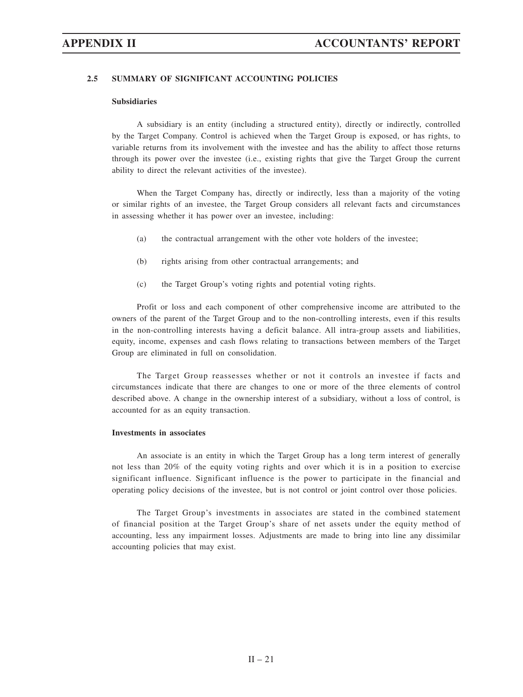# **2.5 SUMMARY OF SIGNIFICANT ACCOUNTING POLICIES**

### **Subsidiaries**

A subsidiary is an entity (including a structured entity), directly or indirectly, controlled by the Target Company. Control is achieved when the Target Group is exposed, or has rights, to variable returns from its involvement with the investee and has the ability to affect those returns through its power over the investee (i.e., existing rights that give the Target Group the current ability to direct the relevant activities of the investee).

When the Target Company has, directly or indirectly, less than a majority of the voting or similar rights of an investee, the Target Group considers all relevant facts and circumstances in assessing whether it has power over an investee, including:

- (a) the contractual arrangement with the other vote holders of the investee;
- (b) rights arising from other contractual arrangements; and
- (c) the Target Group's voting rights and potential voting rights.

Profit or loss and each component of other comprehensive income are attributed to the owners of the parent of the Target Group and to the non-controlling interests, even if this results in the non-controlling interests having a deficit balance. All intra-group assets and liabilities, equity, income, expenses and cash flows relating to transactions between members of the Target Group are eliminated in full on consolidation.

The Target Group reassesses whether or not it controls an investee if facts and circumstances indicate that there are changes to one or more of the three elements of control described above. A change in the ownership interest of a subsidiary, without a loss of control, is accounted for as an equity transaction.

#### **Investments in associates**

An associate is an entity in which the Target Group has a long term interest of generally not less than 20% of the equity voting rights and over which it is in a position to exercise significant influence. Significant influence is the power to participate in the financial and operating policy decisions of the investee, but is not control or joint control over those policies.

The Target Group's investments in associates are stated in the combined statement of financial position at the Target Group's share of net assets under the equity method of accounting, less any impairment losses. Adjustments are made to bring into line any dissimilar accounting policies that may exist.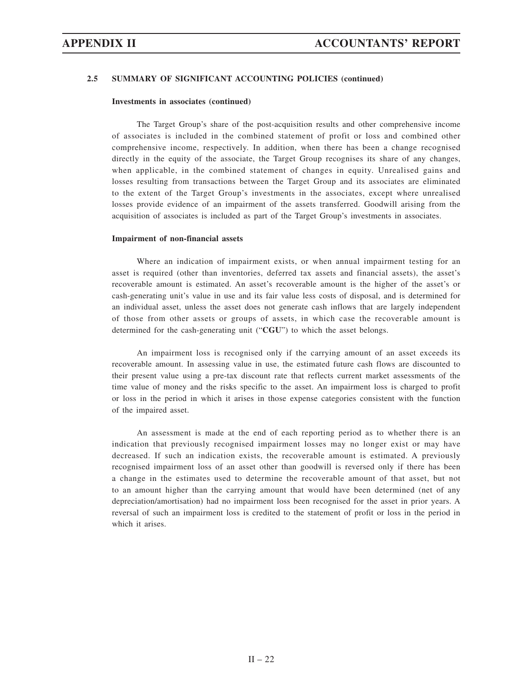### **Investments in associates (continued)**

The Target Group's share of the post-acquisition results and other comprehensive income of associates is included in the combined statement of profit or loss and combined other comprehensive income, respectively. In addition, when there has been a change recognised directly in the equity of the associate, the Target Group recognises its share of any changes, when applicable, in the combined statement of changes in equity. Unrealised gains and losses resulting from transactions between the Target Group and its associates are eliminated to the extent of the Target Group's investments in the associates, except where unrealised losses provide evidence of an impairment of the assets transferred. Goodwill arising from the acquisition of associates is included as part of the Target Group's investments in associates.

### **Impairment of non-financial assets**

Where an indication of impairment exists, or when annual impairment testing for an asset is required (other than inventories, deferred tax assets and financial assets), the asset's recoverable amount is estimated. An asset's recoverable amount is the higher of the asset's or cash-generating unit's value in use and its fair value less costs of disposal, and is determined for an individual asset, unless the asset does not generate cash inflows that are largely independent of those from other assets or groups of assets, in which case the recoverable amount is determined for the cash-generating unit ("**CGU**") to which the asset belongs.

An impairment loss is recognised only if the carrying amount of an asset exceeds its recoverable amount. In assessing value in use, the estimated future cash flows are discounted to their present value using a pre-tax discount rate that reflects current market assessments of the time value of money and the risks specific to the asset. An impairment loss is charged to profit or loss in the period in which it arises in those expense categories consistent with the function of the impaired asset.

An assessment is made at the end of each reporting period as to whether there is an indication that previously recognised impairment losses may no longer exist or may have decreased. If such an indication exists, the recoverable amount is estimated. A previously recognised impairment loss of an asset other than goodwill is reversed only if there has been a change in the estimates used to determine the recoverable amount of that asset, but not to an amount higher than the carrying amount that would have been determined (net of any depreciation/amortisation) had no impairment loss been recognised for the asset in prior years. A reversal of such an impairment loss is credited to the statement of profit or loss in the period in which it arises.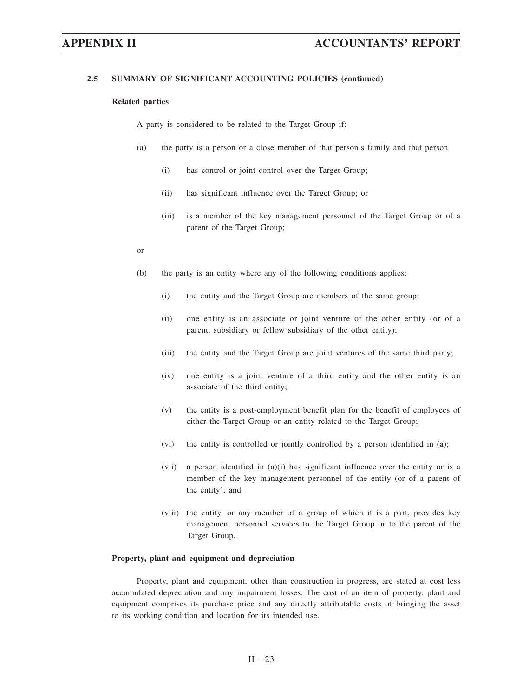### **Related parties**

A party is considered to be related to the Target Group if:

- (a) the party is a person or a close member of that person's family and that person
	- (i) has control or joint control over the Target Group;
	- (ii) has significant influence over the Target Group; or
	- (iii) is a member of the key management personnel of the Target Group or of a parent of the Target Group;
- or
- (b) the party is an entity where any of the following conditions applies:
	- (i) the entity and the Target Group are members of the same group;
	- (ii) one entity is an associate or joint venture of the other entity (or of a parent, subsidiary or fellow subsidiary of the other entity);
	- (iii) the entity and the Target Group are joint ventures of the same third party;
	- (iv) one entity is a joint venture of a third entity and the other entity is an associate of the third entity;
	- (v) the entity is a post-employment benefit plan for the benefit of employees of either the Target Group or an entity related to the Target Group;
	- (vi) the entity is controlled or jointly controlled by a person identified in (a);
	- (vii) a person identified in  $(a)(i)$  has significant influence over the entity or is a member of the key management personnel of the entity (or of a parent of the entity); and
	- (viii) the entity, or any member of a group of which it is a part, provides key management personnel services to the Target Group or to the parent of the Target Group.

### **Property, plant and equipment and depreciation**

Property, plant and equipment, other than construction in progress, are stated at cost less accumulated depreciation and any impairment losses. The cost of an item of property, plant and equipment comprises its purchase price and any directly attributable costs of bringing the asset to its working condition and location for its intended use.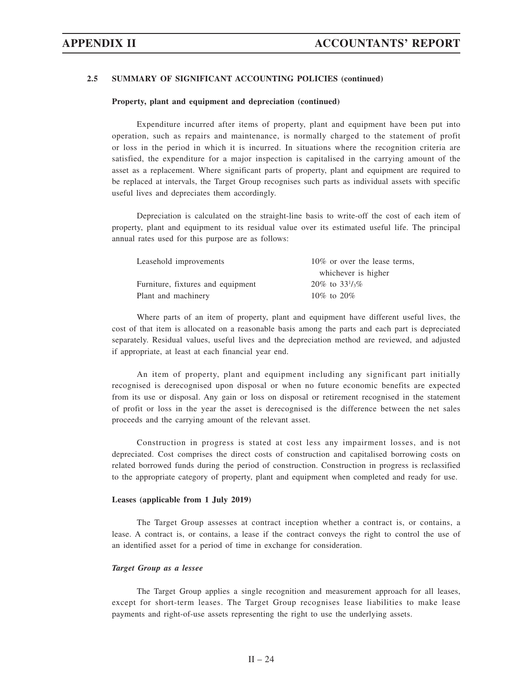#### **Property, plant and equipment and depreciation (continued)**

Expenditure incurred after items of property, plant and equipment have been put into operation, such as repairs and maintenance, is normally charged to the statement of profit or loss in the period in which it is incurred. In situations where the recognition criteria are satisfied, the expenditure for a major inspection is capitalised in the carrying amount of the asset as a replacement. Where significant parts of property, plant and equipment are required to be replaced at intervals, the Target Group recognises such parts as individual assets with specific useful lives and depreciates them accordingly.

Depreciation is calculated on the straight-line basis to write-off the cost of each item of property, plant and equipment to its residual value over its estimated useful life. The principal annual rates used for this purpose are as follows:

| Leasehold improvements            | 10\% or over the lease terms, |
|-----------------------------------|-------------------------------|
|                                   | whichever is higher           |
| Furniture, fixtures and equipment | 20\% to $33\frac{1}{3}\%$     |
| Plant and machinery               | $10\%$ to $20\%$              |

Where parts of an item of property, plant and equipment have different useful lives, the cost of that item is allocated on a reasonable basis among the parts and each part is depreciated separately. Residual values, useful lives and the depreciation method are reviewed, and adjusted if appropriate, at least at each financial year end.

An item of property, plant and equipment including any significant part initially recognised is derecognised upon disposal or when no future economic benefits are expected from its use or disposal. Any gain or loss on disposal or retirement recognised in the statement of profit or loss in the year the asset is derecognised is the difference between the net sales proceeds and the carrying amount of the relevant asset.

Construction in progress is stated at cost less any impairment losses, and is not depreciated. Cost comprises the direct costs of construction and capitalised borrowing costs on related borrowed funds during the period of construction. Construction in progress is reclassified to the appropriate category of property, plant and equipment when completed and ready for use.

#### **Leases (applicable from 1 July 2019)**

The Target Group assesses at contract inception whether a contract is, or contains, a lease. A contract is, or contains, a lease if the contract conveys the right to control the use of an identified asset for a period of time in exchange for consideration.

#### *Target Group as a lessee*

The Target Group applies a single recognition and measurement approach for all leases, except for short-term leases. The Target Group recognises lease liabilities to make lease payments and right-of-use assets representing the right to use the underlying assets.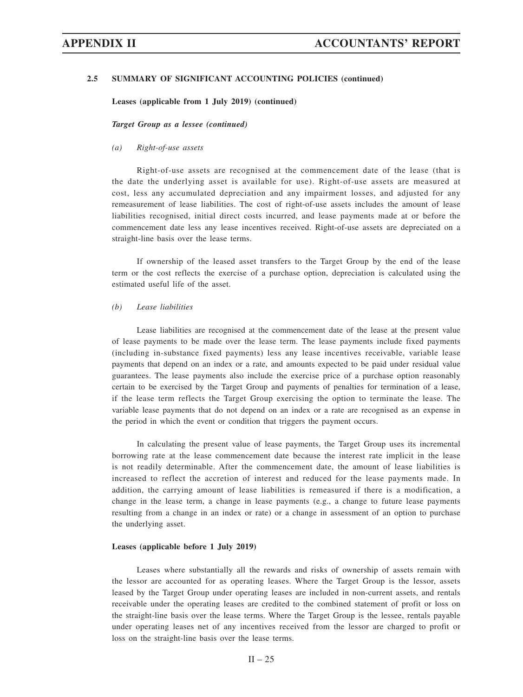**Leases (applicable from 1 July 2019) (continued)**

*Target Group as a lessee (continued)*

### *(a) Right-of-use assets*

Right-of-use assets are recognised at the commencement date of the lease (that is the date the underlying asset is available for use). Right-of-use assets are measured at cost, less any accumulated depreciation and any impairment losses, and adjusted for any remeasurement of lease liabilities. The cost of right-of-use assets includes the amount of lease liabilities recognised, initial direct costs incurred, and lease payments made at or before the commencement date less any lease incentives received. Right-of-use assets are depreciated on a straight-line basis over the lease terms.

If ownership of the leased asset transfers to the Target Group by the end of the lease term or the cost reflects the exercise of a purchase option, depreciation is calculated using the estimated useful life of the asset.

# *(b) Lease liabilities*

Lease liabilities are recognised at the commencement date of the lease at the present value of lease payments to be made over the lease term. The lease payments include fixed payments (including in-substance fixed payments) less any lease incentives receivable, variable lease payments that depend on an index or a rate, and amounts expected to be paid under residual value guarantees. The lease payments also include the exercise price of a purchase option reasonably certain to be exercised by the Target Group and payments of penalties for termination of a lease, if the lease term reflects the Target Group exercising the option to terminate the lease. The variable lease payments that do not depend on an index or a rate are recognised as an expense in the period in which the event or condition that triggers the payment occurs.

In calculating the present value of lease payments, the Target Group uses its incremental borrowing rate at the lease commencement date because the interest rate implicit in the lease is not readily determinable. After the commencement date, the amount of lease liabilities is increased to reflect the accretion of interest and reduced for the lease payments made. In addition, the carrying amount of lease liabilities is remeasured if there is a modification, a change in the lease term, a change in lease payments (e.g., a change to future lease payments resulting from a change in an index or rate) or a change in assessment of an option to purchase the underlying asset.

#### **Leases (applicable before 1 July 2019)**

Leases where substantially all the rewards and risks of ownership of assets remain with the lessor are accounted for as operating leases. Where the Target Group is the lessor, assets leased by the Target Group under operating leases are included in non-current assets, and rentals receivable under the operating leases are credited to the combined statement of profit or loss on the straight-line basis over the lease terms. Where the Target Group is the lessee, rentals payable under operating leases net of any incentives received from the lessor are charged to profit or loss on the straight-line basis over the lease terms.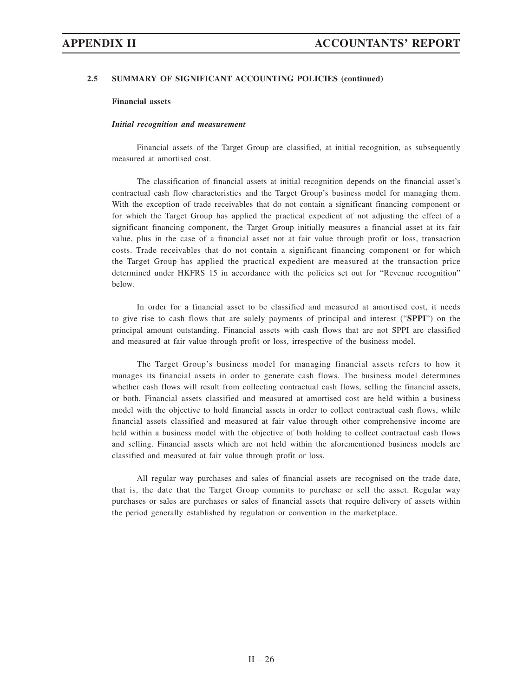### **Financial assets**

### *Initial recognition and measurement*

Financial assets of the Target Group are classified, at initial recognition, as subsequently measured at amortised cost.

The classification of financial assets at initial recognition depends on the financial asset's contractual cash flow characteristics and the Target Group's business model for managing them. With the exception of trade receivables that do not contain a significant financing component or for which the Target Group has applied the practical expedient of not adjusting the effect of a significant financing component, the Target Group initially measures a financial asset at its fair value, plus in the case of a financial asset not at fair value through profit or loss, transaction costs. Trade receivables that do not contain a significant financing component or for which the Target Group has applied the practical expedient are measured at the transaction price determined under HKFRS 15 in accordance with the policies set out for "Revenue recognition" below.

In order for a financial asset to be classified and measured at amortised cost, it needs to give rise to cash flows that are solely payments of principal and interest ("**SPPI**") on the principal amount outstanding. Financial assets with cash flows that are not SPPI are classified and measured at fair value through profit or loss, irrespective of the business model.

The Target Group's business model for managing financial assets refers to how it manages its financial assets in order to generate cash flows. The business model determines whether cash flows will result from collecting contractual cash flows, selling the financial assets, or both. Financial assets classified and measured at amortised cost are held within a business model with the objective to hold financial assets in order to collect contractual cash flows, while financial assets classified and measured at fair value through other comprehensive income are held within a business model with the objective of both holding to collect contractual cash flows and selling. Financial assets which are not held within the aforementioned business models are classified and measured at fair value through profit or loss.

All regular way purchases and sales of financial assets are recognised on the trade date, that is, the date that the Target Group commits to purchase or sell the asset. Regular way purchases or sales are purchases or sales of financial assets that require delivery of assets within the period generally established by regulation or convention in the marketplace.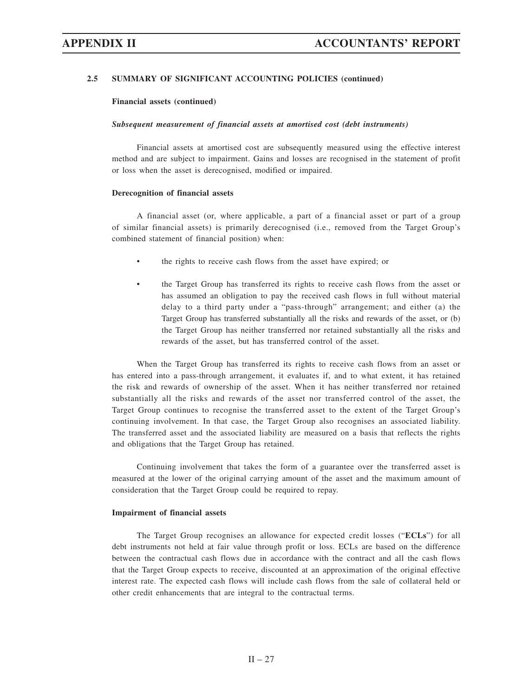**Financial assets (continued)**

#### *Subsequent measurement of financial assets at amortised cost (debt instruments)*

Financial assets at amortised cost are subsequently measured using the effective interest method and are subject to impairment. Gains and losses are recognised in the statement of profit or loss when the asset is derecognised, modified or impaired.

#### **Derecognition of financial assets**

A financial asset (or, where applicable, a part of a financial asset or part of a group of similar financial assets) is primarily derecognised (i.e., removed from the Target Group's combined statement of financial position) when:

- the rights to receive cash flows from the asset have expired; or
- the Target Group has transferred its rights to receive cash flows from the asset or has assumed an obligation to pay the received cash flows in full without material delay to a third party under a "pass-through" arrangement; and either (a) the Target Group has transferred substantially all the risks and rewards of the asset, or (b) the Target Group has neither transferred nor retained substantially all the risks and rewards of the asset, but has transferred control of the asset.

When the Target Group has transferred its rights to receive cash flows from an asset or has entered into a pass-through arrangement, it evaluates if, and to what extent, it has retained the risk and rewards of ownership of the asset. When it has neither transferred nor retained substantially all the risks and rewards of the asset nor transferred control of the asset, the Target Group continues to recognise the transferred asset to the extent of the Target Group's continuing involvement. In that case, the Target Group also recognises an associated liability. The transferred asset and the associated liability are measured on a basis that reflects the rights and obligations that the Target Group has retained.

Continuing involvement that takes the form of a guarantee over the transferred asset is measured at the lower of the original carrying amount of the asset and the maximum amount of consideration that the Target Group could be required to repay.

#### **Impairment of financial assets**

The Target Group recognises an allowance for expected credit losses ("**ECLs**") for all debt instruments not held at fair value through profit or loss. ECLs are based on the difference between the contractual cash flows due in accordance with the contract and all the cash flows that the Target Group expects to receive, discounted at an approximation of the original effective interest rate. The expected cash flows will include cash flows from the sale of collateral held or other credit enhancements that are integral to the contractual terms.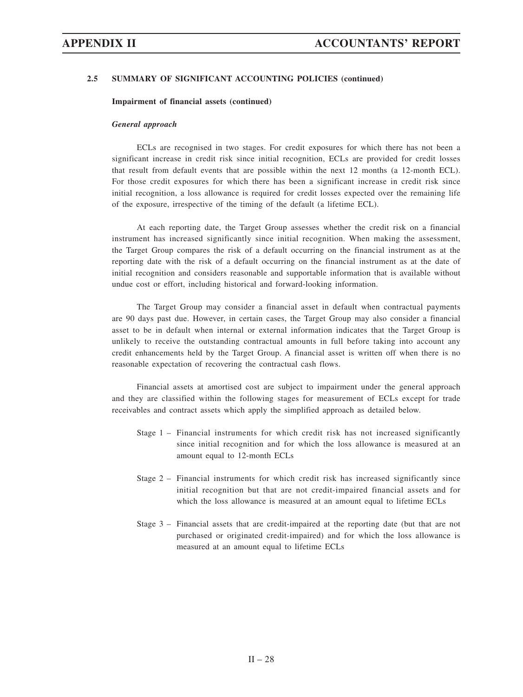### **Impairment of financial assets (continued)**

### *General approach*

ECLs are recognised in two stages. For credit exposures for which there has not been a significant increase in credit risk since initial recognition, ECLs are provided for credit losses that result from default events that are possible within the next 12 months (a 12-month ECL). For those credit exposures for which there has been a significant increase in credit risk since initial recognition, a loss allowance is required for credit losses expected over the remaining life of the exposure, irrespective of the timing of the default (a lifetime ECL).

At each reporting date, the Target Group assesses whether the credit risk on a financial instrument has increased significantly since initial recognition. When making the assessment, the Target Group compares the risk of a default occurring on the financial instrument as at the reporting date with the risk of a default occurring on the financial instrument as at the date of initial recognition and considers reasonable and supportable information that is available without undue cost or effort, including historical and forward-looking information.

The Target Group may consider a financial asset in default when contractual payments are 90 days past due. However, in certain cases, the Target Group may also consider a financial asset to be in default when internal or external information indicates that the Target Group is unlikely to receive the outstanding contractual amounts in full before taking into account any credit enhancements held by the Target Group. A financial asset is written off when there is no reasonable expectation of recovering the contractual cash flows.

Financial assets at amortised cost are subject to impairment under the general approach and they are classified within the following stages for measurement of ECLs except for trade receivables and contract assets which apply the simplified approach as detailed below.

- Stage 1 Financial instruments for which credit risk has not increased significantly since initial recognition and for which the loss allowance is measured at an amount equal to 12-month ECLs
- Stage 2 Financial instruments for which credit risk has increased significantly since initial recognition but that are not credit-impaired financial assets and for which the loss allowance is measured at an amount equal to lifetime ECLs
- Stage 3 Financial assets that are credit-impaired at the reporting date (but that are not purchased or originated credit-impaired) and for which the loss allowance is measured at an amount equal to lifetime ECLs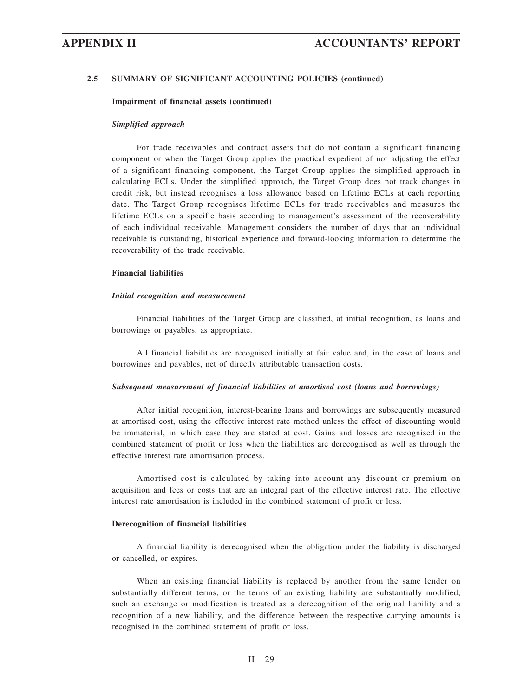#### **Impairment of financial assets (continued)**

#### *Simplified approach*

For trade receivables and contract assets that do not contain a significant financing component or when the Target Group applies the practical expedient of not adjusting the effect of a significant financing component, the Target Group applies the simplified approach in calculating ECLs. Under the simplified approach, the Target Group does not track changes in credit risk, but instead recognises a loss allowance based on lifetime ECLs at each reporting date. The Target Group recognises lifetime ECLs for trade receivables and measures the lifetime ECLs on a specific basis according to management's assessment of the recoverability of each individual receivable. Management considers the number of days that an individual receivable is outstanding, historical experience and forward-looking information to determine the recoverability of the trade receivable.

## **Financial liabilities**

### *Initial recognition and measurement*

Financial liabilities of the Target Group are classified, at initial recognition, as loans and borrowings or payables, as appropriate.

All financial liabilities are recognised initially at fair value and, in the case of loans and borrowings and payables, net of directly attributable transaction costs.

#### *Subsequent measurement of financial liabilities at amortised cost (loans and borrowings)*

After initial recognition, interest-bearing loans and borrowings are subsequently measured at amortised cost, using the effective interest rate method unless the effect of discounting would be immaterial, in which case they are stated at cost. Gains and losses are recognised in the combined statement of profit or loss when the liabilities are derecognised as well as through the effective interest rate amortisation process.

Amortised cost is calculated by taking into account any discount or premium on acquisition and fees or costs that are an integral part of the effective interest rate. The effective interest rate amortisation is included in the combined statement of profit or loss.

### **Derecognition of financial liabilities**

A financial liability is derecognised when the obligation under the liability is discharged or cancelled, or expires.

When an existing financial liability is replaced by another from the same lender on substantially different terms, or the terms of an existing liability are substantially modified, such an exchange or modification is treated as a derecognition of the original liability and a recognition of a new liability, and the difference between the respective carrying amounts is recognised in the combined statement of profit or loss.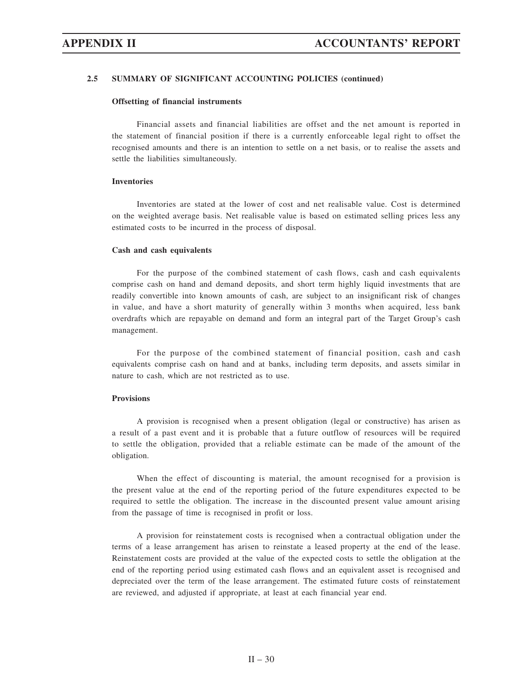#### **Offsetting of financial instruments**

Financial assets and financial liabilities are offset and the net amount is reported in the statement of financial position if there is a currently enforceable legal right to offset the recognised amounts and there is an intention to settle on a net basis, or to realise the assets and settle the liabilities simultaneously.

#### **Inventories**

Inventories are stated at the lower of cost and net realisable value. Cost is determined on the weighted average basis. Net realisable value is based on estimated selling prices less any estimated costs to be incurred in the process of disposal.

#### **Cash and cash equivalents**

For the purpose of the combined statement of cash flows, cash and cash equivalents comprise cash on hand and demand deposits, and short term highly liquid investments that are readily convertible into known amounts of cash, are subject to an insignificant risk of changes in value, and have a short maturity of generally within 3 months when acquired, less bank overdrafts which are repayable on demand and form an integral part of the Target Group's cash management.

For the purpose of the combined statement of financial position, cash and cash equivalents comprise cash on hand and at banks, including term deposits, and assets similar in nature to cash, which are not restricted as to use.

### **Provisions**

A provision is recognised when a present obligation (legal or constructive) has arisen as a result of a past event and it is probable that a future outflow of resources will be required to settle the obligation, provided that a reliable estimate can be made of the amount of the obligation.

When the effect of discounting is material, the amount recognised for a provision is the present value at the end of the reporting period of the future expenditures expected to be required to settle the obligation. The increase in the discounted present value amount arising from the passage of time is recognised in profit or loss.

A provision for reinstatement costs is recognised when a contractual obligation under the terms of a lease arrangement has arisen to reinstate a leased property at the end of the lease. Reinstatement costs are provided at the value of the expected costs to settle the obligation at the end of the reporting period using estimated cash flows and an equivalent asset is recognised and depreciated over the term of the lease arrangement. The estimated future costs of reinstatement are reviewed, and adjusted if appropriate, at least at each financial year end.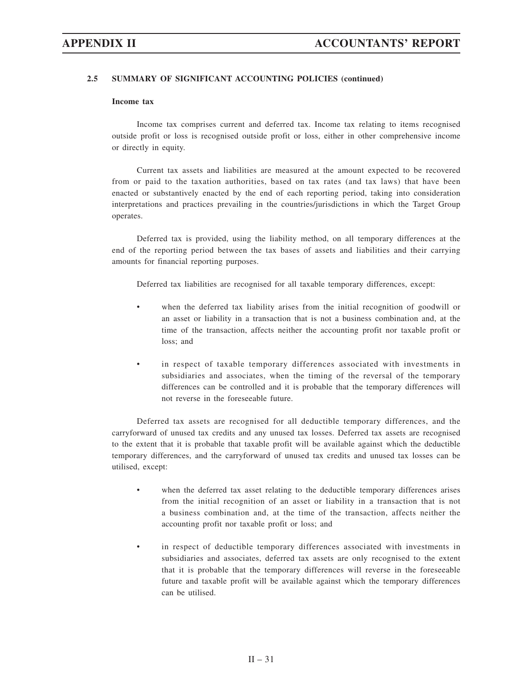### **Income tax**

Income tax comprises current and deferred tax. Income tax relating to items recognised outside profit or loss is recognised outside profit or loss, either in other comprehensive income or directly in equity.

Current tax assets and liabilities are measured at the amount expected to be recovered from or paid to the taxation authorities, based on tax rates (and tax laws) that have been enacted or substantively enacted by the end of each reporting period, taking into consideration interpretations and practices prevailing in the countries/jurisdictions in which the Target Group operates.

Deferred tax is provided, using the liability method, on all temporary differences at the end of the reporting period between the tax bases of assets and liabilities and their carrying amounts for financial reporting purposes.

Deferred tax liabilities are recognised for all taxable temporary differences, except:

- when the deferred tax liability arises from the initial recognition of goodwill or an asset or liability in a transaction that is not a business combination and, at the time of the transaction, affects neither the accounting profit nor taxable profit or loss; and
- in respect of taxable temporary differences associated with investments in subsidiaries and associates, when the timing of the reversal of the temporary differences can be controlled and it is probable that the temporary differences will not reverse in the foreseeable future.

Deferred tax assets are recognised for all deductible temporary differences, and the carryforward of unused tax credits and any unused tax losses. Deferred tax assets are recognised to the extent that it is probable that taxable profit will be available against which the deductible temporary differences, and the carryforward of unused tax credits and unused tax losses can be utilised, except:

- when the deferred tax asset relating to the deductible temporary differences arises from the initial recognition of an asset or liability in a transaction that is not a business combination and, at the time of the transaction, affects neither the accounting profit nor taxable profit or loss; and
- in respect of deductible temporary differences associated with investments in subsidiaries and associates, deferred tax assets are only recognised to the extent that it is probable that the temporary differences will reverse in the foreseeable future and taxable profit will be available against which the temporary differences can be utilised.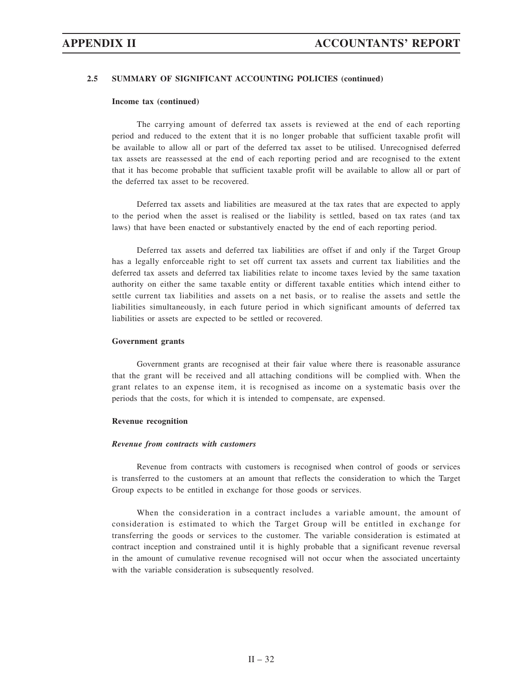#### **Income tax (continued)**

The carrying amount of deferred tax assets is reviewed at the end of each reporting period and reduced to the extent that it is no longer probable that sufficient taxable profit will be available to allow all or part of the deferred tax asset to be utilised. Unrecognised deferred tax assets are reassessed at the end of each reporting period and are recognised to the extent that it has become probable that sufficient taxable profit will be available to allow all or part of the deferred tax asset to be recovered.

Deferred tax assets and liabilities are measured at the tax rates that are expected to apply to the period when the asset is realised or the liability is settled, based on tax rates (and tax laws) that have been enacted or substantively enacted by the end of each reporting period.

Deferred tax assets and deferred tax liabilities are offset if and only if the Target Group has a legally enforceable right to set off current tax assets and current tax liabilities and the deferred tax assets and deferred tax liabilities relate to income taxes levied by the same taxation authority on either the same taxable entity or different taxable entities which intend either to settle current tax liabilities and assets on a net basis, or to realise the assets and settle the liabilities simultaneously, in each future period in which significant amounts of deferred tax liabilities or assets are expected to be settled or recovered.

#### **Government grants**

Government grants are recognised at their fair value where there is reasonable assurance that the grant will be received and all attaching conditions will be complied with. When the grant relates to an expense item, it is recognised as income on a systematic basis over the periods that the costs, for which it is intended to compensate, are expensed.

#### **Revenue recognition**

### *Revenue from contracts with customers*

Revenue from contracts with customers is recognised when control of goods or services is transferred to the customers at an amount that reflects the consideration to which the Target Group expects to be entitled in exchange for those goods or services.

When the consideration in a contract includes a variable amount, the amount of consideration is estimated to which the Target Group will be entitled in exchange for transferring the goods or services to the customer. The variable consideration is estimated at contract inception and constrained until it is highly probable that a significant revenue reversal in the amount of cumulative revenue recognised will not occur when the associated uncertainty with the variable consideration is subsequently resolved.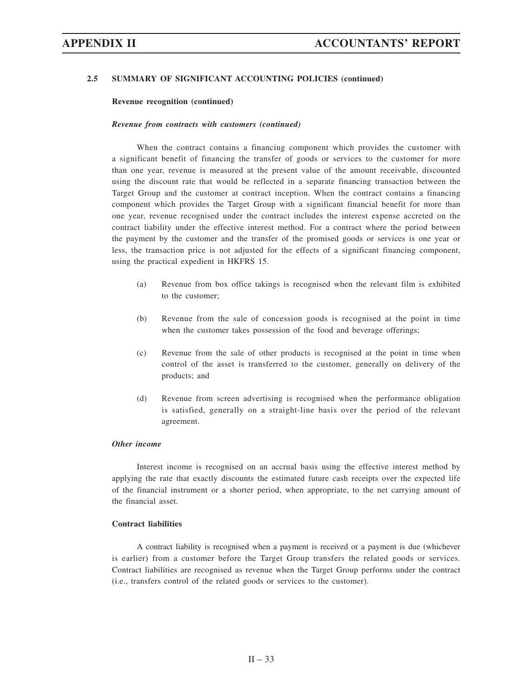### **Revenue recognition (continued)**

### *Revenue from contracts with customers (continued)*

When the contract contains a financing component which provides the customer with a significant benefit of financing the transfer of goods or services to the customer for more than one year, revenue is measured at the present value of the amount receivable, discounted using the discount rate that would be reflected in a separate financing transaction between the Target Group and the customer at contract inception. When the contract contains a financing component which provides the Target Group with a significant financial benefit for more than one year, revenue recognised under the contract includes the interest expense accreted on the contract liability under the effective interest method. For a contract where the period between the payment by the customer and the transfer of the promised goods or services is one year or less, the transaction price is not adjusted for the effects of a significant financing component, using the practical expedient in HKFRS 15.

- (a) Revenue from box office takings is recognised when the relevant film is exhibited to the customer;
- (b) Revenue from the sale of concession goods is recognised at the point in time when the customer takes possession of the food and beverage offerings;
- (c) Revenue from the sale of other products is recognised at the point in time when control of the asset is transferred to the customer, generally on delivery of the products; and
- (d) Revenue from screen advertising is recognised when the performance obligation is satisfied, generally on a straight-line basis over the period of the relevant agreement.

# *Other income*

Interest income is recognised on an accrual basis using the effective interest method by applying the rate that exactly discounts the estimated future cash receipts over the expected life of the financial instrument or a shorter period, when appropriate, to the net carrying amount of the financial asset.

## **Contract liabilities**

A contract liability is recognised when a payment is received or a payment is due (whichever is earlier) from a customer before the Target Group transfers the related goods or services. Contract liabilities are recognised as revenue when the Target Group performs under the contract (i.e., transfers control of the related goods or services to the customer).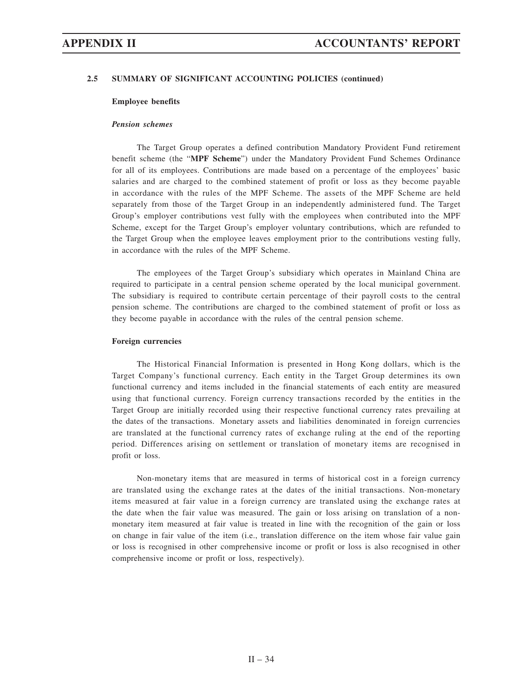### **Employee benefits**

### *Pension schemes*

The Target Group operates a defined contribution Mandatory Provident Fund retirement benefit scheme (the "**MPF Scheme**") under the Mandatory Provident Fund Schemes Ordinance for all of its employees. Contributions are made based on a percentage of the employees' basic salaries and are charged to the combined statement of profit or loss as they become payable in accordance with the rules of the MPF Scheme. The assets of the MPF Scheme are held separately from those of the Target Group in an independently administered fund. The Target Group's employer contributions vest fully with the employees when contributed into the MPF Scheme, except for the Target Group's employer voluntary contributions, which are refunded to the Target Group when the employee leaves employment prior to the contributions vesting fully, in accordance with the rules of the MPF Scheme.

The employees of the Target Group's subsidiary which operates in Mainland China are required to participate in a central pension scheme operated by the local municipal government. The subsidiary is required to contribute certain percentage of their payroll costs to the central pension scheme. The contributions are charged to the combined statement of profit or loss as they become payable in accordance with the rules of the central pension scheme.

#### **Foreign currencies**

The Historical Financial Information is presented in Hong Kong dollars, which is the Target Company's functional currency. Each entity in the Target Group determines its own functional currency and items included in the financial statements of each entity are measured using that functional currency. Foreign currency transactions recorded by the entities in the Target Group are initially recorded using their respective functional currency rates prevailing at the dates of the transactions. Monetary assets and liabilities denominated in foreign currencies are translated at the functional currency rates of exchange ruling at the end of the reporting period. Differences arising on settlement or translation of monetary items are recognised in profit or loss.

Non-monetary items that are measured in terms of historical cost in a foreign currency are translated using the exchange rates at the dates of the initial transactions. Non-monetary items measured at fair value in a foreign currency are translated using the exchange rates at the date when the fair value was measured. The gain or loss arising on translation of a nonmonetary item measured at fair value is treated in line with the recognition of the gain or loss on change in fair value of the item (i.e., translation difference on the item whose fair value gain or loss is recognised in other comprehensive income or profit or loss is also recognised in other comprehensive income or profit or loss, respectively).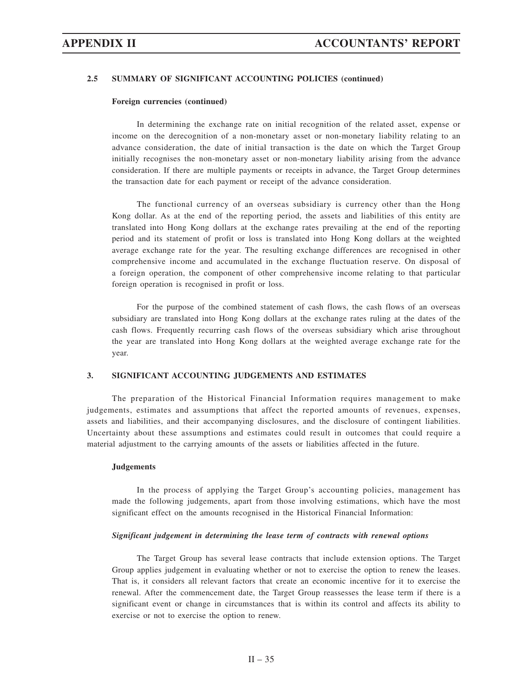#### **Foreign currencies (continued)**

In determining the exchange rate on initial recognition of the related asset, expense or income on the derecognition of a non-monetary asset or non-monetary liability relating to an advance consideration, the date of initial transaction is the date on which the Target Group initially recognises the non-monetary asset or non-monetary liability arising from the advance consideration. If there are multiple payments or receipts in advance, the Target Group determines the transaction date for each payment or receipt of the advance consideration.

The functional currency of an overseas subsidiary is currency other than the Hong Kong dollar. As at the end of the reporting period, the assets and liabilities of this entity are translated into Hong Kong dollars at the exchange rates prevailing at the end of the reporting period and its statement of profit or loss is translated into Hong Kong dollars at the weighted average exchange rate for the year. The resulting exchange differences are recognised in other comprehensive income and accumulated in the exchange fluctuation reserve. On disposal of a foreign operation, the component of other comprehensive income relating to that particular foreign operation is recognised in profit or loss.

For the purpose of the combined statement of cash flows, the cash flows of an overseas subsidiary are translated into Hong Kong dollars at the exchange rates ruling at the dates of the cash flows. Frequently recurring cash flows of the overseas subsidiary which arise throughout the year are translated into Hong Kong dollars at the weighted average exchange rate for the year.

# **3. SIGNIFICANT ACCOUNTING JUDGEMENTS AND ESTIMATES**

The preparation of the Historical Financial Information requires management to make judgements, estimates and assumptions that affect the reported amounts of revenues, expenses, assets and liabilities, and their accompanying disclosures, and the disclosure of contingent liabilities. Uncertainty about these assumptions and estimates could result in outcomes that could require a material adjustment to the carrying amounts of the assets or liabilities affected in the future.

#### **Judgements**

In the process of applying the Target Group's accounting policies, management has made the following judgements, apart from those involving estimations, which have the most significant effect on the amounts recognised in the Historical Financial Information:

#### *Significant judgement in determining the lease term of contracts with renewal options*

The Target Group has several lease contracts that include extension options. The Target Group applies judgement in evaluating whether or not to exercise the option to renew the leases. That is, it considers all relevant factors that create an economic incentive for it to exercise the renewal. After the commencement date, the Target Group reassesses the lease term if there is a significant event or change in circumstances that is within its control and affects its ability to exercise or not to exercise the option to renew.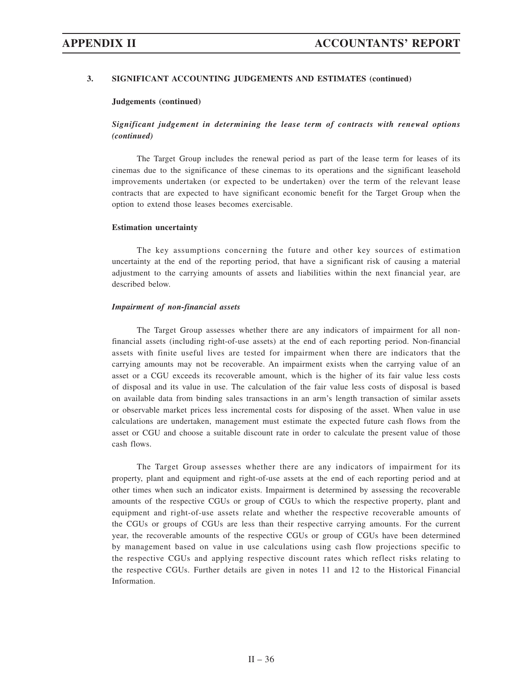# **3. SIGNIFICANT ACCOUNTING JUDGEMENTS AND ESTIMATES (continued)**

### **Judgements (continued)**

# *Significant judgement in determining the lease term of contracts with renewal options (continued)*

The Target Group includes the renewal period as part of the lease term for leases of its cinemas due to the significance of these cinemas to its operations and the significant leasehold improvements undertaken (or expected to be undertaken) over the term of the relevant lease contracts that are expected to have significant economic benefit for the Target Group when the option to extend those leases becomes exercisable.

### **Estimation uncertainty**

The key assumptions concerning the future and other key sources of estimation uncertainty at the end of the reporting period, that have a significant risk of causing a material adjustment to the carrying amounts of assets and liabilities within the next financial year, are described below.

### *Impairment of non-financial assets*

The Target Group assesses whether there are any indicators of impairment for all nonfinancial assets (including right-of-use assets) at the end of each reporting period. Non-financial assets with finite useful lives are tested for impairment when there are indicators that the carrying amounts may not be recoverable. An impairment exists when the carrying value of an asset or a CGU exceeds its recoverable amount, which is the higher of its fair value less costs of disposal and its value in use. The calculation of the fair value less costs of disposal is based on available data from binding sales transactions in an arm's length transaction of similar assets or observable market prices less incremental costs for disposing of the asset. When value in use calculations are undertaken, management must estimate the expected future cash flows from the asset or CGU and choose a suitable discount rate in order to calculate the present value of those cash flows.

The Target Group assesses whether there are any indicators of impairment for its property, plant and equipment and right-of-use assets at the end of each reporting period and at other times when such an indicator exists. Impairment is determined by assessing the recoverable amounts of the respective CGUs or group of CGUs to which the respective property, plant and equipment and right-of-use assets relate and whether the respective recoverable amounts of the CGUs or groups of CGUs are less than their respective carrying amounts. For the current year, the recoverable amounts of the respective CGUs or group of CGUs have been determined by management based on value in use calculations using cash flow projections specific to the respective CGUs and applying respective discount rates which reflect risks relating to the respective CGUs. Further details are given in notes 11 and 12 to the Historical Financial Information.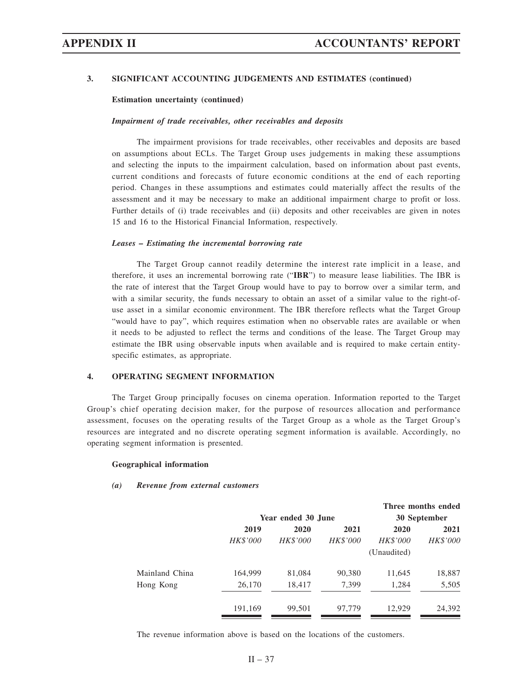### **3. SIGNIFICANT ACCOUNTING JUDGEMENTS AND ESTIMATES (continued)**

### **Estimation uncertainty (continued)**

### *Impairment of trade receivables, other receivables and deposits*

The impairment provisions for trade receivables, other receivables and deposits are based on assumptions about ECLs. The Target Group uses judgements in making these assumptions and selecting the inputs to the impairment calculation, based on information about past events, current conditions and forecasts of future economic conditions at the end of each reporting period. Changes in these assumptions and estimates could materially affect the results of the assessment and it may be necessary to make an additional impairment charge to profit or loss. Further details of (i) trade receivables and (ii) deposits and other receivables are given in notes 15 and 16 to the Historical Financial Information, respectively.

### *Leases – Estimating the incremental borrowing rate*

The Target Group cannot readily determine the interest rate implicit in a lease, and therefore, it uses an incremental borrowing rate ("**IBR**") to measure lease liabilities. The IBR is the rate of interest that the Target Group would have to pay to borrow over a similar term, and with a similar security, the funds necessary to obtain an asset of a similar value to the right-ofuse asset in a similar economic environment. The IBR therefore reflects what the Target Group "would have to pay", which requires estimation when no observable rates are available or when it needs to be adjusted to reflect the terms and conditions of the lease. The Target Group may estimate the IBR using observable inputs when available and is required to make certain entityspecific estimates, as appropriate.

### **4. OPERATING SEGMENT INFORMATION**

The Target Group principally focuses on cinema operation. Information reported to the Target Group's chief operating decision maker, for the purpose of resources allocation and performance assessment, focuses on the operating results of the Target Group as a whole as the Target Group's resources are integrated and no discrete operating segment information is available. Accordingly, no operating segment information is presented.

### **Geographical information**

### *(a) Revenue from external customers*

| 30 September    |
|-----------------|
| 2021            |
| <b>HK\$'000</b> |
|                 |
| 18,887          |
| 5,505           |
|                 |
| 24,392          |
|                 |

The revenue information above is based on the locations of the customers.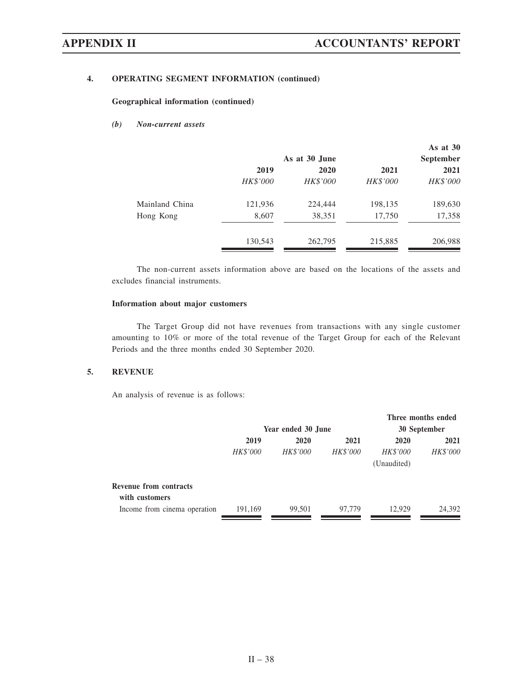# **4. OPERATING SEGMENT INFORMATION (continued)**

**Geographical information (continued)**

# *(b) Non-current assets*

|                |          | As at 30 June |          | As at $30$<br><b>September</b> |
|----------------|----------|---------------|----------|--------------------------------|
|                | 2019     | 2020          | 2021     | 2021                           |
|                | HK\$'000 | HK\$'000      | HK\$'000 | HK\$'000                       |
| Mainland China | 121,936  | 224,444       | 198,135  | 189,630                        |
| Hong Kong      | 8,607    | 38,351        | 17,750   | 17,358                         |
|                | 130,543  | 262,795       | 215,885  | 206,988                        |

The non-current assets information above are based on the locations of the assets and excludes financial instruments.

## **Information about major customers**

The Target Group did not have revenues from transactions with any single customer amounting to 10% or more of the total revenue of the Target Group for each of the Relevant Periods and the three months ended 30 September 2020.

### **5. REVENUE**

An analysis of revenue is as follows:

|                 |                 |                 |                                | Three months ended |
|-----------------|-----------------|-----------------|--------------------------------|--------------------|
|                 |                 |                 | 30 September                   |                    |
| 2019            | 2020            | 2021            | 2020                           | 2021               |
| <b>HK\$'000</b> | <b>HK\$'000</b> | <b>HK\$'000</b> | <b>HK\$'000</b><br>(Unaudited) | <b>HK\$'000</b>    |
|                 |                 |                 |                                |                    |
| 191,169         | 99,501          | 97,779          | 12.929                         | 24,392             |
|                 |                 |                 | Year ended 30 June             |                    |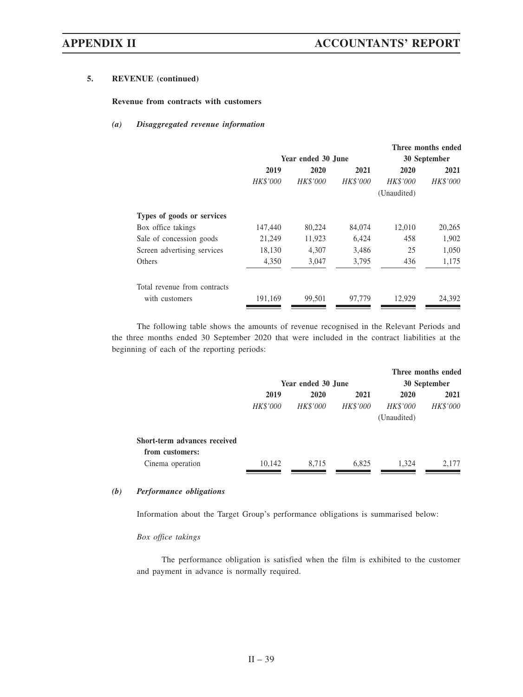# **5. REVENUE (continued)**

### **Revenue from contracts with customers**

## *(a) Disaggregated revenue information*

|                              |                 |                    |                 |                 | Three months ended |
|------------------------------|-----------------|--------------------|-----------------|-----------------|--------------------|
|                              |                 | Year ended 30 June |                 | 30 September    |                    |
|                              | 2019            | 2020               | 2021            | 2020            | 2021               |
|                              | <b>HK\$'000</b> | <b>HK\$'000</b>    | <b>HK\$'000</b> | <b>HK\$'000</b> | <b>HK\$'000</b>    |
|                              |                 |                    |                 | (Unaudited)     |                    |
| Types of goods or services   |                 |                    |                 |                 |                    |
| Box office takings           | 147,440         | 80,224             | 84,074          | 12,010          | 20,265             |
| Sale of concession goods     | 21,249          | 11,923             | 6,424           | 458             | 1,902              |
| Screen advertising services  | 18,130          | 4.307              | 3,486           | 25              | 1,050              |
| <b>Others</b>                | 4,350           | 3,047              | 3,795           | 436             | 1,175              |
| Total revenue from contracts |                 |                    |                 |                 |                    |
| with customers               | 191,169         | 99,501             | 97,779          | 12.929          | 24,392             |
|                              |                 |                    |                 |                 |                    |

The following table shows the amounts of revenue recognised in the Relevant Periods and the three months ended 30 September 2020 that were included in the contract liabilities at the beginning of each of the reporting periods:

|                              |                    |                 |                 |                 | Three months ended |  |
|------------------------------|--------------------|-----------------|-----------------|-----------------|--------------------|--|
|                              | Year ended 30 June |                 |                 | 30 September    |                    |  |
|                              | 2019               | 2020            | 2021            | 2020            | 2021               |  |
|                              | <b>HK\$'000</b>    | <b>HK\$'000</b> | <b>HK\$'000</b> | <b>HK\$'000</b> | <b>HK\$'000</b>    |  |
|                              |                    |                 |                 | (Unaudited)     |                    |  |
| Short-term advances received |                    |                 |                 |                 |                    |  |
| from customers:              |                    |                 |                 |                 |                    |  |
| Cinema operation             | 10,142             | 8,715           | 6,825           | 1,324           | 2,177              |  |

## *(b) Performance obligations*

Information about the Target Group's performance obligations is summarised below:

### *Box office takings*

The performance obligation is satisfied when the film is exhibited to the customer and payment in advance is normally required.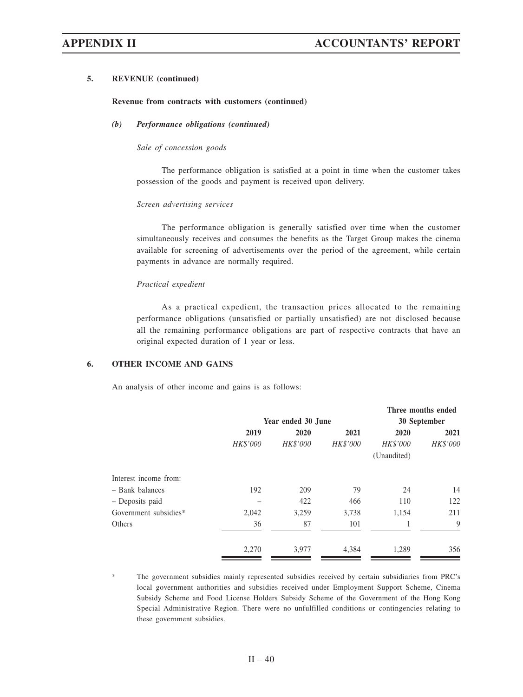### **5. REVENUE (continued)**

### **Revenue from contracts with customers (continued)**

# *(b) Performance obligations (continued)*

### *Sale of concession goods*

The performance obligation is satisfied at a point in time when the customer takes possession of the goods and payment is received upon delivery.

### *Screen advertising services*

The performance obligation is generally satisfied over time when the customer simultaneously receives and consumes the benefits as the Target Group makes the cinema available for screening of advertisements over the period of the agreement, while certain payments in advance are normally required.

### *Practical expedient*

As a practical expedient, the transaction prices allocated to the remaining performance obligations (unsatisfied or partially unsatisfied) are not disclosed because all the remaining performance obligations are part of respective contracts that have an original expected duration of 1 year or less.

### **6. OTHER INCOME AND GAINS**

An analysis of other income and gains is as follows:

|                       |          |                    |          |              | Three months ended |
|-----------------------|----------|--------------------|----------|--------------|--------------------|
|                       |          | Year ended 30 June |          | 30 September |                    |
|                       | 2019     | 2020               | 2021     | 2020         | 2021               |
|                       | HK\$'000 | HK\$'000           | HK\$'000 | HK\$'000     | HK\$'000           |
|                       |          |                    |          | (Unaudited)  |                    |
| Interest income from: |          |                    |          |              |                    |
| - Bank balances       | 192      | 209                | 79       | 24           | 14                 |
| - Deposits paid       |          | 422                | 466      | 110          | 122                |
| Government subsidies* | 2,042    | 3,259              | 3,738    | 1,154        | 211                |
| Others                | 36       | 87                 | 101      |              | 9                  |
|                       | 2,270    | 3,977              | 4,384    | 1,289        | 356                |

The government subsidies mainly represented subsidies received by certain subsidiaries from PRC's local government authorities and subsidies received under Employment Support Scheme, Cinema Subsidy Scheme and Food License Holders Subsidy Scheme of the Government of the Hong Kong Special Administrative Region. There were no unfulfilled conditions or contingencies relating to these government subsidies.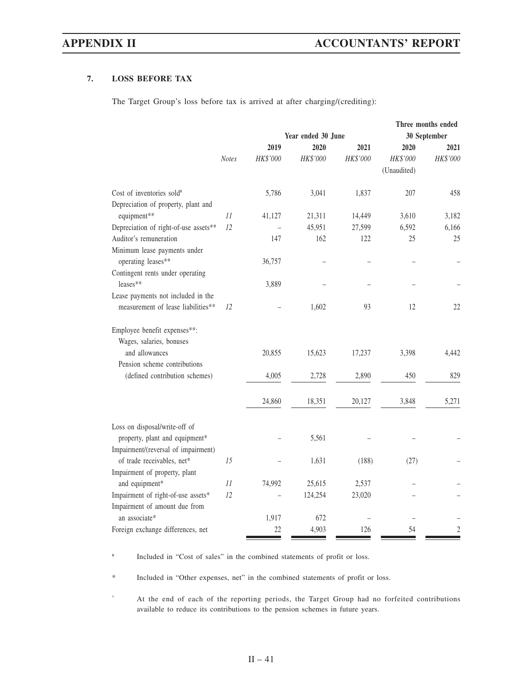# **7. LOSS BEFORE TAX**

The Target Group's loss before tax is arrived at after charging/(crediting):

|                                                          |              |          | Three months ended |          |              |                |  |
|----------------------------------------------------------|--------------|----------|--------------------|----------|--------------|----------------|--|
|                                                          |              |          | Year ended 30 June |          | 30 September |                |  |
|                                                          |              | 2019     | 2020               | 2021     | 2020         | 2021           |  |
|                                                          | <b>Notes</b> | HK\$'000 | HK\$'000           | HK\$'000 | HK\$'000     | HK\$'000       |  |
|                                                          |              |          |                    |          | (Unaudited)  |                |  |
| Cost of inventories sold#                                |              | 5,786    | 3,041              | 1,837    | 207          | 458            |  |
| Depreciation of property, plant and                      |              |          |                    |          |              |                |  |
| equipment**                                              | 11           | 41,127   | 21,311             | 14,449   | 3,610        | 3,182          |  |
| Depreciation of right-of-use assets**                    | 12           |          | 45,951             | 27,599   | 6,592        | 6,166          |  |
| Auditor's remuneration                                   |              | 147      | 162                | 122      | 25           | 25             |  |
| Minimum lease payments under                             |              |          |                    |          |              |                |  |
| operating leases**                                       |              | 36,757   |                    |          |              |                |  |
| Contingent rents under operating                         |              |          |                    |          |              |                |  |
| leases**                                                 |              | 3,889    |                    |          |              |                |  |
| Lease payments not included in the                       |              |          |                    |          |              |                |  |
| measurement of lease liabilities**                       | 12           |          | 1,602              | 93       | 12           | 22             |  |
| Employee benefit expenses**:<br>Wages, salaries, bonuses |              |          |                    |          |              |                |  |
| and allowances                                           |              | 20,855   | 15,623             | 17,237   | 3,398        | 4,442          |  |
| Pension scheme contributions                             |              |          |                    |          |              |                |  |
| (defined contribution schemes)                           |              | 4,005    | 2,728              | 2,890    | 450          | 829            |  |
|                                                          |              | 24,860   | 18,351             | 20,127   | 3,848        | 5,271          |  |
| Loss on disposal/write-off of                            |              |          |                    |          |              |                |  |
| property, plant and equipment*                           |              |          | 5,561              |          |              |                |  |
| Impairment/(reversal of impairment)                      |              |          |                    |          |              |                |  |
| of trade receivables, net*                               | 15           |          | 1,631              | (188)    | (27)         |                |  |
| Impairment of property, plant                            |              |          |                    |          |              |                |  |
| and equipment*                                           | 11           | 74,992   | 25,615             | 2,537    |              |                |  |
| Impairment of right-of-use assets*                       | 12           |          | 124,254            | 23,020   |              |                |  |
| Impairment of amount due from                            |              |          |                    |          |              |                |  |
| an associate*                                            |              | 1,917    | 672                |          |              |                |  |
| Foreign exchange differences, net                        |              | 22       | 4,903              | 126      | 54           | $\overline{c}$ |  |

# Included in "Cost of sales" in the combined statements of profit or loss.

\* Included in "Other expenses, net" in the combined statements of profit or loss.

^ At the end of each of the reporting periods, the Target Group had no forfeited contributions available to reduce its contributions to the pension schemes in future years.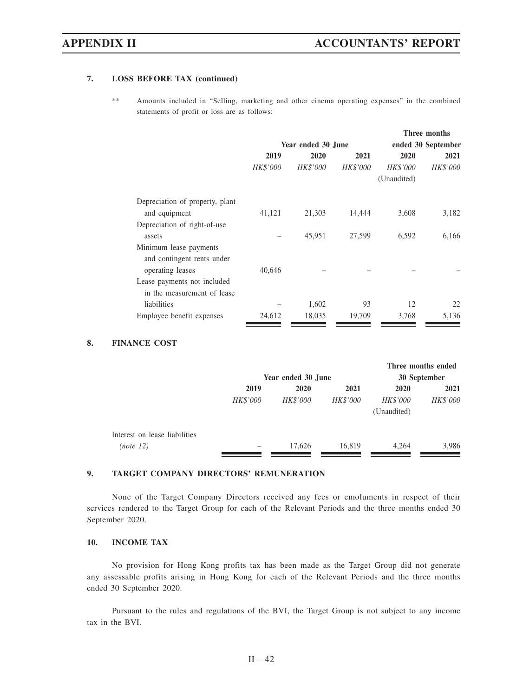# **7. LOSS BEFORE TAX (continued)**

\*\* Amounts included in "Selling, marketing and other cinema operating expenses" in the combined statements of profit or loss are as follows:

|                                 |                 |                    | Three months    |                    |                 |
|---------------------------------|-----------------|--------------------|-----------------|--------------------|-----------------|
|                                 |                 | Year ended 30 June |                 | ended 30 September |                 |
|                                 | 2019            | 2020               | 2021            | 2020               | 2021            |
|                                 | <b>HK\$'000</b> | <b>HK\$'000</b>    | <b>HK\$'000</b> | <b>HK\$'000</b>    | <b>HK\$'000</b> |
|                                 |                 |                    |                 | (Unaudited)        |                 |
| Depreciation of property, plant |                 |                    |                 |                    |                 |
| and equipment                   | 41,121          | 21,303             | 14,444          | 3,608              | 3,182           |
| Depreciation of right-of-use    |                 |                    |                 |                    |                 |
| assets                          |                 | 45,951             | 27.599          | 6,592              | 6,166           |
| Minimum lease payments          |                 |                    |                 |                    |                 |
| and contingent rents under      |                 |                    |                 |                    |                 |
| operating leases                | 40,646          |                    |                 |                    |                 |
| Lease payments not included     |                 |                    |                 |                    |                 |
| in the measurement of lease     |                 |                    |                 |                    |                 |
| liabilities                     |                 | 1,602              | 93              | 12                 | 22              |
| Employee benefit expenses       | 24,612          | 18,035             | 19,709          | 3,768              | 5,136           |

# **8. FINANCE COST**

|                               |                    |                 |                 |                 | Three months ended |
|-------------------------------|--------------------|-----------------|-----------------|-----------------|--------------------|
|                               | Year ended 30 June |                 |                 |                 | 30 September       |
|                               | 2019               | 2020            | 2021            | 2020            | 2021               |
|                               | HK\$'000           | <b>HK\$'000</b> | <b>HK\$'000</b> | <b>HK\$'000</b> | HK\$'000           |
|                               |                    |                 |                 | (Unaudited)     |                    |
| Interest on lease liabilities |                    |                 |                 |                 |                    |
| (note 12)                     |                    | 17.626          | 16,819          | 4,264           | 3,986              |

# **9. TARGET COMPANY DIRECTORS' REMUNERATION**

None of the Target Company Directors received any fees or emoluments in respect of their services rendered to the Target Group for each of the Relevant Periods and the three months ended 30 September 2020.

## **10. INCOME TAX**

No provision for Hong Kong profits tax has been made as the Target Group did not generate any assessable profits arising in Hong Kong for each of the Relevant Periods and the three months ended 30 September 2020.

Pursuant to the rules and regulations of the BVI, the Target Group is not subject to any income tax in the BVI.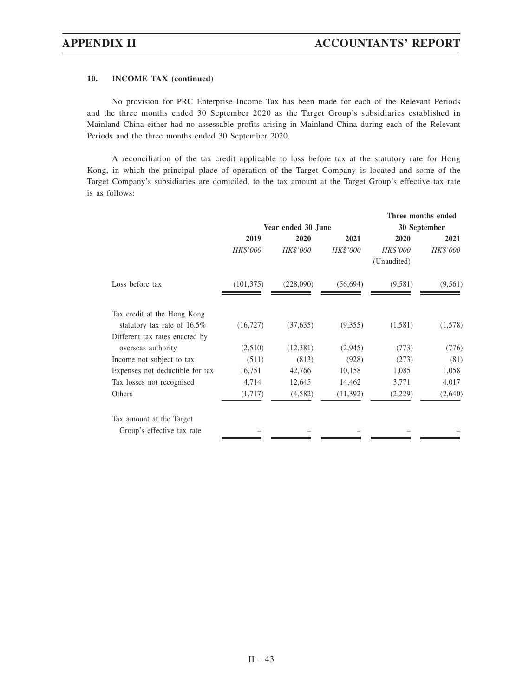# **10. INCOME TAX (continued)**

No provision for PRC Enterprise Income Tax has been made for each of the Relevant Periods and the three months ended 30 September 2020 as the Target Group's subsidiaries established in Mainland China either had no assessable profits arising in Mainland China during each of the Relevant Periods and the three months ended 30 September 2020.

A reconciliation of the tax credit applicable to loss before tax at the statutory rate for Hong Kong, in which the principal place of operation of the Target Company is located and some of the Target Company's subsidiaries are domiciled, to the tax amount at the Target Group's effective tax rate is as follows:

|                                 |            |                    |                 |                                | Three months ended |
|---------------------------------|------------|--------------------|-----------------|--------------------------------|--------------------|
|                                 |            | Year ended 30 June |                 | 30 September                   |                    |
|                                 | 2019       | 2020               | 2021            | 2020                           | 2021               |
|                                 | HK\$'000   | HK\$'000           | <b>HK\$'000</b> | <b>HK\$'000</b><br>(Unaudited) | <b>HK\$'000</b>    |
| Loss before tax                 | (101, 375) | (228,090)          | (56, 694)       | (9,581)                        | (9,561)            |
| Tax credit at the Hong Kong     |            |                    |                 |                                |                    |
| statutory tax rate of $16.5\%$  | (16, 727)  | (37, 635)          | (9,355)         | (1,581)                        | (1,578)            |
| Different tax rates enacted by  |            |                    |                 |                                |                    |
| overseas authority              | (2,510)    | (12,381)           | (2,945)         | (773)                          | (776)              |
| Income not subject to tax       | (511)      | (813)              | (928)           | (273)                          | (81)               |
| Expenses not deductible for tax | 16,751     | 42,766             | 10,158          | 1,085                          | 1,058              |
| Tax losses not recognised       | 4,714      | 12,645             | 14,462          | 3,771                          | 4,017              |
| Others                          | (1,717)    | (4,582)            | (11, 392)       | (2,229)                        | (2,640)            |
| Tax amount at the Target        |            |                    |                 |                                |                    |
| Group's effective tax rate      |            |                    |                 |                                |                    |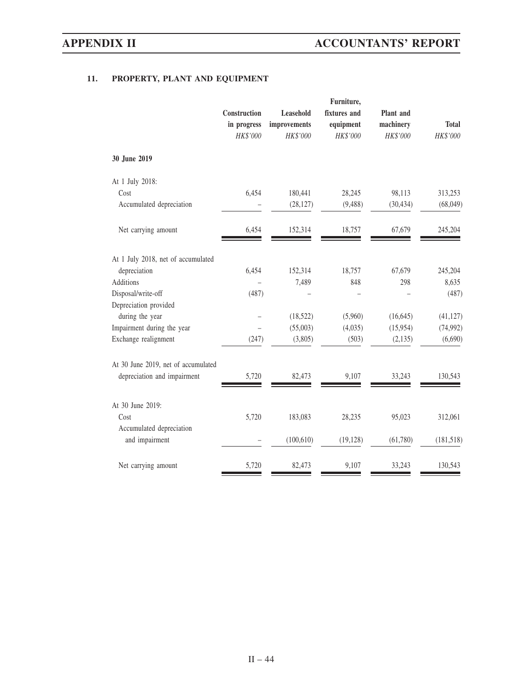# **11. PROPERTY, PLANT AND EQUIPMENT**

|                                     | Construction<br>in progress<br>HK\$'000 | Leasehold<br>improvements<br>HK\$'000 | Furniture,<br>fixtures and<br>equipment<br>HK\$'000 | Plant and<br>machinery<br>HK\$'000 | <b>Total</b><br>HK\$'000 |
|-------------------------------------|-----------------------------------------|---------------------------------------|-----------------------------------------------------|------------------------------------|--------------------------|
| 30 June 2019                        |                                         |                                       |                                                     |                                    |                          |
| At 1 July 2018:                     |                                         |                                       |                                                     |                                    |                          |
| Cost                                | 6,454                                   | 180,441                               | 28,245                                              | 98,113                             | 313,253                  |
| Accumulated depreciation            |                                         | (28, 127)                             | (9, 488)                                            | (30, 434)                          | (68,049)                 |
| Net carrying amount                 | 6,454                                   | 152,314                               | 18,757                                              | 67,679                             | 245,204                  |
| At 1 July 2018, net of accumulated  |                                         |                                       |                                                     |                                    |                          |
| depreciation                        | 6,454                                   | 152,314                               | 18,757                                              | 67,679                             | 245,204                  |
| Additions                           |                                         | 7,489                                 | 848                                                 | 298                                | 8,635                    |
| Disposal/write-off                  | (487)                                   |                                       |                                                     |                                    | (487)                    |
| Depreciation provided               |                                         |                                       |                                                     |                                    |                          |
| during the year                     |                                         | (18, 522)                             | (5,960)                                             | (16, 645)                          | (41, 127)                |
| Impairment during the year          |                                         | (55,003)                              | (4,035)                                             | (15,954)                           | (74,992)                 |
| Exchange realignment                | (247)                                   | (3,805)                               | (503)                                               | (2,135)                            | (6,690)                  |
| At 30 June 2019, net of accumulated |                                         |                                       |                                                     |                                    |                          |
| depreciation and impairment         | 5,720                                   | 82,473                                | 9,107                                               | 33,243                             | 130,543                  |
| At 30 June 2019:                    |                                         |                                       |                                                     |                                    |                          |
| Cost                                | 5,720                                   | 183,083                               | 28,235                                              | 95,023                             | 312,061                  |
| Accumulated depreciation            |                                         |                                       |                                                     |                                    |                          |
| and impairment                      |                                         | (100, 610)                            | (19, 128)                                           | (61,780)                           | (181, 518)               |
| Net carrying amount                 | 5,720                                   | 82,473                                | 9,107                                               | 33,243                             | 130,543                  |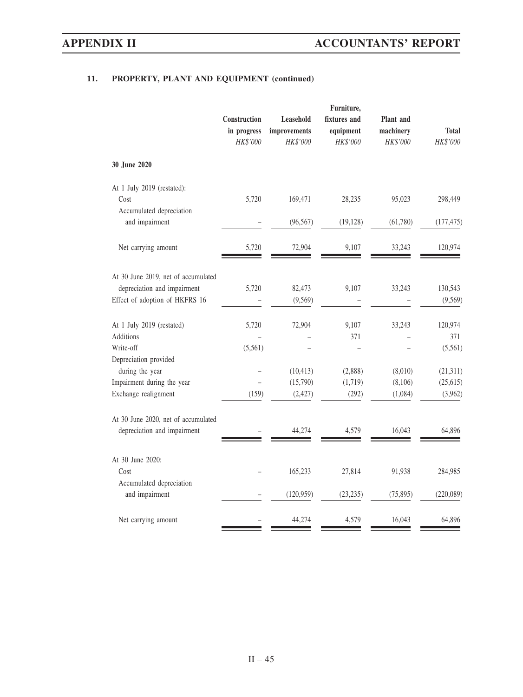|                                                               | Construction<br>in progress<br>HK\$'000 | Leasehold<br>improvements<br>HK\$'000 | Furniture,<br>fixtures and<br>equipment<br>HK\$'000 | Plant and<br>machinery<br>HK\$'000 | <b>Total</b><br>HK\$'000 |
|---------------------------------------------------------------|-----------------------------------------|---------------------------------------|-----------------------------------------------------|------------------------------------|--------------------------|
| 30 June 2020                                                  |                                         |                                       |                                                     |                                    |                          |
| At 1 July 2019 (restated):<br>Cost                            | 5,720                                   | 169,471                               | 28,235                                              | 95,023                             | 298,449                  |
| Accumulated depreciation<br>and impairment                    |                                         | (96, 567)                             | (19, 128)                                           | (61,780)                           | (177, 475)               |
| Net carrying amount                                           | 5,720                                   | 72,904                                | 9,107                                               | 33,243                             | 120,974                  |
| At 30 June 2019, net of accumulated                           |                                         |                                       |                                                     |                                    |                          |
| depreciation and impairment<br>Effect of adoption of HKFRS 16 | 5,720                                   | 82,473<br>(9, 569)                    | 9,107                                               | 33,243                             | 130,543<br>(9, 569)      |
| At 1 July 2019 (restated)                                     | 5,720                                   | 72,904                                | 9,107                                               | 33,243                             | 120,974                  |
| Additions                                                     |                                         |                                       | 371                                                 |                                    | 371                      |
| Write-off                                                     | (5, 561)                                |                                       |                                                     |                                    | (5,561)                  |
| Depreciation provided<br>during the year                      |                                         |                                       |                                                     |                                    |                          |
| Impairment during the year                                    |                                         | (10, 413)<br>(15,790)                 | (2,888)<br>(1,719)                                  | (8,010)<br>(8,106)                 | (21,311)<br>(25, 615)    |
| Exchange realignment                                          | (159)                                   | (2, 427)                              | (292)                                               | (1,084)                            | (3,962)                  |
| At 30 June 2020, net of accumulated                           |                                         |                                       |                                                     |                                    |                          |
| depreciation and impairment                                   |                                         | 44,274                                | 4,579                                               | 16,043                             | 64,896                   |
| At 30 June 2020:                                              |                                         |                                       |                                                     |                                    |                          |
| Cost                                                          |                                         | 165,233                               | 27,814                                              | 91,938                             | 284,985                  |
| Accumulated depreciation<br>and impairment                    |                                         | (120, 959)                            | (23, 235)                                           | (75, 895)                          | (220,089)                |
| Net carrying amount                                           |                                         | 44,274                                | 4,579                                               | 16,043                             | 64,896                   |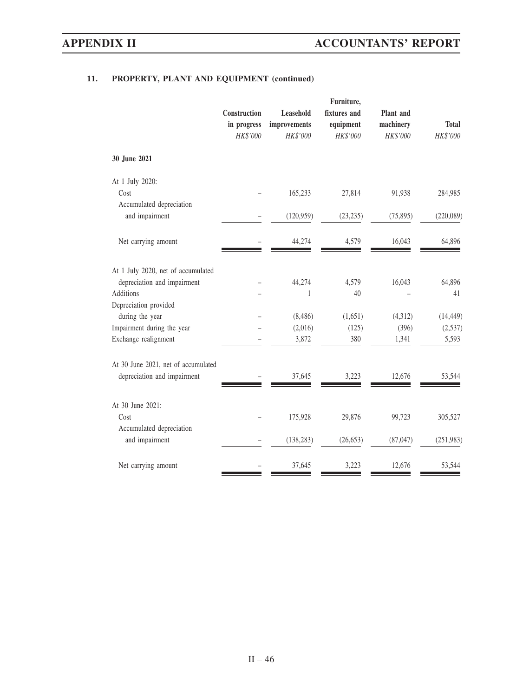|                                            | Construction            | Plant and                                    |                                       |                       |                          |
|--------------------------------------------|-------------------------|----------------------------------------------|---------------------------------------|-----------------------|--------------------------|
|                                            | in progress<br>HK\$'000 | <b>Leasehold</b><br>improvements<br>HK\$'000 | fixtures and<br>equipment<br>HK\$'000 | machinery<br>HK\$'000 | <b>Total</b><br>HK\$'000 |
| 30 June 2021                               |                         |                                              |                                       |                       |                          |
| At 1 July 2020:                            |                         |                                              |                                       |                       |                          |
| Cost                                       |                         | 165,233                                      | 27,814                                | 91,938                | 284,985                  |
| Accumulated depreciation<br>and impairment |                         | (120, 959)                                   | (23, 235)                             | (75, 895)             | (220, 089)               |
| Net carrying amount                        |                         | 44,274                                       | 4,579                                 | 16,043                | 64,896                   |
| At 1 July 2020, net of accumulated         |                         |                                              |                                       |                       |                          |
| depreciation and impairment                |                         | 44,274                                       | 4,579                                 | 16,043                | 64,896                   |
| Additions                                  |                         | 1                                            | 40                                    |                       | 41                       |
| Depreciation provided                      |                         |                                              |                                       |                       |                          |
| during the year                            |                         | (8,486)                                      | (1,651)                               | (4,312)               | (14, 449)                |
| Impairment during the year                 |                         | (2,016)                                      | (125)                                 | (396)                 | (2,537)                  |
| Exchange realignment                       |                         | 3,872                                        | 380                                   | 1,341                 | 5,593                    |
| At 30 June 2021, net of accumulated        |                         |                                              |                                       |                       |                          |
| depreciation and impairment                |                         | 37,645                                       | 3,223                                 | 12,676                | 53,544                   |
| At 30 June 2021:                           |                         |                                              |                                       |                       |                          |
| Cost                                       |                         | 175,928                                      | 29,876                                | 99,723                | 305,527                  |
| Accumulated depreciation                   |                         |                                              |                                       |                       |                          |
| and impairment                             |                         | (138, 283)                                   | (26, 653)                             | (87, 047)             | (251, 983)               |
| Net carrying amount                        |                         | 37,645                                       | 3,223                                 | 12,676                | 53,544                   |
|                                            |                         |                                              |                                       |                       |                          |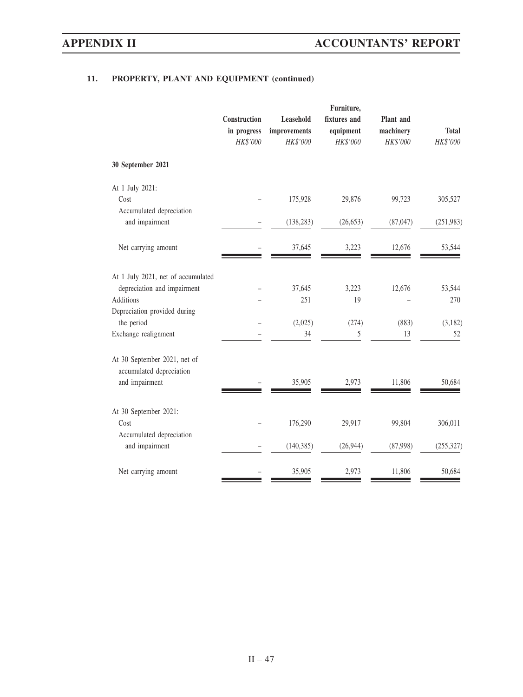|                                                                                                                | Construction<br>in progress<br>HK\$'000 | Leasehold<br>improvements<br>HK\$'000 | Furniture,<br>fixtures and<br>equipment<br>HK\$'000 | Plant and<br>machinery<br>HK\$'000 | <b>Total</b><br>HK\$'000 |
|----------------------------------------------------------------------------------------------------------------|-----------------------------------------|---------------------------------------|-----------------------------------------------------|------------------------------------|--------------------------|
| 30 September 2021                                                                                              |                                         |                                       |                                                     |                                    |                          |
| At 1 July 2021:<br>Cost<br>Accumulated depreciation                                                            |                                         | 175,928                               | 29,876                                              | 99,723                             | 305,527                  |
| and impairment                                                                                                 |                                         | (138, 283)                            | (26, 653)                                           | (87, 047)                          | (251, 983)               |
| Net carrying amount                                                                                            |                                         | 37,645                                | 3,223                                               | 12,676                             | 53,544                   |
| At 1 July 2021, net of accumulated<br>depreciation and impairment<br>Additions<br>Depreciation provided during |                                         | 37,645<br>251                         | 3,223<br>19                                         | 12,676                             | 53,544<br>270            |
| the period<br>Exchange realignment                                                                             |                                         | (2,025)<br>34                         | (274)<br>5                                          | (883)<br>13                        | (3,182)<br>52            |
| At 30 September 2021, net of<br>accumulated depreciation<br>and impairment                                     |                                         | 35,905                                | 2,973                                               | 11,806                             | 50,684                   |
| At 30 September 2021:<br>Cost<br>Accumulated depreciation                                                      |                                         | 176,290                               | 29,917                                              | 99,804                             | 306,011                  |
| and impairment                                                                                                 |                                         | (140, 385)                            | (26,944)                                            | (87,998)                           | (255, 327)               |
| Net carrying amount                                                                                            |                                         | 35,905                                | 2,973                                               | 11,806                             | 50,684                   |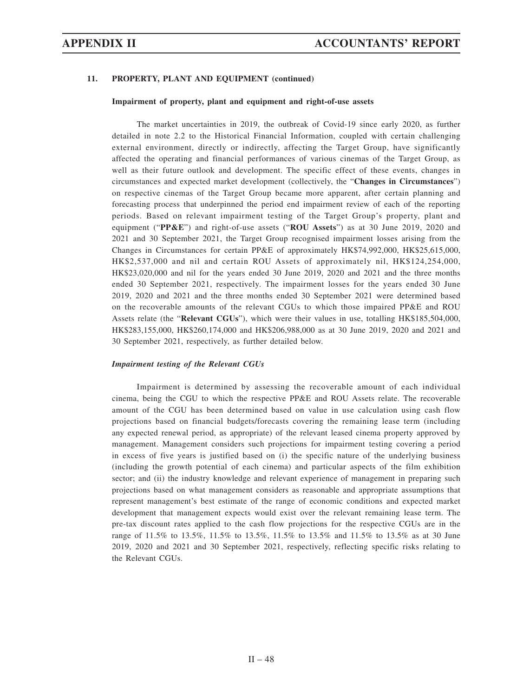### **Impairment of property, plant and equipment and right-of-use assets**

The market uncertainties in 2019, the outbreak of Covid-19 since early 2020, as further detailed in note 2.2 to the Historical Financial Information, coupled with certain challenging external environment, directly or indirectly, affecting the Target Group, have significantly affected the operating and financial performances of various cinemas of the Target Group, as well as their future outlook and development. The specific effect of these events, changes in circumstances and expected market development (collectively, the "**Changes in Circumstances**") on respective cinemas of the Target Group became more apparent, after certain planning and forecasting process that underpinned the period end impairment review of each of the reporting periods. Based on relevant impairment testing of the Target Group's property, plant and equipment ("**PP&E**") and right-of-use assets ("**ROU Assets**") as at 30 June 2019, 2020 and 2021 and 30 September 2021, the Target Group recognised impairment losses arising from the Changes in Circumstances for certain PP&E of approximately HK\$74,992,000, HK\$25,615,000, HK\$2,537,000 and nil and certain ROU Assets of approximately nil, HK\$124,254,000, HK\$23,020,000 and nil for the years ended 30 June 2019, 2020 and 2021 and the three months ended 30 September 2021, respectively. The impairment losses for the years ended 30 June 2019, 2020 and 2021 and the three months ended 30 September 2021 were determined based on the recoverable amounts of the relevant CGUs to which those impaired PP&E and ROU Assets relate (the "**Relevant CGUs**"), which were their values in use, totalling HK\$185,504,000, HK\$283,155,000, HK\$260,174,000 and HK\$206,988,000 as at 30 June 2019, 2020 and 2021 and 30 September 2021, respectively, as further detailed below.

### *Impairment testing of the Relevant CGUs*

Impairment is determined by assessing the recoverable amount of each individual cinema, being the CGU to which the respective PP&E and ROU Assets relate. The recoverable amount of the CGU has been determined based on value in use calculation using cash flow projections based on financial budgets/forecasts covering the remaining lease term (including any expected renewal period, as appropriate) of the relevant leased cinema property approved by management. Management considers such projections for impairment testing covering a period in excess of five years is justified based on (i) the specific nature of the underlying business (including the growth potential of each cinema) and particular aspects of the film exhibition sector; and (ii) the industry knowledge and relevant experience of management in preparing such projections based on what management considers as reasonable and appropriate assumptions that represent management's best estimate of the range of economic conditions and expected market development that management expects would exist over the relevant remaining lease term. The pre-tax discount rates applied to the cash flow projections for the respective CGUs are in the range of 11.5% to 13.5%, 11.5% to 13.5%, 11.5% to 13.5% and 11.5% to 13.5% as at 30 June 2019, 2020 and 2021 and 30 September 2021, respectively, reflecting specific risks relating to the Relevant CGUs.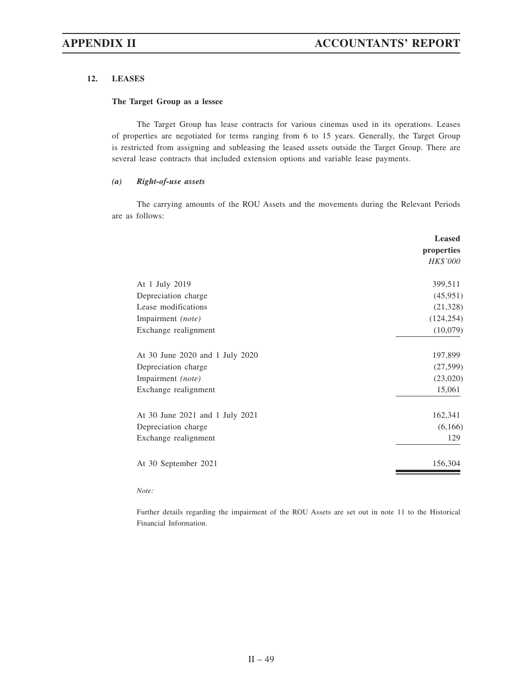# **12. LEASES**

### **The Target Group as a lessee**

The Target Group has lease contracts for various cinemas used in its operations. Leases of properties are negotiated for terms ranging from 6 to 15 years. Generally, the Target Group is restricted from assigning and subleasing the leased assets outside the Target Group. There are several lease contracts that included extension options and variable lease payments.

### *(a) Right-of-use assets*

The carrying amounts of the ROU Assets and the movements during the Relevant Periods are as follows:

|                                 | <b>Leased</b><br>properties<br><i>HK\$'000</i> |
|---------------------------------|------------------------------------------------|
|                                 |                                                |
| At 1 July 2019                  | 399,511                                        |
| Depreciation charge             | (45,951)                                       |
| Lease modifications             | (21, 328)                                      |
| Impairment (note)               | (124, 254)                                     |
| Exchange realignment            | (10,079)                                       |
| At 30 June 2020 and 1 July 2020 | 197,899                                        |
| Depreciation charge             | (27,599)                                       |
| Impairment (note)               | (23,020)                                       |
| Exchange realignment            | 15,061                                         |
| At 30 June 2021 and 1 July 2021 | 162,341                                        |
| Depreciation charge             | (6,166)                                        |
| Exchange realignment            | 129                                            |
| At 30 September 2021            | 156,304                                        |

### *Note:*

Further details regarding the impairment of the ROU Assets are set out in note 11 to the Historical Financial Information.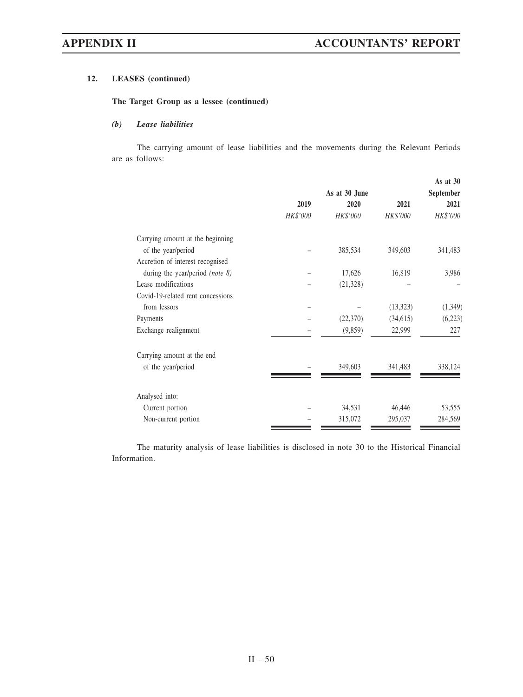# **12. LEASES (continued)**

## **The Target Group as a lessee (continued)**

# *(b) Lease liabilities*

The carrying amount of lease liabilities and the movements during the Relevant Periods are as follows:

|                                    |          |               |           | As at $30$ |  |
|------------------------------------|----------|---------------|-----------|------------|--|
|                                    |          | As at 30 June |           | September  |  |
|                                    | 2019     | 2020          | 2021      | 2021       |  |
|                                    | HK\$'000 | HK\$'000      | HK\$'000  | HK\$'000   |  |
| Carrying amount at the beginning   |          |               |           |            |  |
| of the year/period                 |          | 385,534       | 349,603   | 341,483    |  |
| Accretion of interest recognised   |          |               |           |            |  |
| during the year/period (note $8$ ) |          | 17,626        | 16,819    | 3,986      |  |
| Lease modifications                |          | (21, 328)     |           |            |  |
| Covid-19-related rent concessions  |          |               |           |            |  |
| from lessors                       |          |               | (13, 323) | (1, 349)   |  |
| Payments                           |          | (22,370)      | (34,615)  | (6,223)    |  |
| Exchange realignment               |          | (9,859)       | 22,999    | 227        |  |
| Carrying amount at the end         |          |               |           |            |  |
| of the year/period                 |          | 349,603       | 341,483   | 338,124    |  |
|                                    |          |               |           |            |  |
| Analysed into:                     |          |               |           |            |  |
| Current portion                    |          | 34,531        | 46,446    | 53,555     |  |
| Non-current portion                |          | 315,072       | 295,037   | 284,569    |  |

The maturity analysis of lease liabilities is disclosed in note 30 to the Historical Financial Information.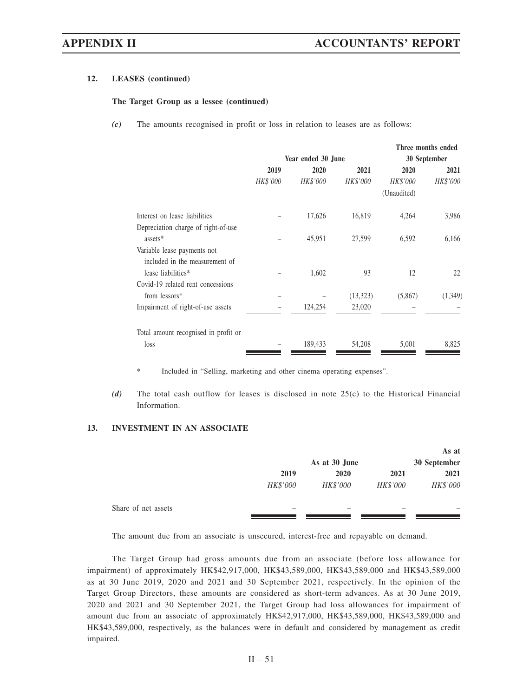### **12. LEASES (continued)**

### **The Target Group as a lessee (continued)**

*(c)* The amounts recognised in profit or loss in relation to leases are as follows:

|                                      |                    |                 |                 |                 | Three months ended |
|--------------------------------------|--------------------|-----------------|-----------------|-----------------|--------------------|
|                                      | Year ended 30 June |                 |                 | 30 September    |                    |
|                                      | 2019               | <b>2020</b>     | 2021            | 2020            | 2021               |
|                                      | <b>HK\$'000</b>    | <b>HK\$'000</b> | <b>HK\$'000</b> | <b>HK\$'000</b> | <b>HK\$'000</b>    |
|                                      |                    |                 |                 | (Unaudited)     |                    |
| Interest on lease liabilities        |                    | 17,626          | 16,819          | 4,264           | 3,986              |
| Depreciation charge of right-of-use  |                    |                 |                 |                 |                    |
| assets*                              |                    | 45,951          | 27,599          | 6,592           | 6,166              |
| Variable lease payments not          |                    |                 |                 |                 |                    |
| included in the measurement of       |                    |                 |                 |                 |                    |
| lease liabilities*                   |                    | 1,602           | 93              | 12              | 22                 |
| Covid-19 related rent concessions    |                    |                 |                 |                 |                    |
| from lessors*                        |                    |                 | (13,323)        | (5,867)         | (1,349)            |
| Impairment of right-of-use assets    |                    | 124,254         | 23,020          |                 |                    |
| Total amount recognised in profit or |                    |                 |                 |                 |                    |
| loss                                 |                    | 189,433         | 54,208          | 5,001           | 8,825              |

\* Included in "Selling, marketing and other cinema operating expenses".

*(d)* The total cash outflow for leases is disclosed in note 25(c) to the Historical Financial Information.

# **13. INVESTMENT IN AN ASSOCIATE**

|                     |          |               |          | As at        |
|---------------------|----------|---------------|----------|--------------|
|                     |          | As at 30 June |          | 30 September |
|                     | 2019     | 2020          | 2021     | 2021         |
|                     | HK\$'000 | HK\$'000      | HK\$'000 | HK\$'000     |
| Share of net assets |          |               |          |              |

The amount due from an associate is unsecured, interest-free and repayable on demand.

The Target Group had gross amounts due from an associate (before loss allowance for impairment) of approximately HK\$42,917,000, HK\$43,589,000, HK\$43,589,000 and HK\$43,589,000 as at 30 June 2019, 2020 and 2021 and 30 September 2021, respectively. In the opinion of the Target Group Directors, these amounts are considered as short-term advances. As at 30 June 2019, 2020 and 2021 and 30 September 2021, the Target Group had loss allowances for impairment of amount due from an associate of approximately HK\$42,917,000, HK\$43,589,000, HK\$43,589,000 and HK\$43,589,000, respectively, as the balances were in default and considered by management as credit impaired.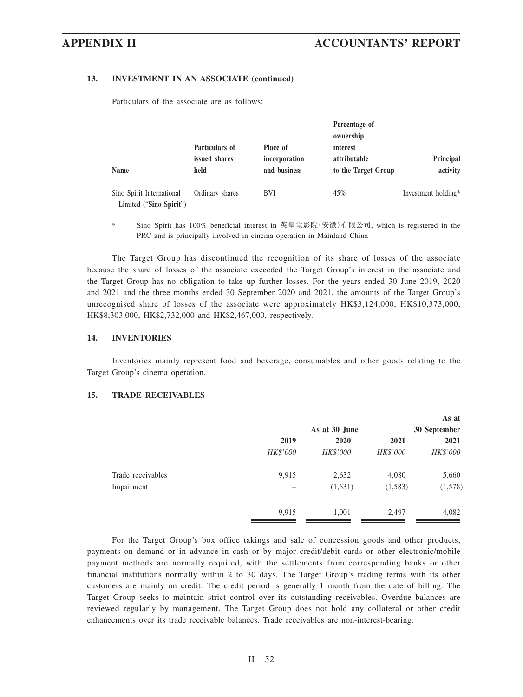### **13. INVESTMENT IN AN ASSOCIATE (continued)**

Particulars of the associate are as follows:

|                                                      | Particulars of        | Place of                      | Percentage of<br>ownership<br>interest |                       |
|------------------------------------------------------|-----------------------|-------------------------------|----------------------------------------|-----------------------|
| <b>Name</b>                                          | issued shares<br>held | incorporation<br>and business | attributable<br>to the Target Group    | Principal<br>activity |
| Sino Spirit International<br>Limited ("Sino Spirit") | Ordinary shares       | <b>BVI</b>                    | 45%                                    | Investment holding*   |

\* Sino Spirit has 100% beneficial interest in 英皇電影院(安徽)有限公司, which is registered in the PRC and is principally involved in cinema operation in Mainland China

The Target Group has discontinued the recognition of its share of losses of the associate because the share of losses of the associate exceeded the Target Group's interest in the associate and the Target Group has no obligation to take up further losses. For the years ended 30 June 2019, 2020 and 2021 and the three months ended 30 September 2020 and 2021, the amounts of the Target Group's unrecognised share of losses of the associate were approximately HK\$3,124,000, HK\$10,373,000, HK\$8,303,000, HK\$2,732,000 and HK\$2,467,000, respectively.

### **14. INVENTORIES**

Inventories mainly represent food and beverage, consumables and other goods relating to the Target Group's cinema operation.

# **15. TRADE RECEIVABLES**

|                   |          |               |          | As at        |
|-------------------|----------|---------------|----------|--------------|
|                   |          | As at 30 June |          | 30 September |
|                   | 2019     | 2020          | 2021     | 2021         |
|                   | HK\$'000 | HK\$'000      | HK\$'000 | HK\$'000     |
| Trade receivables | 9,915    | 2,632         | 4,080    | 5,660        |
| Impairment        |          | (1,631)       | (1,583)  | (1,578)      |
|                   | 9,915    | 1,001         | 2,497    | 4,082        |
|                   |          |               |          |              |

For the Target Group's box office takings and sale of concession goods and other products, payments on demand or in advance in cash or by major credit/debit cards or other electronic/mobile payment methods are normally required, with the settlements from corresponding banks or other financial institutions normally within 2 to 30 days. The Target Group's trading terms with its other customers are mainly on credit. The credit period is generally 1 month from the date of billing. The Target Group seeks to maintain strict control over its outstanding receivables. Overdue balances are reviewed regularly by management. The Target Group does not hold any collateral or other credit enhancements over its trade receivable balances. Trade receivables are non-interest-bearing.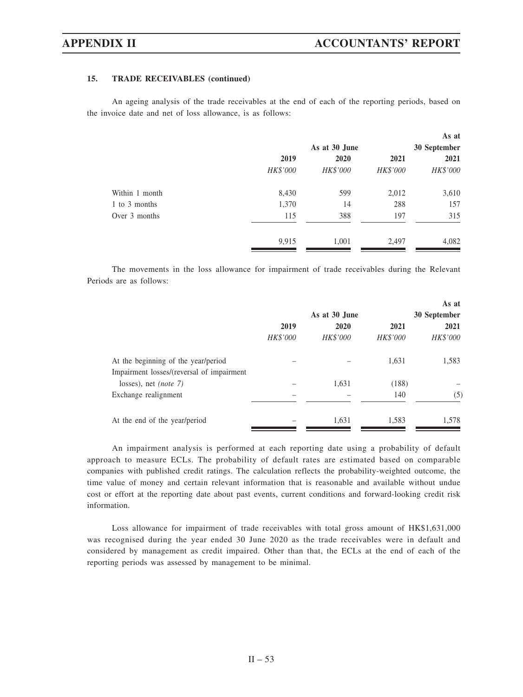# **15. TRADE RECEIVABLES (continued)**

An ageing analysis of the trade receivables at the end of each of the reporting periods, based on the invoice date and net of loss allowance, is as follows:

|                |          |               |          | As at        |
|----------------|----------|---------------|----------|--------------|
|                |          | As at 30 June |          | 30 September |
|                | 2019     | 2020          | 2021     | 2021         |
|                | HK\$'000 | HK\$'000      | HK\$'000 | HK\$'000     |
| Within 1 month | 8,430    | 599           | 2,012    | 3,610        |
| 1 to 3 months  | 1,370    | 14            | 288      | 157          |
| Over 3 months  | 115      | 388           | 197      | 315          |
|                | 9,915    | 1,001         | 2,497    | 4,082        |

The movements in the loss allowance for impairment of trade receivables during the Relevant Periods are as follows:

|                                           |          |               |          | As at        |
|-------------------------------------------|----------|---------------|----------|--------------|
|                                           |          | As at 30 June |          | 30 September |
|                                           | 2019     | 2020          | 2021     | 2021         |
|                                           | HK\$'000 | HK\$'000      | HK\$'000 | HK\$'000     |
| At the beginning of the year/period       |          |               | 1,631    | 1,583        |
| Impairment losses/(reversal of impairment |          |               |          |              |
| losses), net <i>(note</i> $7$ )           |          | 1,631         | (188)    |              |
| Exchange realignment                      |          |               | 140      | (5)          |
| At the end of the year/period             |          | 1,631         | 1,583    | 1,578        |

An impairment analysis is performed at each reporting date using a probability of default approach to measure ECLs. The probability of default rates are estimated based on comparable companies with published credit ratings. The calculation reflects the probability-weighted outcome, the time value of money and certain relevant information that is reasonable and available without undue cost or effort at the reporting date about past events, current conditions and forward-looking credit risk information.

Loss allowance for impairment of trade receivables with total gross amount of HK\$1,631,000 was recognised during the year ended 30 June 2020 as the trade receivables were in default and considered by management as credit impaired. Other than that, the ECLs at the end of each of the reporting periods was assessed by management to be minimal.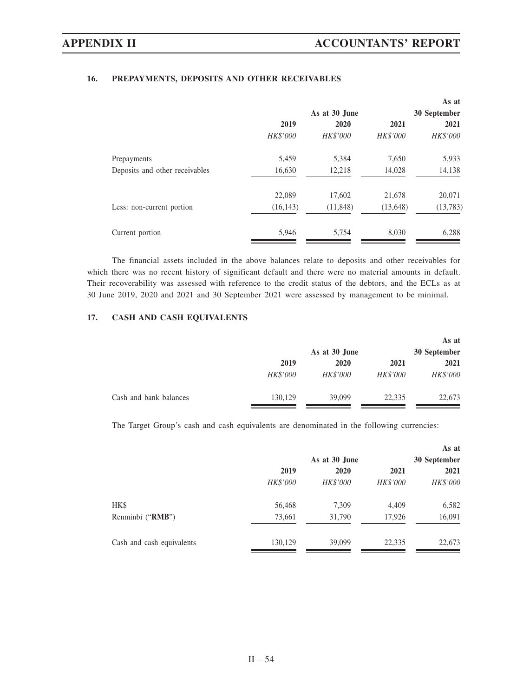# **16. PREPAYMENTS, DEPOSITS AND OTHER RECEIVABLES**

|           |                 |                 | As at        |
|-----------|-----------------|-----------------|--------------|
|           | As at 30 June   |                 | 30 September |
| 2019      | 2020            | 2021            | 2021         |
| HK\$'000  | <b>HK\$'000</b> | <b>HK\$'000</b> | HK\$'000     |
| 5,459     | 5,384           | 7,650           | 5,933        |
| 16,630    | 12,218          | 14,028          | 14,138       |
| 22,089    | 17,602          | 21,678          | 20,071       |
| (16, 143) | (11, 848)       | (13, 648)       | (13,783)     |
| 5,946     | 5,754           | 8,030           | 6,288        |
|           |                 |                 |              |

The financial assets included in the above balances relate to deposits and other receivables for which there was no recent history of significant default and there were no material amounts in default. Their recoverability was assessed with reference to the credit status of the debtors, and the ECLs as at 30 June 2019, 2020 and 2021 and 30 September 2021 were assessed by management to be minimal.

# **17. CASH AND CASH EQUIVALENTS**

|                        |          | As at 30 June |                 | As at<br>30 September |
|------------------------|----------|---------------|-----------------|-----------------------|
|                        | 2019     | 2020          | 2021            | 2021                  |
|                        | HK\$'000 | HK\$'000      | <i>HK\$'000</i> | <i>HK\$'000</i>       |
| Cash and bank balances | 130,129  | 39,099        | 22,335          | 22,673                |

The Target Group's cash and cash equivalents are denominated in the following currencies:

|                           |          | As at 30 June |          | As at<br>30 September |
|---------------------------|----------|---------------|----------|-----------------------|
|                           | 2019     | 2020          | 2021     | 2021                  |
|                           | HK\$'000 | HK\$'000      | HK\$'000 | HK\$'000              |
| HK\$                      | 56,468   | 7,309         | 4,409    | 6,582                 |
| Renminbi ("RMB")          | 73,661   | 31,790        | 17,926   | 16,091                |
| Cash and cash equivalents | 130,129  | 39,099        | 22,335   | 22,673                |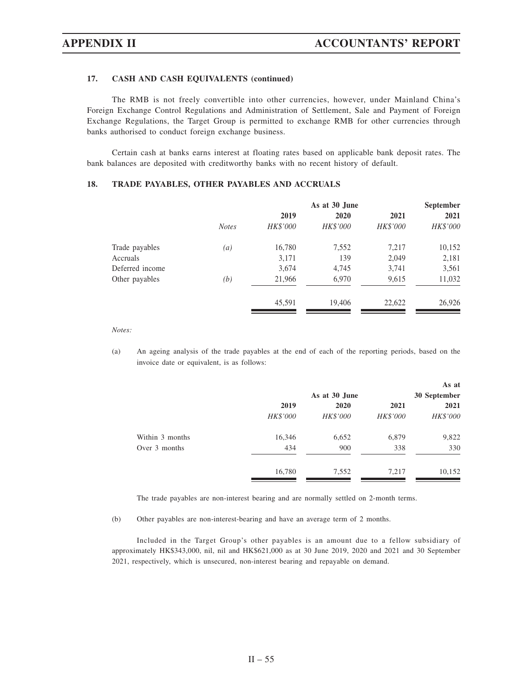# **17. CASH AND CASH EQUIVALENTS (continued)**

The RMB is not freely convertible into other currencies, however, under Mainland China's Foreign Exchange Control Regulations and Administration of Settlement, Sale and Payment of Foreign Exchange Regulations, the Target Group is permitted to exchange RMB for other currencies through banks authorised to conduct foreign exchange business.

Certain cash at banks earns interest at floating rates based on applicable bank deposit rates. The bank balances are deposited with creditworthy banks with no recent history of default.

## **18. TRADE PAYABLES, OTHER PAYABLES AND ACCRUALS**

|                 |              |          | <b>September</b> |          |          |
|-----------------|--------------|----------|------------------|----------|----------|
|                 |              | 2019     | 2020             | 2021     | 2021     |
|                 | <b>Notes</b> | HK\$'000 | HK\$'000         | HK\$'000 | HK\$'000 |
| Trade payables  | (a)          | 16,780   | 7,552            | 7,217    | 10,152   |
| Accruals        |              | 3,171    | 139              | 2,049    | 2,181    |
| Deferred income |              | 3,674    | 4,745            | 3,741    | 3,561    |
| Other payables  | (b)          | 21,966   | 6,970            | 9,615    | 11,032   |
|                 |              | 45,591   | 19,406           | 22,622   | 26,926   |
|                 |              |          |                  |          |          |

*Notes:*

(a) An ageing analysis of the trade payables at the end of each of the reporting periods, based on the invoice date or equivalent, is as follows:

|                 |          |               |                 | As at        |
|-----------------|----------|---------------|-----------------|--------------|
|                 |          | As at 30 June |                 | 30 September |
|                 | 2019     | 2020          | 2021            | 2021         |
|                 | HK\$'000 | HK\$'000      | <b>HK\$'000</b> | HK\$'000     |
| Within 3 months | 16,346   | 6,652         | 6,879           | 9,822        |
| Over 3 months   | 434      | 900           | 338             | 330          |
|                 | 16,780   | 7,552         | 7,217           | 10,152       |

The trade payables are non-interest bearing and are normally settled on 2-month terms.

(b) Other payables are non-interest-bearing and have an average term of 2 months.

Included in the Target Group's other payables is an amount due to a fellow subsidiary of approximately HK\$343,000, nil, nil and HK\$621,000 as at 30 June 2019, 2020 and 2021 and 30 September 2021, respectively, which is unsecured, non-interest bearing and repayable on demand.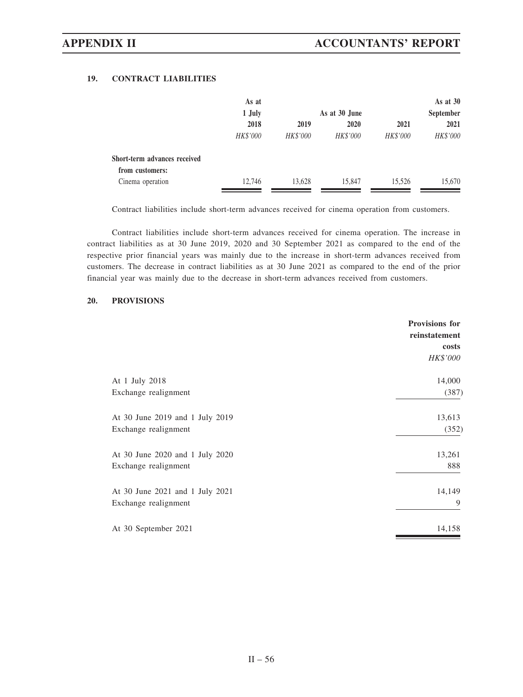# **19. CONTRACT LIABILITIES**

|                              | As at           |                 |                 |                 | As at $30$ |
|------------------------------|-----------------|-----------------|-----------------|-----------------|------------|
|                              | 1 July          |                 | As at 30 June   | September       |            |
|                              | 2018            | 2019            | 2020            | 2021            | 2021       |
|                              | <b>HK\$'000</b> | <b>HK\$'000</b> | <b>HK\$'000</b> | <b>HK\$'000</b> | HK\$'000   |
| Short-term advances received |                 |                 |                 |                 |            |
| from customers:              |                 |                 |                 |                 |            |
| Cinema operation             | 12.746          | 13,628          | 15,847          | 15.526          | 15,670     |

Contract liabilities include short-term advances received for cinema operation from customers.

Contract liabilities include short-term advances received for cinema operation. The increase in contract liabilities as at 30 June 2019, 2020 and 30 September 2021 as compared to the end of the respective prior financial years was mainly due to the increase in short-term advances received from customers. The decrease in contract liabilities as at 30 June 2021 as compared to the end of the prior financial year was mainly due to the decrease in short-term advances received from customers.

## **20. PROVISIONS**

|                                 | <b>Provisions for</b><br>reinstatement<br>costs<br>HK\$'000 |
|---------------------------------|-------------------------------------------------------------|
| At 1 July 2018                  | 14,000                                                      |
| Exchange realignment            | (387)                                                       |
| At 30 June 2019 and 1 July 2019 | 13,613                                                      |
| Exchange realignment            | (352)                                                       |
| At 30 June 2020 and 1 July 2020 | 13,261                                                      |
| Exchange realignment            | 888                                                         |
| At 30 June 2021 and 1 July 2021 | 14,149                                                      |
| Exchange realignment            | 9                                                           |
| At 30 September 2021            | 14,158                                                      |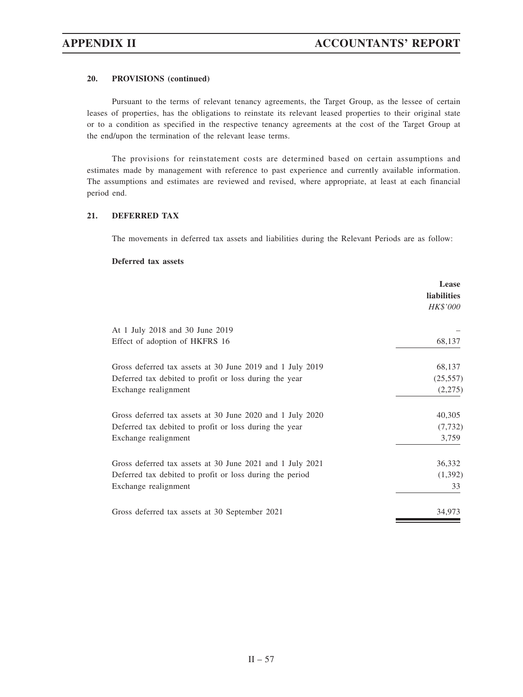# **20. PROVISIONS (continued)**

Pursuant to the terms of relevant tenancy agreements, the Target Group, as the lessee of certain leases of properties, has the obligations to reinstate its relevant leased properties to their original state or to a condition as specified in the respective tenancy agreements at the cost of the Target Group at the end/upon the termination of the relevant lease terms.

The provisions for reinstatement costs are determined based on certain assumptions and estimates made by management with reference to past experience and currently available information. The assumptions and estimates are reviewed and revised, where appropriate, at least at each financial period end.

# **21. DEFERRED TAX**

The movements in deferred tax assets and liabilities during the Relevant Periods are as follow:

### **Deferred tax assets**

|                                                           | Lease<br><b>liabilities</b> |
|-----------------------------------------------------------|-----------------------------|
|                                                           | <i>HK\$'000</i>             |
| At 1 July 2018 and 30 June 2019                           |                             |
| Effect of adoption of HKFRS 16                            | 68,137                      |
| Gross deferred tax assets at 30 June 2019 and 1 July 2019 | 68,137                      |
| Deferred tax debited to profit or loss during the year    | (25, 557)                   |
| Exchange realignment                                      | (2,275)                     |
| Gross deferred tax assets at 30 June 2020 and 1 July 2020 | 40,305                      |
| Deferred tax debited to profit or loss during the year    | (7, 732)                    |
| Exchange realignment                                      | 3,759                       |
| Gross deferred tax assets at 30 June 2021 and 1 July 2021 | 36,332                      |
| Deferred tax debited to profit or loss during the period  | (1,392)                     |
| Exchange realignment                                      | 33                          |
| Gross deferred tax assets at 30 September 2021            | 34,973                      |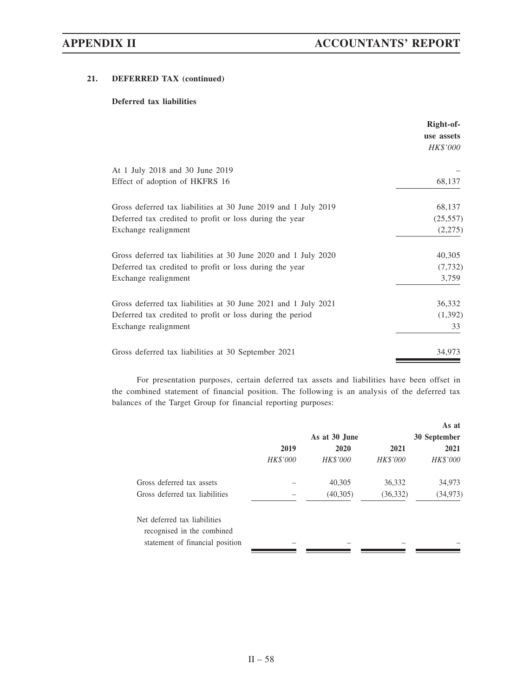# **21. DEFERRED TAX (continued)**

# **Deferred tax liabilities**

|                                                                | Right-of-<br>use assets<br><b>HK\$'000</b> |
|----------------------------------------------------------------|--------------------------------------------|
| At 1 July 2018 and 30 June 2019                                |                                            |
| Effect of adoption of HKFRS 16                                 | 68,137                                     |
| Gross deferred tax liabilities at 30 June 2019 and 1 July 2019 | 68,137                                     |
| Deferred tax credited to profit or loss during the year        | (25, 557)                                  |
| Exchange realignment                                           | (2,275)                                    |
| Gross deferred tax liabilities at 30 June 2020 and 1 July 2020 | 40,305                                     |
| Deferred tax credited to profit or loss during the year        | (7, 732)                                   |
| Exchange realignment                                           | 3,759                                      |
| Gross deferred tax liabilities at 30 June 2021 and 1 July 2021 | 36,332                                     |
| Deferred tax credited to profit or loss during the period      | (1,392)                                    |
| Exchange realignment                                           | 33                                         |
| Gross deferred tax liabilities at 30 September 2021            | 34,973                                     |

For presentation purposes, certain deferred tax assets and liabilities have been offset in the combined statement of financial position. The following is an analysis of the deferred tax balances of the Target Group for financial reporting purposes:

|                                                            |          | As at 30 June |                 | As at<br>30 September |
|------------------------------------------------------------|----------|---------------|-----------------|-----------------------|
|                                                            | 2019     | 2020          | 2021            | 2021                  |
|                                                            | HK\$'000 | HK\$'000      | <b>HK\$'000</b> | <b>HK\$'000</b>       |
| Gross deferred tax assets                                  |          | 40,305        | 36,332          | 34,973                |
| Gross deferred tax liabilities                             |          | (40,305)      | (36, 332)       | (34, 973)             |
| Net deferred tax liabilities<br>recognised in the combined |          |               |                 |                       |
| statement of financial position                            |          |               |                 |                       |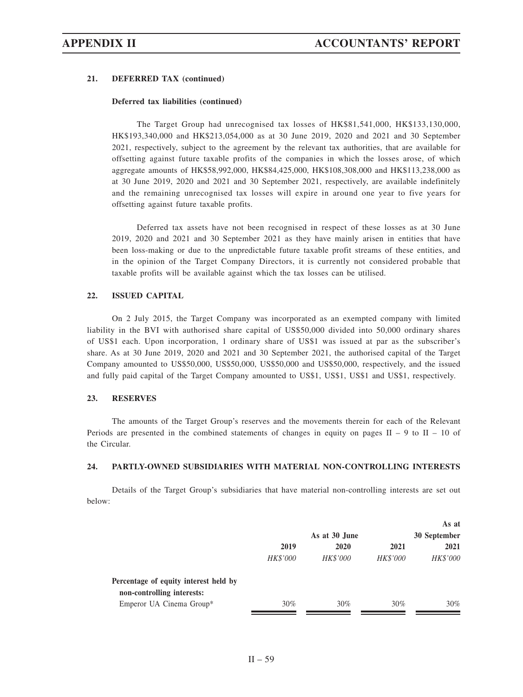### **21. DEFERRED TAX (continued)**

### **Deferred tax liabilities (continued)**

The Target Group had unrecognised tax losses of HK\$81,541,000, HK\$133,130,000, HK\$193,340,000 and HK\$213,054,000 as at 30 June 2019, 2020 and 2021 and 30 September 2021, respectively, subject to the agreement by the relevant tax authorities, that are available for offsetting against future taxable profits of the companies in which the losses arose, of which aggregate amounts of HK\$58,992,000, HK\$84,425,000, HK\$108,308,000 and HK\$113,238,000 as at 30 June 2019, 2020 and 2021 and 30 September 2021, respectively, are available indefinitely and the remaining unrecognised tax losses will expire in around one year to five years for offsetting against future taxable profits.

Deferred tax assets have not been recognised in respect of these losses as at 30 June 2019, 2020 and 2021 and 30 September 2021 as they have mainly arisen in entities that have been loss-making or due to the unpredictable future taxable profit streams of these entities, and in the opinion of the Target Company Directors, it is currently not considered probable that taxable profits will be available against which the tax losses can be utilised.

# **22. ISSUED CAPITAL**

On 2 July 2015, the Target Company was incorporated as an exempted company with limited liability in the BVI with authorised share capital of US\$50,000 divided into 50,000 ordinary shares of US\$1 each. Upon incorporation, 1 ordinary share of US\$1 was issued at par as the subscriber's share. As at 30 June 2019, 2020 and 2021 and 30 September 2021, the authorised capital of the Target Company amounted to US\$50,000, US\$50,000, US\$50,000 and US\$50,000, respectively, and the issued and fully paid capital of the Target Company amounted to US\$1, US\$1, US\$1 and US\$1, respectively.

### **23. RESERVES**

The amounts of the Target Group's reserves and the movements therein for each of the Relevant Periods are presented in the combined statements of changes in equity on pages  $II - 9$  to  $II - 10$  of the Circular.

### **24. PARTLY-OWNED SUBSIDIARIES WITH MATERIAL NON-CONTROLLING INTERESTS**

Details of the Target Group's subsidiaries that have material non-controlling interests are set out below:

|                                       |                 |                 |                 | As at           |
|---------------------------------------|-----------------|-----------------|-----------------|-----------------|
|                                       |                 | As at 30 June   |                 | 30 September    |
|                                       | 2019            | 2020            | 2021            | 2021            |
|                                       | <b>HK\$'000</b> | <b>HK\$'000</b> | <b>HK\$'000</b> | <i>HK\$'000</i> |
| Percentage of equity interest held by |                 |                 |                 |                 |
| non-controlling interests:            |                 |                 |                 |                 |
| Emperor UA Cinema Group*              | 30%             | 30%             | 30%             | $30\%$          |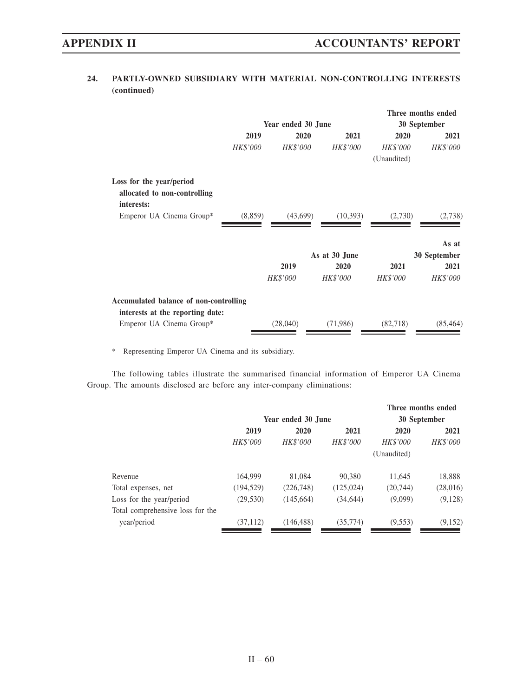# **24. PARTLY-OWNED SUBSIDIARY WITH MATERIAL NON-CONTROLLING INTERESTS (continued)**

|                                            |                     |                 |                 | Three months ended |
|--------------------------------------------|---------------------|-----------------|-----------------|--------------------|
|                                            | Year ended 30 June  |                 |                 | 30 September       |
|                                            | 2019                | 2020<br>2021    | 2020            | 2021               |
| <b>HK\$'000</b>                            | <b>HK\$'000</b>     | <b>HK\$'000</b> | <b>HK\$'000</b> | <b>HK\$'000</b>    |
|                                            |                     |                 | (Unaudited)     |                    |
| Loss for the year/period                   |                     |                 |                 |                    |
| allocated to non-controlling<br>interests: |                     |                 |                 |                    |
| Emperor UA Cinema Group*                   | (43,699)<br>(8,859) | (10, 393)       | (2,730)         | (2,738)            |
|                                            |                     |                 |                 | As at              |
|                                            |                     | As at 30 June   |                 | 30 September       |
|                                            | 2019                | 2020            | 2021            | 2021               |
|                                            | <b>HK\$'000</b>     | <b>HK\$'000</b> | <b>HK\$'000</b> | <b>HK\$'000</b>    |
| Accumulated balance of non-controlling     |                     |                 |                 |                    |
| interests at the reporting date:           |                     |                 |                 |                    |
| Emperor UA Cinema Group*                   | (28,040)            | (71,986)        | (82, 718)       | (85, 464)          |

\* Representing Emperor UA Cinema and its subsidiary.

The following tables illustrate the summarised financial information of Emperor UA Cinema Group. The amounts disclosed are before any inter-company eliminations:

|                                                 |                 |                    |            |             | Three months ended |
|-------------------------------------------------|-----------------|--------------------|------------|-------------|--------------------|
|                                                 |                 | Year ended 30 June |            |             | 30 September       |
|                                                 | 2019            | 2020               | 2021       | 2020        | 2021               |
|                                                 | <b>HK\$'000</b> | <b>HK\$'000</b>    | HK\$'000   | HK\$'000    | <i>HK\$'000</i>    |
|                                                 |                 |                    |            | (Unaudited) |                    |
| Revenue                                         | 164,999         | 81,084             | 90,380     | 11,645      | 18,888             |
| Total expenses, net                             | (194, 529)      | (226,748)          | (125, 024) | (20, 744)   | (28,016)           |
| Loss for the year/period                        | (29, 530)       | (145, 664)         | (34, 644)  | (9,099)     | (9,128)            |
| Total comprehensive loss for the<br>year/period | (37, 112)       | (146, 488)         | (35, 774)  | (9,553)     | (9,152)            |
|                                                 |                 |                    |            |             |                    |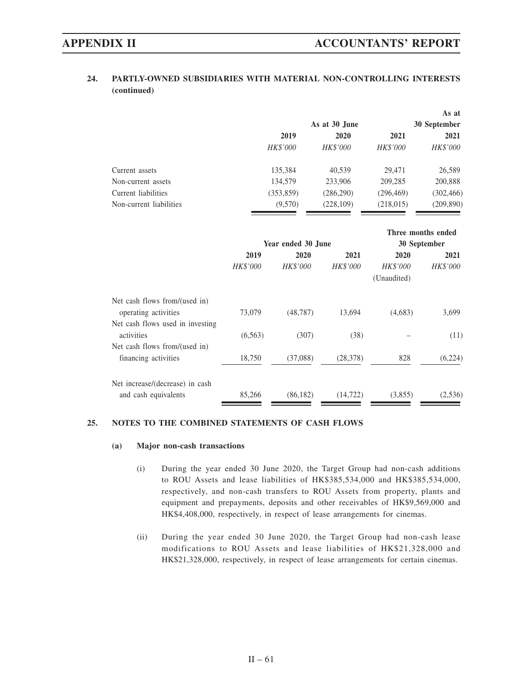# **24. PARTLY-OWNED SUBSIDIARIES WITH MATERIAL NON-CONTROLLING INTERESTS (continued)**

|                         |                 |                 |                 | As at           |
|-------------------------|-----------------|-----------------|-----------------|-----------------|
|                         |                 | As at 30 June   |                 | 30 September    |
|                         | 2019            | 2020            | 2021            | 2021            |
|                         | <b>HK\$'000</b> | <b>HK\$'000</b> | <b>HK\$'000</b> | <i>HK\$'000</i> |
| Current assets          | 135,384         | 40,539          | 29.471          | 26,589          |
| Non-current assets      | 134,579         | 233,906         | 209,285         | 200,888         |
| Current liabilities     | (353, 859)      | (286, 290)      | (296, 469)      | (302, 466)      |
| Non-current liabilities | (9,570)         | (228, 109)      | (218, 015)      | (209, 890)      |

|                                  |                 |                    |                 | Three months ended |                 |  |
|----------------------------------|-----------------|--------------------|-----------------|--------------------|-----------------|--|
|                                  |                 | Year ended 30 June |                 | 30 September       |                 |  |
|                                  | 2019            | 2020               | 2021            | 2020               | 2021            |  |
|                                  | <b>HK\$'000</b> | <b>HK\$'000</b>    | <b>HK\$'000</b> | <b>HK\$'000</b>    | <b>HK\$'000</b> |  |
|                                  |                 |                    |                 | (Unaudited)        |                 |  |
| Net cash flows from/(used in)    |                 |                    |                 |                    |                 |  |
| operating activities             | 73,079          | (48, 787)          | 13.694          | (4,683)            | 3,699           |  |
| Net cash flows used in investing |                 |                    |                 |                    |                 |  |
| activities                       | (6,563)         | (307)              | (38)            |                    | (11)            |  |
| Net cash flows from/(used in)    |                 |                    |                 |                    |                 |  |
| financing activities             | 18,750          | (37,088)           | (28, 378)       | 828                | (6,224)         |  |
| Net increase/(decrease) in cash  |                 |                    |                 |                    |                 |  |
| and cash equivalents             | 85,266          | (86, 182)          | (14, 722)       | (3,855)            | (2,536)         |  |

# **25. NOTES TO THE COMBINED STATEMENTS OF CASH FLOWS**

### **(a) Major non-cash transactions**

- (i) During the year ended 30 June 2020, the Target Group had non-cash additions to ROU Assets and lease liabilities of HK\$385,534,000 and HK\$385,534,000, respectively, and non-cash transfers to ROU Assets from property, plants and equipment and prepayments, deposits and other receivables of HK\$9,569,000 and HK\$4,408,000, respectively, in respect of lease arrangements for cinemas.
- (ii) During the year ended 30 June 2020, the Target Group had non-cash lease modifications to ROU Assets and lease liabilities of HK\$21,328,000 and HK\$21,328,000, respectively, in respect of lease arrangements for certain cinemas.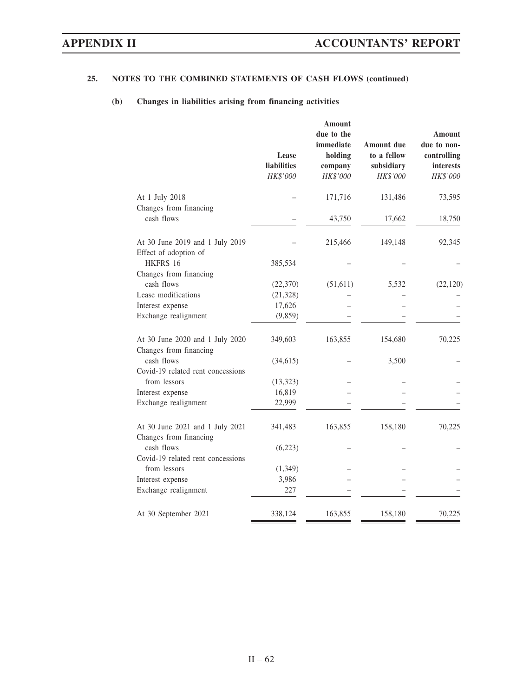# **25. NOTES TO THE COMBINED STATEMENTS OF CASH FLOWS (continued)**

# **(b) Changes in liabilities arising from financing activities**

|                                                           | Lease<br><b>liabilities</b><br>HK\$'000 | Amount<br>due to the<br>immediate<br>holding<br>company<br>HK\$'000 | <b>Amount due</b><br>to a fellow<br>subsidiary<br>HK\$'000 | Amount<br>due to non-<br>controlling<br><i>interests</i><br>HK\$'000 |
|-----------------------------------------------------------|-----------------------------------------|---------------------------------------------------------------------|------------------------------------------------------------|----------------------------------------------------------------------|
| At 1 July 2018                                            |                                         | 171,716                                                             | 131,486                                                    | 73,595                                                               |
| Changes from financing                                    |                                         |                                                                     |                                                            |                                                                      |
| cash flows                                                |                                         | 43,750                                                              | 17,662                                                     | 18,750                                                               |
| At 30 June 2019 and 1 July 2019<br>Effect of adoption of  |                                         | 215,466                                                             | 149,148                                                    | 92,345                                                               |
| HKFRS 16                                                  | 385,534                                 |                                                                     |                                                            |                                                                      |
| Changes from financing                                    |                                         |                                                                     |                                                            |                                                                      |
| cash flows                                                | (22,370)                                | (51,611)                                                            | 5,532                                                      | (22, 120)                                                            |
| Lease modifications                                       | (21, 328)                               |                                                                     |                                                            |                                                                      |
| Interest expense                                          | 17,626                                  |                                                                     |                                                            |                                                                      |
| Exchange realignment                                      | (9, 859)                                |                                                                     |                                                            |                                                                      |
| At 30 June 2020 and 1 July 2020<br>Changes from financing | 349,603                                 | 163,855                                                             | 154,680                                                    | 70,225                                                               |
| cash flows                                                | (34,615)                                |                                                                     | 3,500                                                      |                                                                      |
| Covid-19 related rent concessions                         |                                         |                                                                     |                                                            |                                                                      |
| from lessors                                              | (13, 323)                               |                                                                     |                                                            |                                                                      |
| Interest expense                                          | 16,819                                  |                                                                     |                                                            |                                                                      |
| Exchange realignment                                      | 22,999                                  |                                                                     |                                                            |                                                                      |
| At 30 June 2021 and 1 July 2021<br>Changes from financing | 341,483                                 | 163,855                                                             | 158,180                                                    | 70,225                                                               |
| cash flows                                                | (6,223)                                 |                                                                     |                                                            |                                                                      |
| Covid-19 related rent concessions                         |                                         |                                                                     |                                                            |                                                                      |
| from lessors                                              | (1, 349)                                |                                                                     |                                                            |                                                                      |
| Interest expense                                          | 3,986                                   |                                                                     |                                                            |                                                                      |
| Exchange realignment                                      | 227                                     |                                                                     |                                                            |                                                                      |
| At 30 September 2021                                      | 338,124                                 | 163,855                                                             | 158,180                                                    | 70,225                                                               |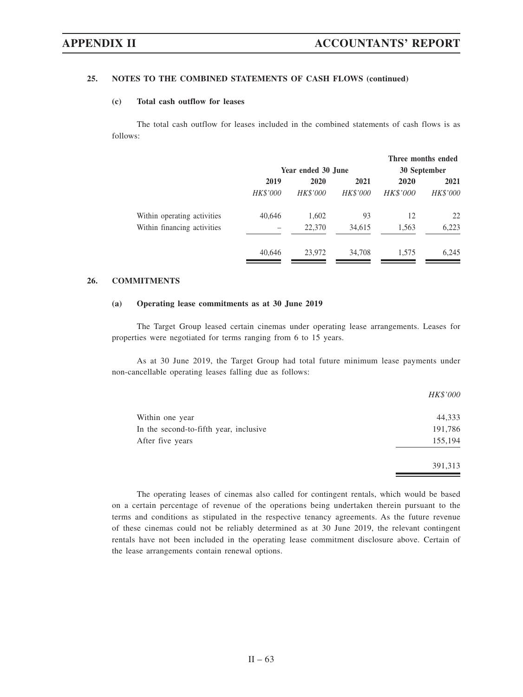## **25. NOTES TO THE COMBINED STATEMENTS OF CASH FLOWS (continued)**

### **(c) Total cash outflow for leases**

The total cash outflow for leases included in the combined statements of cash flows is as follows:

|                             | Year ended 30 June |                 |                 | Three months ended<br>30 September |          |  |
|-----------------------------|--------------------|-----------------|-----------------|------------------------------------|----------|--|
|                             | 2019               | 2020            | 2020            | 2021                               |          |  |
|                             | <b>HK\$'000</b>    | <b>HK\$'000</b> | <b>HK\$'000</b> | <b>HK\$'000</b>                    | HK\$'000 |  |
| Within operating activities | 40,646             | 1,602           | 93              | 12                                 | 22       |  |
| Within financing activities |                    | 22,370          | 34,615          | 1,563                              | 6,223    |  |
|                             | 40,646             | 23,972          | 34,708          | 1.575                              | 6,245    |  |

## **26. COMMITMENTS**

### **(a) Operating lease commitments as at 30 June 2019**

The Target Group leased certain cinemas under operating lease arrangements. Leases for properties were negotiated for terms ranging from 6 to 15 years.

As at 30 June 2019, the Target Group had total future minimum lease payments under non-cancellable operating leases falling due as follows:

|                                        | HK\$'000 |
|----------------------------------------|----------|
| Within one year                        | 44,333   |
| In the second-to-fifth year, inclusive | 191,786  |
| After five years                       | 155,194  |
|                                        | 391,313  |

The operating leases of cinemas also called for contingent rentals, which would be based on a certain percentage of revenue of the operations being undertaken therein pursuant to the terms and conditions as stipulated in the respective tenancy agreements. As the future revenue of these cinemas could not be reliably determined as at 30 June 2019, the relevant contingent rentals have not been included in the operating lease commitment disclosure above. Certain of the lease arrangements contain renewal options.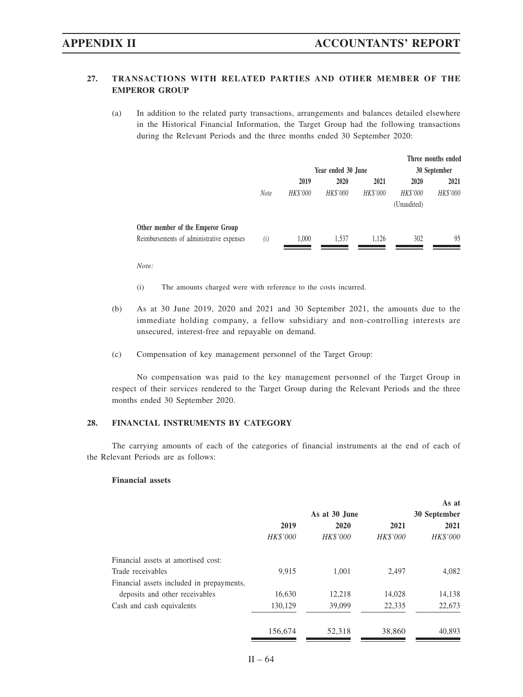# **27. TRANSACTIONS WITH RELATED PARTIES AND OTHER MEMBER OF THE EMPEROR GROUP**

(a) In addition to the related party transactions, arrangements and balances detailed elsewhere in the Historical Financial Information, the Target Group had the following transactions during the Relevant Periods and the three months ended 30 September 2020:

|                                           |             |                      |                    |          |              | Three months ended |  |
|-------------------------------------------|-------------|----------------------|--------------------|----------|--------------|--------------------|--|
|                                           |             |                      | Year ended 30 June |          | 30 September |                    |  |
|                                           |             | 2020<br>2021<br>2019 |                    |          | 2020         | 2021               |  |
|                                           | <b>Note</b> | HK\$'000             | HK\$'000           | HK\$'000 | HK\$'000     | HK\$'000           |  |
|                                           |             |                      |                    |          | (Unaudited)  |                    |  |
| Other member of the Emperor Group         |             |                      |                    |          |              |                    |  |
| Reimbursements of administrative expenses | (i)         | 1.000                | 1.537              | 1.126    | 302          | 95                 |  |
|                                           |             |                      |                    |          |              |                    |  |

*Note:*

- (i) The amounts charged were with reference to the costs incurred.
- (b) As at 30 June 2019, 2020 and 2021 and 30 September 2021, the amounts due to the immediate holding company, a fellow subsidiary and non-controlling interests are unsecured, interest-free and repayable on demand.
- (c) Compensation of key management personnel of the Target Group:

No compensation was paid to the key management personnel of the Target Group in respect of their services rendered to the Target Group during the Relevant Periods and the three months ended 30 September 2020.

### **28. FINANCIAL INSTRUMENTS BY CATEGORY**

The carrying amounts of each of the categories of financial instruments at the end of each of the Relevant Periods are as follows:

### **Financial assets**

|                                           |          |                 |                 | As at        |  |
|-------------------------------------------|----------|-----------------|-----------------|--------------|--|
|                                           |          | As at 30 June   |                 | 30 September |  |
|                                           | 2019     | 2020            | 2021            | 2021         |  |
|                                           | HK\$'000 | <b>HK\$'000</b> | <b>HK\$'000</b> | HK\$'000     |  |
| Financial assets at amortised cost:       |          |                 |                 |              |  |
| Trade receivables                         | 9.915    | 1.001           | 2.497           | 4.082        |  |
| Financial assets included in prepayments, |          |                 |                 |              |  |
| deposits and other receivables            | 16,630   | 12.218          | 14,028          | 14,138       |  |
| Cash and cash equivalents                 | 130,129  | 39,099          | 22,335          | 22,673       |  |
|                                           | 156,674  | 52,318          | 38,860          | 40,893       |  |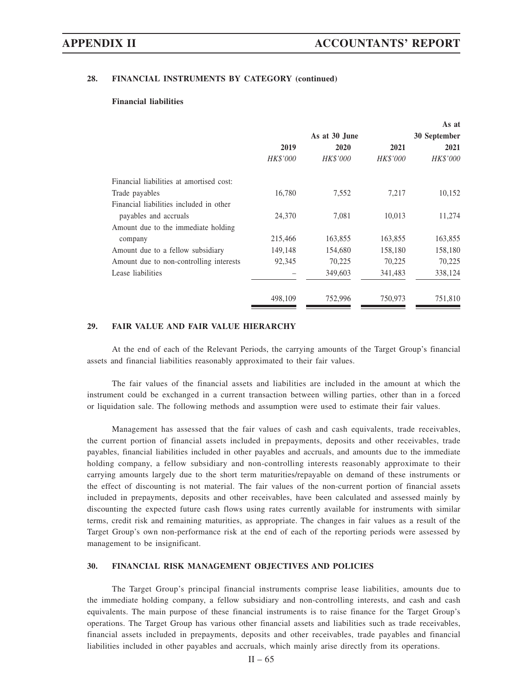### **28. FINANCIAL INSTRUMENTS BY CATEGORY (continued)**

### **Financial liabilities**

|                                          |               |          |                 | As at        |  |  |
|------------------------------------------|---------------|----------|-----------------|--------------|--|--|
|                                          | As at 30 June |          |                 | 30 September |  |  |
|                                          | 2019          | 2020     | 2021            | 2021         |  |  |
|                                          | HK\$'000      | HK\$'000 | <b>HK\$'000</b> | HK\$'000     |  |  |
| Financial liabilities at amortised cost: |               |          |                 |              |  |  |
| Trade payables                           | 16,780        | 7,552    | 7,217           | 10,152       |  |  |
| Financial liabilities included in other  |               |          |                 |              |  |  |
| payables and accruals                    | 24,370        | 7.081    | 10,013          | 11,274       |  |  |
| Amount due to the immediate holding      |               |          |                 |              |  |  |
| company                                  | 215,466       | 163,855  | 163,855         | 163,855      |  |  |
| Amount due to a fellow subsidiary        | 149,148       | 154,680  | 158,180         | 158,180      |  |  |
| Amount due to non-controlling interests  | 92,345        | 70,225   | 70,225          | 70,225       |  |  |
| Lease liabilities                        |               | 349,603  | 341,483         | 338,124      |  |  |
|                                          | 498.109       | 752,996  | 750,973         | 751,810      |  |  |

# **29. FAIR VALUE AND FAIR VALUE HIERARCHY**

At the end of each of the Relevant Periods, the carrying amounts of the Target Group's financial assets and financial liabilities reasonably approximated to their fair values.

The fair values of the financial assets and liabilities are included in the amount at which the instrument could be exchanged in a current transaction between willing parties, other than in a forced or liquidation sale. The following methods and assumption were used to estimate their fair values.

Management has assessed that the fair values of cash and cash equivalents, trade receivables, the current portion of financial assets included in prepayments, deposits and other receivables, trade payables, financial liabilities included in other payables and accruals, and amounts due to the immediate holding company, a fellow subsidiary and non-controlling interests reasonably approximate to their carrying amounts largely due to the short term maturities/repayable on demand of these instruments or the effect of discounting is not material. The fair values of the non-current portion of financial assets included in prepayments, deposits and other receivables, have been calculated and assessed mainly by discounting the expected future cash flows using rates currently available for instruments with similar terms, credit risk and remaining maturities, as appropriate. The changes in fair values as a result of the Target Group's own non-performance risk at the end of each of the reporting periods were assessed by management to be insignificant.

### **30. FINANCIAL RISK MANAGEMENT OBJECTIVES AND POLICIES**

The Target Group's principal financial instruments comprise lease liabilities, amounts due to the immediate holding company, a fellow subsidiary and non-controlling interests, and cash and cash equivalents. The main purpose of these financial instruments is to raise finance for the Target Group's operations. The Target Group has various other financial assets and liabilities such as trade receivables, financial assets included in prepayments, deposits and other receivables, trade payables and financial liabilities included in other payables and accruals, which mainly arise directly from its operations.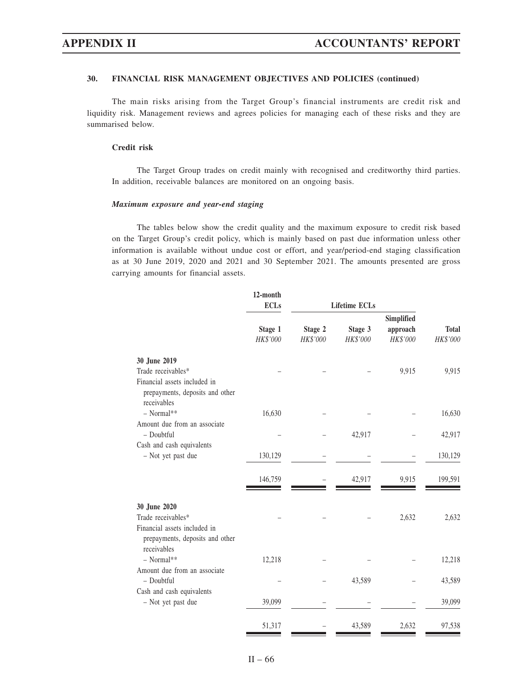The main risks arising from the Target Group's financial instruments are credit risk and liquidity risk. Management reviews and agrees policies for managing each of these risks and they are summarised below.

### **Credit risk**

The Target Group trades on credit mainly with recognised and creditworthy third parties. In addition, receivable balances are monitored on an ongoing basis.

### *Maximum exposure and year-end staging*

The tables below show the credit quality and the maximum exposure to credit risk based on the Target Group's credit policy, which is mainly based on past due information unless other information is available without undue cost or effort, and year/period-end staging classification as at 30 June 2019, 2020 and 2021 and 30 September 2021. The amounts presented are gross carrying amounts for financial assets.

|                                                                                | 12-month<br><b>ECLs</b> |                     |                      |                      |                          |
|--------------------------------------------------------------------------------|-------------------------|---------------------|----------------------|----------------------|--------------------------|
|                                                                                |                         |                     | <b>Lifetime ECLs</b> | Simplified           |                          |
|                                                                                | Stage 1<br>HK\$'000     | Stage 2<br>HK\$'000 | Stage 3<br>HK\$'000  | approach<br>HK\$'000 | <b>Total</b><br>HK\$'000 |
| 30 June 2019                                                                   |                         |                     |                      |                      |                          |
| Trade receivables*                                                             |                         |                     |                      | 9,915                | 9,915                    |
| Financial assets included in<br>prepayments, deposits and other<br>receivables |                         |                     |                      |                      |                          |
| $-$ Normal**                                                                   | 16,630                  |                     |                      |                      | 16,630                   |
| Amount due from an associate<br>- Doubtful                                     |                         |                     | 42,917               |                      | 42,917                   |
| Cash and cash equivalents                                                      |                         |                     |                      |                      |                          |
| - Not yet past due                                                             | 130,129                 |                     |                      |                      | 130,129                  |
|                                                                                | 146,759                 |                     | 42,917               | 9,915                | 199,591                  |
| 30 June 2020                                                                   |                         |                     |                      |                      |                          |
| Trade receivables*                                                             |                         |                     |                      | 2,632                | 2,632                    |
| Financial assets included in<br>prepayments, deposits and other<br>receivables |                         |                     |                      |                      |                          |
| - Normal**                                                                     | 12,218                  |                     |                      |                      | 12,218                   |
| Amount due from an associate<br>- Doubtful                                     |                         |                     | 43,589               |                      | 43,589                   |
| Cash and cash equivalents<br>- Not yet past due                                | 39,099                  |                     |                      |                      | 39,099                   |
|                                                                                | 51,317                  |                     | 43,589               | 2,632                | 97,538                   |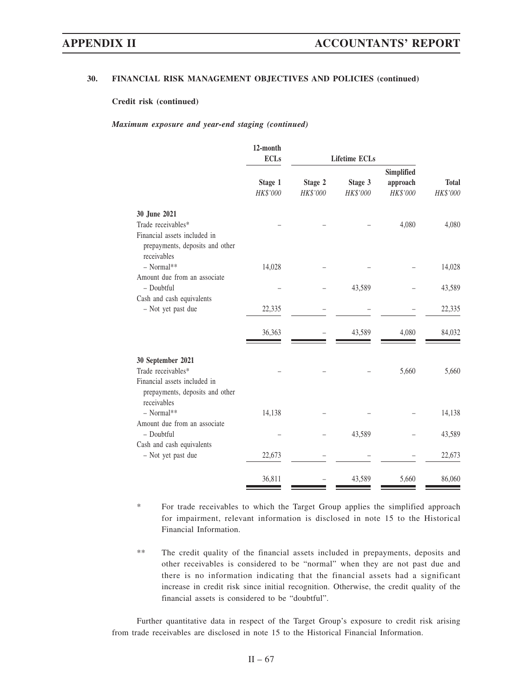**Credit risk (continued)**

*Maximum exposure and year-end staging (continued)*

| 12-month |                                              |                     |                                                    |                                    |
|----------|----------------------------------------------|---------------------|----------------------------------------------------|------------------------------------|
|          |                                              |                     |                                                    |                                    |
|          |                                              |                     |                                                    |                                    |
|          |                                              |                     |                                                    | <b>Total</b>                       |
|          |                                              |                     |                                                    | HK\$'000                           |
|          |                                              |                     |                                                    |                                    |
|          |                                              |                     | 4,080                                              | 4,080                              |
|          |                                              |                     |                                                    |                                    |
| 14,028   |                                              |                     |                                                    | 14,028                             |
|          |                                              |                     |                                                    |                                    |
|          |                                              | 43,589              |                                                    | 43,589                             |
|          |                                              |                     |                                                    |                                    |
| 22,335   |                                              |                     |                                                    | 22,335                             |
| 36,363   |                                              | 43,589              | 4,080                                              | 84,032                             |
|          |                                              |                     |                                                    |                                    |
|          |                                              |                     | 5,660                                              | 5,660                              |
|          |                                              |                     |                                                    |                                    |
|          |                                              |                     |                                                    | 14,138                             |
|          |                                              |                     |                                                    |                                    |
|          |                                              | 43,589              |                                                    | 43,589                             |
|          |                                              |                     |                                                    |                                    |
| 22,673   |                                              |                     |                                                    | 22,673                             |
| 36,811   |                                              | 43,589              | 5,660                                              | 86,060                             |
|          | <b>ECLs</b><br>Stage 1<br>HK\$'000<br>14,138 | Stage 2<br>HK\$'000 | <b>Lifetime ECLs</b><br>Stage 3<br><b>HK\$'000</b> | Simplified<br>approach<br>HK\$'000 |

\* For trade receivables to which the Target Group applies the simplified approach for impairment, relevant information is disclosed in note 15 to the Historical Financial Information.

\*\* The credit quality of the financial assets included in prepayments, deposits and other receivables is considered to be "normal" when they are not past due and there is no information indicating that the financial assets had a significant increase in credit risk since initial recognition. Otherwise, the credit quality of the financial assets is considered to be "doubtful".

Further quantitative data in respect of the Target Group's exposure to credit risk arising from trade receivables are disclosed in note 15 to the Historical Financial Information.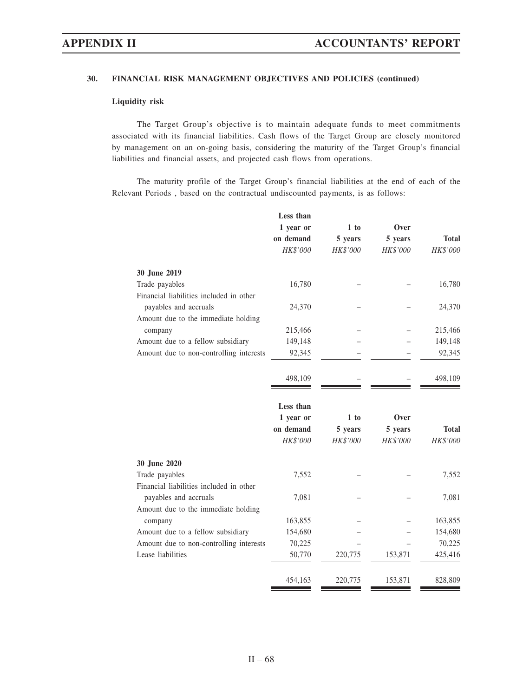### **Liquidity risk**

The Target Group's objective is to maintain adequate funds to meet commitments associated with its financial liabilities. Cash flows of the Target Group are closely monitored by management on an on-going basis, considering the maturity of the Target Group's financial liabilities and financial assets, and projected cash flows from operations.

The maturity profile of the Target Group's financial liabilities at the end of each of the Relevant Periods , based on the contractual undiscounted payments, is as follows:

|                                         | Less than |          |          |              |
|-----------------------------------------|-----------|----------|----------|--------------|
|                                         | 1 year or | 1 to     | Over     |              |
|                                         | on demand | 5 years  | 5 years  | <b>Total</b> |
|                                         | HK\$'000  | HK\$'000 | HK\$'000 | HK\$'000     |
| 30 June 2019                            |           |          |          |              |
| Trade payables                          | 16,780    |          |          | 16,780       |
| Financial liabilities included in other |           |          |          |              |
| payables and accruals                   | 24,370    |          |          | 24,370       |
| Amount due to the immediate holding     |           |          |          |              |
| company                                 | 215,466   |          |          | 215,466      |
| Amount due to a fellow subsidiary       | 149,148   |          |          | 149,148      |
| Amount due to non-controlling interests | 92,345    |          |          | 92,345       |
|                                         | 498,109   |          |          | 498,109      |
|                                         |           |          |          |              |
|                                         | Less than |          |          |              |
|                                         | 1 year or | 1 to     | Over     |              |
|                                         | on demand | 5 years  | 5 years  | <b>Total</b> |
|                                         | HK\$'000  | HK\$'000 | HK\$'000 | HK\$'000     |
| 30 June 2020                            |           |          |          |              |
| Trade payables                          | 7,552     |          |          | 7,552        |
| Financial liabilities included in other |           |          |          |              |
| payables and accruals                   | 7,081     |          |          | 7,081        |
| Amount due to the immediate holding     |           |          |          |              |
| company                                 | 163,855   |          |          | 163,855      |
| Amount due to a fellow subsidiary       | 154,680   |          |          | 154,680      |
| Amount due to non-controlling interests | 70,225    |          |          | 70,225       |
| Lease liabilities                       | 50,770    | 220,775  | 153,871  | 425,416      |
|                                         | 454,163   | 220,775  | 153,871  | 828,809      |
|                                         |           |          |          |              |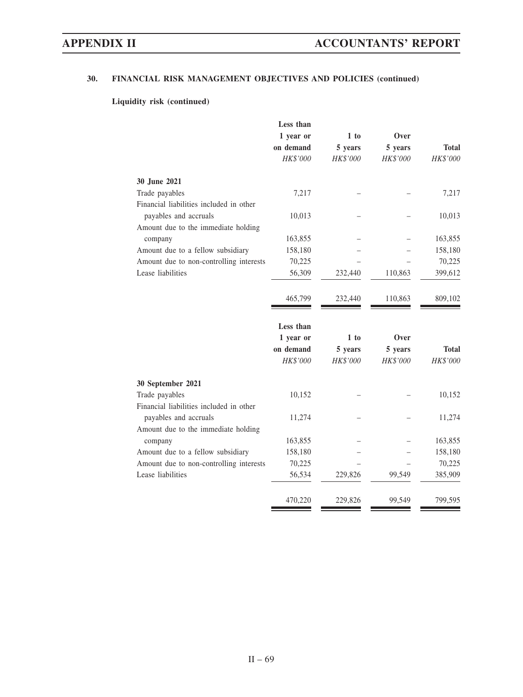# **Liquidity risk (continued)**

| Less than |          |          |              |
|-----------|----------|----------|--------------|
| 1 year or | 1 to     | Over     |              |
| on demand | 5 years  | 5 years  | <b>Total</b> |
| HK\$'000  | HK\$'000 | HK\$'000 | HK\$'000     |
|           |          |          |              |
| 7,217     |          |          | 7,217        |
|           |          |          |              |
| 10,013    |          |          | 10,013       |
|           |          |          |              |
| 163,855   |          |          | 163,855      |
| 158,180   |          |          | 158,180      |
| 70,225    |          |          | 70,225       |
| 56,309    | 232,440  | 110,863  | 399,612      |
| 465,799   | 232,440  | 110,863  | 809,102      |
| Less than |          |          |              |
| 1 year or | 1 to     | Over     |              |
| on demand | 5 years  | 5 years  | <b>Total</b> |
| HK\$'000  | HK\$'000 | HK\$'000 | HK\$'000     |
|           |          |          |              |
| 10,152    |          |          | 10,152       |
|           |          |          |              |
| 11,274    |          |          | 11,274       |
|           |          |          |              |
| 163,855   |          |          | 163,855      |
| 158,180   |          |          | 158,180      |
| 70,225    |          |          | 70,225       |
| 56,534    | 229,826  | 99,549   | 385,909      |
| 470,220   | 229,826  | 99,549   | 799,595      |
|           |          |          |              |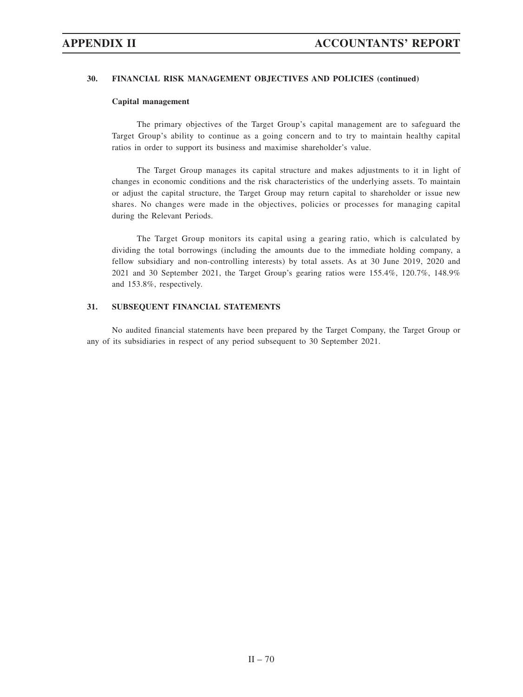### **Capital management**

The primary objectives of the Target Group's capital management are to safeguard the Target Group's ability to continue as a going concern and to try to maintain healthy capital ratios in order to support its business and maximise shareholder's value.

The Target Group manages its capital structure and makes adjustments to it in light of changes in economic conditions and the risk characteristics of the underlying assets. To maintain or adjust the capital structure, the Target Group may return capital to shareholder or issue new shares. No changes were made in the objectives, policies or processes for managing capital during the Relevant Periods.

The Target Group monitors its capital using a gearing ratio, which is calculated by dividing the total borrowings (including the amounts due to the immediate holding company, a fellow subsidiary and non-controlling interests) by total assets. As at 30 June 2019, 2020 and 2021 and 30 September 2021, the Target Group's gearing ratios were 155.4%, 120.7%, 148.9% and 153.8%, respectively.

# **31. SUBSEQUENT FINANCIAL STATEMENTS**

No audited financial statements have been prepared by the Target Company, the Target Group or any of its subsidiaries in respect of any period subsequent to 30 September 2021.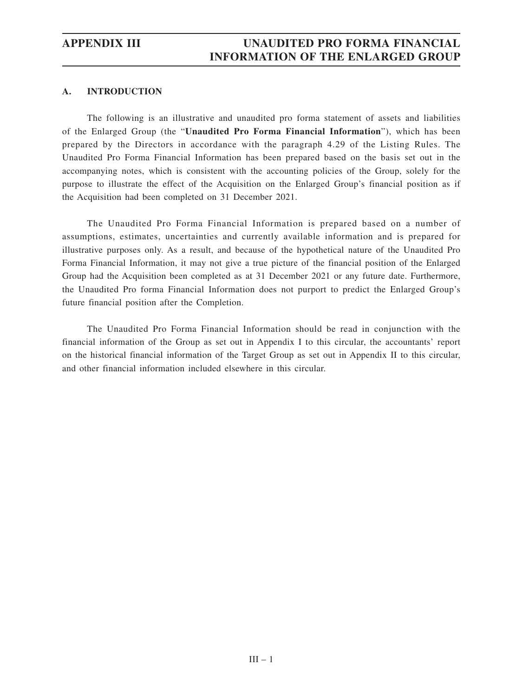# **APPENDIX III UNAUDITED PRO FORMA FINANCIAL INFORMATION OF THE ENLARGED GROUP**

# **A. INTRODUCTION**

The following is an illustrative and unaudited pro forma statement of assets and liabilities of the Enlarged Group (the "**Unaudited Pro Forma Financial Information**"), which has been prepared by the Directors in accordance with the paragraph 4.29 of the Listing Rules. The Unaudited Pro Forma Financial Information has been prepared based on the basis set out in the accompanying notes, which is consistent with the accounting policies of the Group, solely for the purpose to illustrate the effect of the Acquisition on the Enlarged Group's financial position as if the Acquisition had been completed on 31 December 2021.

The Unaudited Pro Forma Financial Information is prepared based on a number of assumptions, estimates, uncertainties and currently available information and is prepared for illustrative purposes only. As a result, and because of the hypothetical nature of the Unaudited Pro Forma Financial Information, it may not give a true picture of the financial position of the Enlarged Group had the Acquisition been completed as at 31 December 2021 or any future date. Furthermore, the Unaudited Pro forma Financial Information does not purport to predict the Enlarged Group's future financial position after the Completion.

The Unaudited Pro Forma Financial Information should be read in conjunction with the financial information of the Group as set out in Appendix I to this circular, the accountants' report on the historical financial information of the Target Group as set out in Appendix II to this circular, and other financial information included elsewhere in this circular.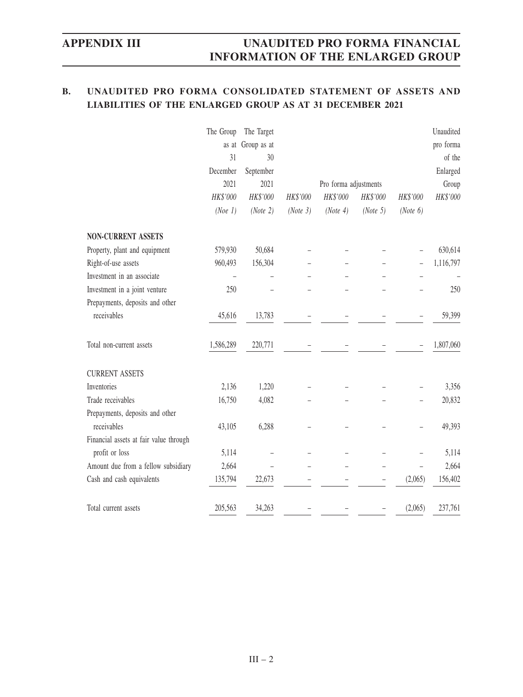# **APPENDIX III UNAUDITED PRO FORMA FINANCIAL INFORMATION OF THE ENLARGED GROUP**

# **B. UNAUDITED PRO FORMA CONSOLIDATED STATEMENT OF ASSETS AND LIABILITIES OF THE ENLARGED GROUP AS AT 31 DECEMBER 2021**

|                                        | The Group | The Target        |          |                       |                          |                          | Unaudited |
|----------------------------------------|-----------|-------------------|----------|-----------------------|--------------------------|--------------------------|-----------|
|                                        |           | as at Group as at |          |                       |                          |                          | pro forma |
|                                        | 31        | 30                |          |                       |                          |                          | of the    |
|                                        | December  | September         |          |                       |                          |                          | Enlarged  |
|                                        | 2021      | 2021              |          | Pro forma adjustments |                          |                          | Group     |
|                                        | HK\$'000  | HK\$'000          | HK\$'000 | HK\$'000              | HK\$'000                 | HK\$'000                 | HK\$'000  |
|                                        | (Noe 1)   | (Note 2)          | (Note 3) | (Note 4)              | (Note 5)                 | (Note 6)                 |           |
| <b>NON-CURRENT ASSETS</b>              |           |                   |          |                       |                          |                          |           |
| Property, plant and equipment          | 579,930   | 50,684            |          |                       |                          |                          | 630,614   |
| Right-of-use assets                    | 960,493   | 156,304           |          |                       |                          | $\overline{\phantom{0}}$ | 1,116,797 |
| Investment in an associate             |           |                   |          |                       |                          |                          |           |
| Investment in a joint venture          | 250       |                   |          |                       |                          |                          | 250       |
| Prepayments, deposits and other        |           |                   |          |                       |                          |                          |           |
| receivables                            | 45,616    | 13,783            |          |                       |                          |                          | 59,399    |
| Total non-current assets               | 1,586,289 | 220,771           |          |                       |                          |                          | 1,807,060 |
| <b>CURRENT ASSETS</b>                  |           |                   |          |                       |                          |                          |           |
| Inventories                            | 2,136     | 1,220             |          |                       |                          |                          | 3,356     |
| Trade receivables                      | 16,750    | 4,082             |          |                       |                          |                          | 20,832    |
| Prepayments, deposits and other        |           |                   |          |                       |                          |                          |           |
| receivables                            | 43,105    | 6,288             |          |                       |                          |                          | 49,393    |
| Financial assets at fair value through |           |                   |          |                       |                          |                          |           |
| profit or loss                         | 5,114     |                   |          |                       |                          |                          | 5,114     |
| Amount due from a fellow subsidiary    | 2,664     |                   |          |                       | -                        | $\overline{\phantom{0}}$ | 2,664     |
| Cash and cash equivalents              | 135,794   | 22,673            |          |                       | $\overline{\phantom{0}}$ | (2,065)                  | 156,402   |
| Total current assets                   | 205,563   | 34,263            |          |                       |                          | (2,065)                  | 237,761   |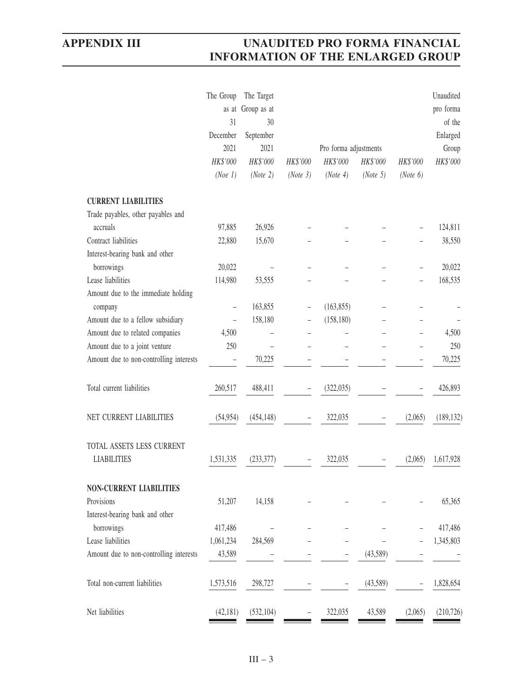|                                         | The Group<br>as at | The Target<br>Group as at |          |                       |          |          | Unaudited<br>pro forma |
|-----------------------------------------|--------------------|---------------------------|----------|-----------------------|----------|----------|------------------------|
|                                         | 31                 | 30                        |          |                       |          |          | of the                 |
|                                         | December           | September                 |          |                       |          |          | Enlarged               |
|                                         | 2021               | 2021                      |          | Pro forma adjustments |          |          | Group                  |
|                                         | HK\$'000           | HK\$'000                  | HK\$'000 | HK\$'000              | HK\$'000 | HK\$'000 | HK\$'000               |
|                                         | (Noe 1)            | (Note 2)                  | (Note 3) | (Note 4)              | (Note 5) | (Note 6) |                        |
| <b>CURRENT LIABILITIES</b>              |                    |                           |          |                       |          |          |                        |
| Trade payables, other payables and      |                    |                           |          |                       |          |          |                        |
| accruals                                | 97,885             | 26,926                    |          |                       |          |          | 124,811                |
| Contract liabilities                    | 22,880             | 15,670                    |          |                       |          |          | 38,550                 |
| Interest-bearing bank and other         |                    |                           |          |                       |          |          |                        |
| borrowings                              | 20,022             |                           |          |                       |          |          | 20,022                 |
| Lease liabilities                       | 114,980            | 53,555                    |          |                       |          |          | 168,535                |
| Amount due to the immediate holding     |                    |                           |          |                       |          |          |                        |
| company                                 | $\qquad \qquad -$  | 163,855                   |          | (163, 855)            |          |          |                        |
| Amount due to a fellow subsidiary       |                    | 158,180                   |          | (158, 180)            |          |          |                        |
| Amount due to related companies         | 4,500              |                           |          |                       |          |          | 4,500                  |
| Amount due to a joint venture           | 250                | $\equiv$                  |          |                       |          |          | 250                    |
| Amount due to non-controlling interests |                    | 70,225                    |          |                       |          |          | 70,225                 |
| Total current liabilities               | 260,517            | 488,411                   |          | (322, 035)            |          |          | 426,893                |
| NET CURRENT LIABILITIES                 | (54, 954)          | (454, 148)                |          | 322,035               |          | (2,065)  | (189, 132)             |
| TOTAL ASSETS LESS CURRENT               |                    |                           |          |                       |          |          |                        |
| <b>LIABILITIES</b>                      | 1,531,335          | (233, 377)                |          | 322,035               |          | (2,065)  | 1,617,928              |
| <b>NON-CURRENT LIABILITIES</b>          |                    |                           |          |                       |          |          |                        |
| Provisions                              | 51,207             | 14,158                    |          |                       |          |          | 65,365                 |
| Interest-bearing bank and other         |                    |                           |          |                       |          |          |                        |
| borrowings                              | 417,486            |                           |          |                       |          |          | 417,486                |
| Lease liabilities                       | 1,061,234          | 284,569                   |          |                       |          |          | 1,345,803              |
| Amount due to non-controlling interests | 43,589             |                           |          |                       | (43,589) |          |                        |
| Total non-current liabilities           | 1,573,516          | 298,727                   |          |                       | (43,589) |          | 1,828,654              |
| Net liabilities                         | (42,181)           | (532, 104)                |          | 322,035               | 43,589   | (2,065)  | (210, 726)             |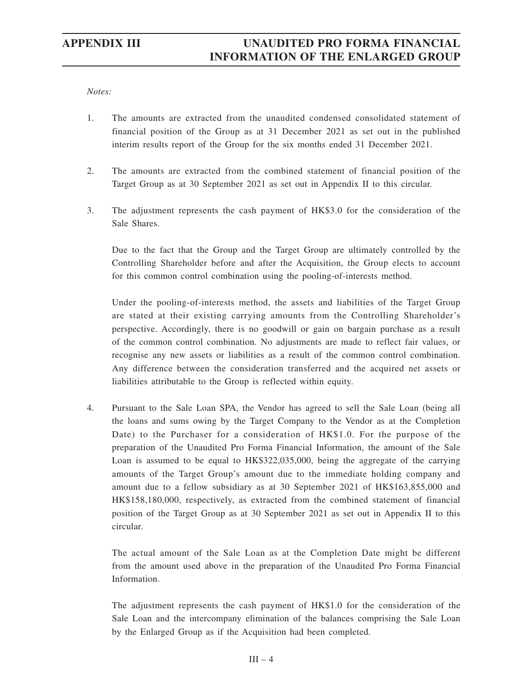### *Notes:*

- 1. The amounts are extracted from the unaudited condensed consolidated statement of financial position of the Group as at 31 December 2021 as set out in the published interim results report of the Group for the six months ended 31 December 2021.
- 2. The amounts are extracted from the combined statement of financial position of the Target Group as at 30 September 2021 as set out in Appendix II to this circular.
- 3. The adjustment represents the cash payment of HK\$3.0 for the consideration of the Sale Shares.

Due to the fact that the Group and the Target Group are ultimately controlled by the Controlling Shareholder before and after the Acquisition, the Group elects to account for this common control combination using the pooling-of-interests method.

Under the pooling-of-interests method, the assets and liabilities of the Target Group are stated at their existing carrying amounts from the Controlling Shareholder's perspective. Accordingly, there is no goodwill or gain on bargain purchase as a result of the common control combination. No adjustments are made to reflect fair values, or recognise any new assets or liabilities as a result of the common control combination. Any difference between the consideration transferred and the acquired net assets or liabilities attributable to the Group is reflected within equity.

4. Pursuant to the Sale Loan SPA, the Vendor has agreed to sell the Sale Loan (being all the loans and sums owing by the Target Company to the Vendor as at the Completion Date) to the Purchaser for a consideration of HK\$1.0. For the purpose of the preparation of the Unaudited Pro Forma Financial Information, the amount of the Sale Loan is assumed to be equal to HK\$322,035,000, being the aggregate of the carrying amounts of the Target Group's amount due to the immediate holding company and amount due to a fellow subsidiary as at 30 September 2021 of HK\$163,855,000 and HK\$158,180,000, respectively, as extracted from the combined statement of financial position of the Target Group as at 30 September 2021 as set out in Appendix II to this circular.

The actual amount of the Sale Loan as at the Completion Date might be different from the amount used above in the preparation of the Unaudited Pro Forma Financial Information.

The adjustment represents the cash payment of HK\$1.0 for the consideration of the Sale Loan and the intercompany elimination of the balances comprising the Sale Loan by the Enlarged Group as if the Acquisition had been completed.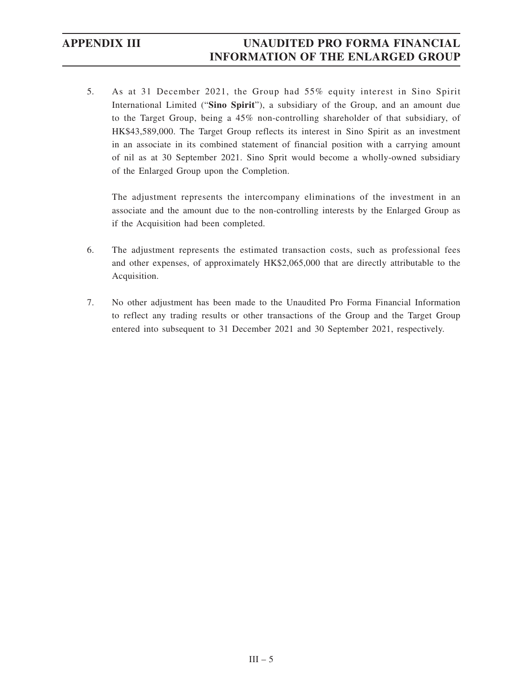5. As at 31 December 2021, the Group had 55% equity interest in Sino Spirit International Limited ("**Sino Spirit**"), a subsidiary of the Group, and an amount due to the Target Group, being a 45% non-controlling shareholder of that subsidiary, of HK\$43,589,000. The Target Group reflects its interest in Sino Spirit as an investment in an associate in its combined statement of financial position with a carrying amount of nil as at 30 September 2021. Sino Sprit would become a wholly-owned subsidiary of the Enlarged Group upon the Completion.

The adjustment represents the intercompany eliminations of the investment in an associate and the amount due to the non-controlling interests by the Enlarged Group as if the Acquisition had been completed.

- 6. The adjustment represents the estimated transaction costs, such as professional fees and other expenses, of approximately HK\$2,065,000 that are directly attributable to the Acquisition.
- 7. No other adjustment has been made to the Unaudited Pro Forma Financial Information to reflect any trading results or other transactions of the Group and the Target Group entered into subsequent to 31 December 2021 and 30 September 2021, respectively.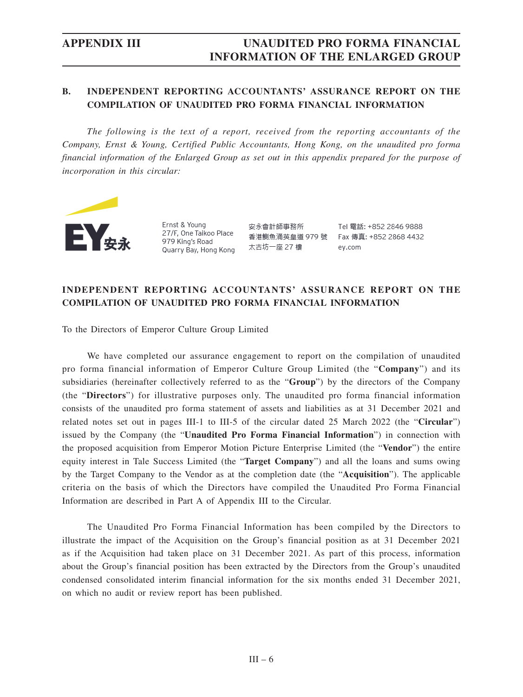# **B. INDEPENDENT REPORTING ACCOUNTANTS' ASSURANCE REPORT ON THE COMPILATION OF UNAUDITED PRO FORMA FINANCIAL INFORMATION**

*The following is the text of a report, received from the reporting accountants of the Company, Ernst & Young, Certified Public Accountants, Hong Kong, on the unaudited pro forma financial information of the Enlarged Group as set out in this appendix prepared for the purpose of incorporation in this circular:*



Ernst & Young 27/F, One Taikoo Place 979 King's Road Quarry Bay, Hong Kong

安永會計師事務所 香港鰂魚涌英皇道 979 號 太古坊一座 27 樓

Tel 電話: +852 2846 9888 Fax 傳真: +852 2868 4432 ey.com

# **INDEPENDENT REPORTING ACCOUNTANTS' ASSURANCE REPORT ON THE COMPILATION OF UNAUDITED PRO FORMA FINANCIAL INFORMATION**

To the Directors of Emperor Culture Group Limited

We have completed our assurance engagement to report on the compilation of unaudited pro forma financial information of Emperor Culture Group Limited (the "**Company**") and its subsidiaries (hereinafter collectively referred to as the "**Group**") by the directors of the Company (the "**Directors**") for illustrative purposes only. The unaudited pro forma financial information consists of the unaudited pro forma statement of assets and liabilities as at 31 December 2021 and related notes set out in pages III-1 to III-5 of the circular dated 25 March 2022 (the "**Circular**") issued by the Company (the "**Unaudited Pro Forma Financial Information**") in connection with the proposed acquisition from Emperor Motion Picture Enterprise Limited (the "**Vendor**") the entire equity interest in Tale Success Limited (the "**Target Company**") and all the loans and sums owing by the Target Company to the Vendor as at the completion date (the "**Acquisition**"). The applicable criteria on the basis of which the Directors have compiled the Unaudited Pro Forma Financial Information are described in Part A of Appendix III to the Circular.

The Unaudited Pro Forma Financial Information has been compiled by the Directors to illustrate the impact of the Acquisition on the Group's financial position as at 31 December 2021 as if the Acquisition had taken place on 31 December 2021. As part of this process, information about the Group's financial position has been extracted by the Directors from the Group's unaudited condensed consolidated interim financial information for the six months ended 31 December 2021, on which no audit or review report has been published.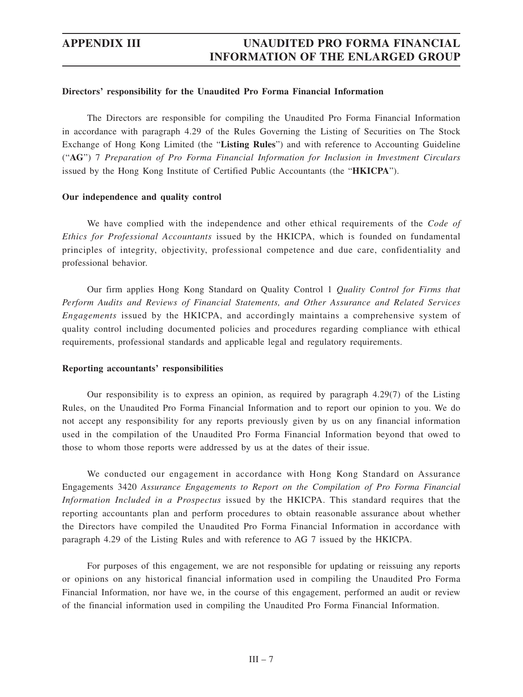### **Directors' responsibility for the Unaudited Pro Forma Financial Information**

The Directors are responsible for compiling the Unaudited Pro Forma Financial Information in accordance with paragraph 4.29 of the Rules Governing the Listing of Securities on The Stock Exchange of Hong Kong Limited (the "**Listing Rules**") and with reference to Accounting Guideline ("**AG**") 7 *Preparation of Pro Forma Financial Information for Inclusion in Investment Circulars* issued by the Hong Kong Institute of Certified Public Accountants (the "**HKICPA**").

### **Our independence and quality control**

We have complied with the independence and other ethical requirements of the *Code of Ethics for Professional Accountants* issued by the HKICPA, which is founded on fundamental principles of integrity, objectivity, professional competence and due care, confidentiality and professional behavior.

Our firm applies Hong Kong Standard on Quality Control 1 *Quality Control for Firms that Perform Audits and Reviews of Financial Statements, and Other Assurance and Related Services Engagements* issued by the HKICPA, and accordingly maintains a comprehensive system of quality control including documented policies and procedures regarding compliance with ethical requirements, professional standards and applicable legal and regulatory requirements.

### **Reporting accountants' responsibilities**

Our responsibility is to express an opinion, as required by paragraph 4.29(7) of the Listing Rules, on the Unaudited Pro Forma Financial Information and to report our opinion to you. We do not accept any responsibility for any reports previously given by us on any financial information used in the compilation of the Unaudited Pro Forma Financial Information beyond that owed to those to whom those reports were addressed by us at the dates of their issue.

We conducted our engagement in accordance with Hong Kong Standard on Assurance Engagements 3420 *Assurance Engagements to Report on the Compilation of Pro Forma Financial Information Included in a Prospectus* issued by the HKICPA. This standard requires that the reporting accountants plan and perform procedures to obtain reasonable assurance about whether the Directors have compiled the Unaudited Pro Forma Financial Information in accordance with paragraph 4.29 of the Listing Rules and with reference to AG 7 issued by the HKICPA.

For purposes of this engagement, we are not responsible for updating or reissuing any reports or opinions on any historical financial information used in compiling the Unaudited Pro Forma Financial Information, nor have we, in the course of this engagement, performed an audit or review of the financial information used in compiling the Unaudited Pro Forma Financial Information.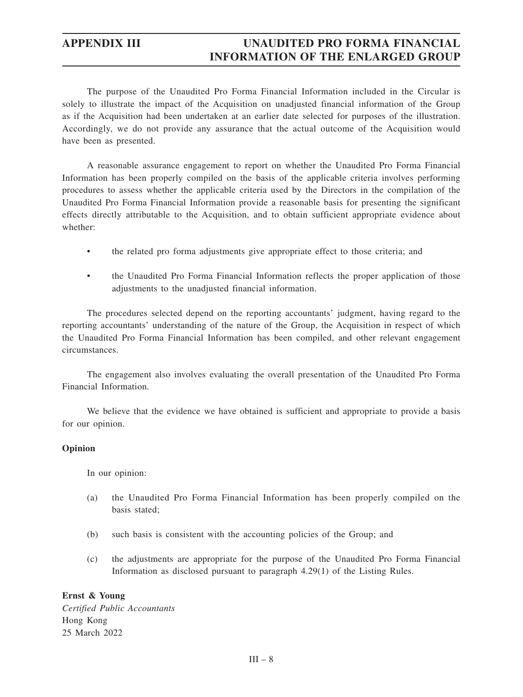The purpose of the Unaudited Pro Forma Financial Information included in the Circular is solely to illustrate the impact of the Acquisition on unadjusted financial information of the Group as if the Acquisition had been undertaken at an earlier date selected for purposes of the illustration. Accordingly, we do not provide any assurance that the actual outcome of the Acquisition would have been as presented.

A reasonable assurance engagement to report on whether the Unaudited Pro Forma Financial Information has been properly compiled on the basis of the applicable criteria involves performing procedures to assess whether the applicable criteria used by the Directors in the compilation of the Unaudited Pro Forma Financial Information provide a reasonable basis for presenting the significant effects directly attributable to the Acquisition, and to obtain sufficient appropriate evidence about whether:

- the related pro forma adjustments give appropriate effect to those criteria; and
- the Unaudited Pro Forma Financial Information reflects the proper application of those adjustments to the unadjusted financial information.

The procedures selected depend on the reporting accountants' judgment, having regard to the reporting accountants' understanding of the nature of the Group, the Acquisition in respect of which the Unaudited Pro Forma Financial Information has been compiled, and other relevant engagement circumstances.

The engagement also involves evaluating the overall presentation of the Unaudited Pro Forma Financial Information.

We believe that the evidence we have obtained is sufficient and appropriate to provide a basis for our opinion.

### **Opinion**

In our opinion:

- (a) the Unaudited Pro Forma Financial Information has been properly compiled on the basis stated;
- (b) such basis is consistent with the accounting policies of the Group; and
- (c) the adjustments are appropriate for the purpose of the Unaudited Pro Forma Financial Information as disclosed pursuant to paragraph 4.29(1) of the Listing Rules.

## **Ernst & Young**

*Certified Public Accountants* Hong Kong 25 March 2022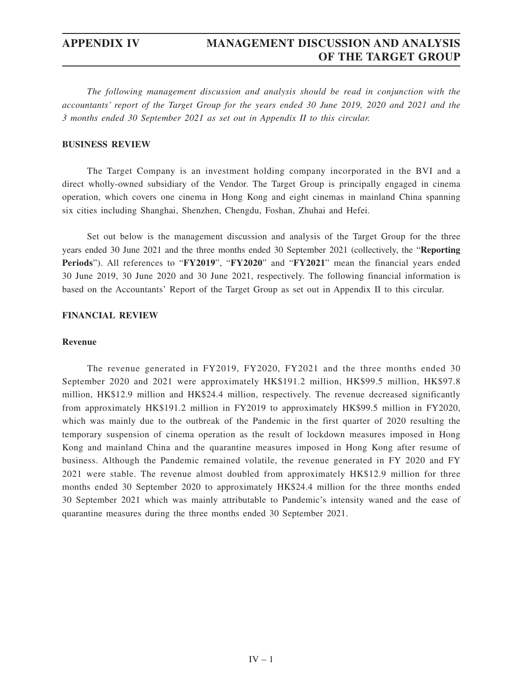*The following management discussion and analysis should be read in conjunction with the accountants' report of the Target Group for the years ended 30 June 2019, 2020 and 2021 and the 3 months ended 30 September 2021 as set out in Appendix II to this circular.*

### **BUSINESS REVIEW**

The Target Company is an investment holding company incorporated in the BVI and a direct wholly-owned subsidiary of the Vendor. The Target Group is principally engaged in cinema operation, which covers one cinema in Hong Kong and eight cinemas in mainland China spanning six cities including Shanghai, Shenzhen, Chengdu, Foshan, Zhuhai and Hefei.

Set out below is the management discussion and analysis of the Target Group for the three years ended 30 June 2021 and the three months ended 30 September 2021 (collectively, the "**Reporting Periods**"). All references to "**FY2019**", "**FY2020**" and "**FY2021**" mean the financial years ended 30 June 2019, 30 June 2020 and 30 June 2021, respectively. The following financial information is based on the Accountants' Report of the Target Group as set out in Appendix II to this circular.

### **FINANCIAL REVIEW**

### **Revenue**

The revenue generated in FY2019, FY2020, FY2021 and the three months ended 30 September 2020 and 2021 were approximately HK\$191.2 million, HK\$99.5 million, HK\$97.8 million, HK\$12.9 million and HK\$24.4 million, respectively. The revenue decreased significantly from approximately HK\$191.2 million in FY2019 to approximately HK\$99.5 million in FY2020, which was mainly due to the outbreak of the Pandemic in the first quarter of 2020 resulting the temporary suspension of cinema operation as the result of lockdown measures imposed in Hong Kong and mainland China and the quarantine measures imposed in Hong Kong after resume of business. Although the Pandemic remained volatile, the revenue generated in FY 2020 and FY 2021 were stable. The revenue almost doubled from approximately HK\$12.9 million for three months ended 30 September 2020 to approximately HK\$24.4 million for the three months ended 30 September 2021 which was mainly attributable to Pandemic's intensity waned and the ease of quarantine measures during the three months ended 30 September 2021.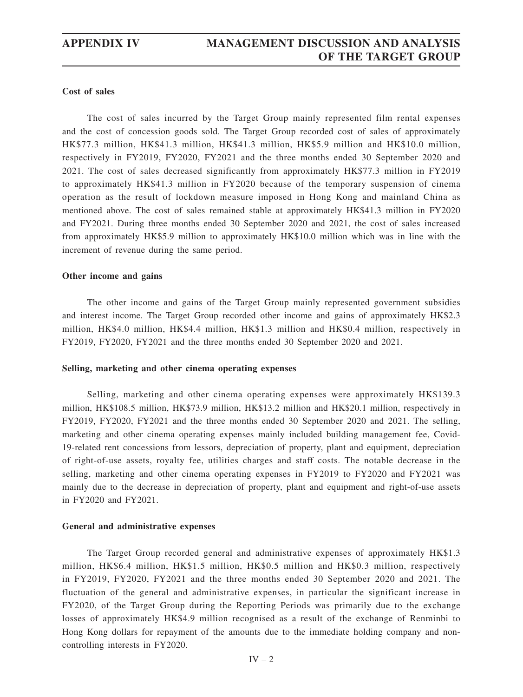## **Cost of sales**

The cost of sales incurred by the Target Group mainly represented film rental expenses and the cost of concession goods sold. The Target Group recorded cost of sales of approximately HK\$77.3 million, HK\$41.3 million, HK\$41.3 million, HK\$5.9 million and HK\$10.0 million, respectively in FY2019, FY2020, FY2021 and the three months ended 30 September 2020 and 2021. The cost of sales decreased significantly from approximately HK\$77.3 million in FY2019 to approximately HK\$41.3 million in FY2020 because of the temporary suspension of cinema operation as the result of lockdown measure imposed in Hong Kong and mainland China as mentioned above. The cost of sales remained stable at approximately HK\$41.3 million in FY2020 and FY2021. During three months ended 30 September 2020 and 2021, the cost of sales increased from approximately HK\$5.9 million to approximately HK\$10.0 million which was in line with the increment of revenue during the same period.

### **Other income and gains**

The other income and gains of the Target Group mainly represented government subsidies and interest income. The Target Group recorded other income and gains of approximately HK\$2.3 million, HK\$4.0 million, HK\$4.4 million, HK\$1.3 million and HK\$0.4 million, respectively in FY2019, FY2020, FY2021 and the three months ended 30 September 2020 and 2021.

### **Selling, marketing and other cinema operating expenses**

Selling, marketing and other cinema operating expenses were approximately HK\$139.3 million, HK\$108.5 million, HK\$73.9 million, HK\$13.2 million and HK\$20.1 million, respectively in FY2019, FY2020, FY2021 and the three months ended 30 September 2020 and 2021. The selling, marketing and other cinema operating expenses mainly included building management fee, Covid-19-related rent concessions from lessors, depreciation of property, plant and equipment, depreciation of right-of-use assets, royalty fee, utilities charges and staff costs. The notable decrease in the selling, marketing and other cinema operating expenses in FY2019 to FY2020 and FY2021 was mainly due to the decrease in depreciation of property, plant and equipment and right-of-use assets in FY2020 and FY2021.

### **General and administrative expenses**

The Target Group recorded general and administrative expenses of approximately HK\$1.3 million, HK\$6.4 million, HK\$1.5 million, HK\$0.5 million and HK\$0.3 million, respectively in FY2019, FY2020, FY2021 and the three months ended 30 September 2020 and 2021. The fluctuation of the general and administrative expenses, in particular the significant increase in FY2020, of the Target Group during the Reporting Periods was primarily due to the exchange losses of approximately HK\$4.9 million recognised as a result of the exchange of Renminbi to Hong Kong dollars for repayment of the amounts due to the immediate holding company and noncontrolling interests in FY2020.

 $IV - 2$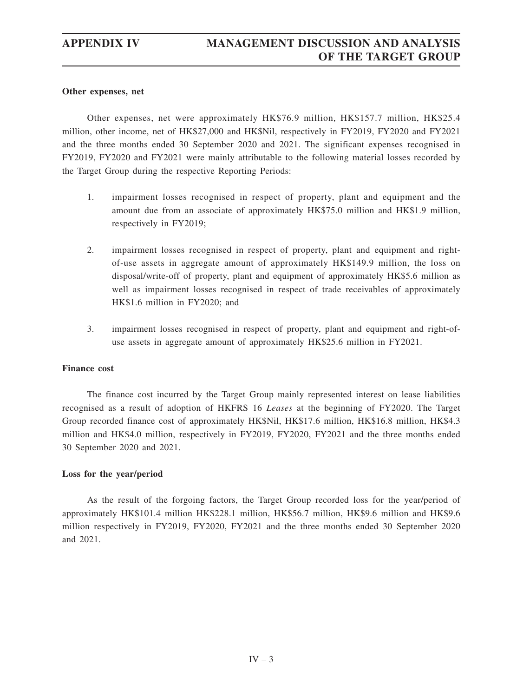## **Other expenses, net**

Other expenses, net were approximately HK\$76.9 million, HK\$157.7 million, HK\$25.4 million, other income, net of HK\$27,000 and HK\$Nil, respectively in FY2019, FY2020 and FY2021 and the three months ended 30 September 2020 and 2021. The significant expenses recognised in FY2019, FY2020 and FY2021 were mainly attributable to the following material losses recorded by the Target Group during the respective Reporting Periods:

- 1. impairment losses recognised in respect of property, plant and equipment and the amount due from an associate of approximately HK\$75.0 million and HK\$1.9 million, respectively in FY2019;
- 2. impairment losses recognised in respect of property, plant and equipment and rightof-use assets in aggregate amount of approximately HK\$149.9 million, the loss on disposal/write-off of property, plant and equipment of approximately HK\$5.6 million as well as impairment losses recognised in respect of trade receivables of approximately HK\$1.6 million in FY2020; and
- 3. impairment losses recognised in respect of property, plant and equipment and right-ofuse assets in aggregate amount of approximately HK\$25.6 million in FY2021.

### **Finance cost**

The finance cost incurred by the Target Group mainly represented interest on lease liabilities recognised as a result of adoption of HKFRS 16 *Leases* at the beginning of FY2020. The Target Group recorded finance cost of approximately HK\$Nil, HK\$17.6 million, HK\$16.8 million, HK\$4.3 million and HK\$4.0 million, respectively in FY2019, FY2020, FY2021 and the three months ended 30 September 2020 and 2021.

### **Loss for the year/period**

As the result of the forgoing factors, the Target Group recorded loss for the year/period of approximately HK\$101.4 million HK\$228.1 million, HK\$56.7 million, HK\$9.6 million and HK\$9.6 million respectively in FY2019, FY2020, FY2021 and the three months ended 30 September 2020 and 2021.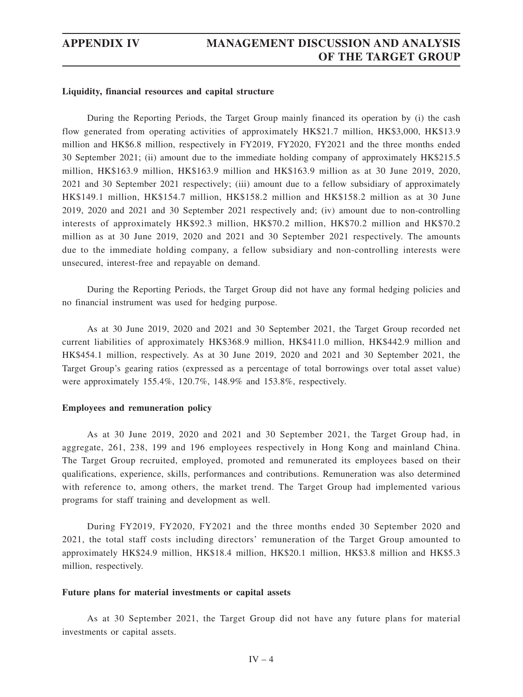### **Liquidity, financial resources and capital structure**

During the Reporting Periods, the Target Group mainly financed its operation by (i) the cash flow generated from operating activities of approximately HK\$21.7 million, HK\$3,000, HK\$13.9 million and HK\$6.8 million, respectively in FY2019, FY2020, FY2021 and the three months ended 30 September 2021; (ii) amount due to the immediate holding company of approximately HK\$215.5 million, HK\$163.9 million, HK\$163.9 million and HK\$163.9 million as at 30 June 2019, 2020, 2021 and 30 September 2021 respectively; (iii) amount due to a fellow subsidiary of approximately HK\$149.1 million, HK\$154.7 million, HK\$158.2 million and HK\$158.2 million as at 30 June 2019, 2020 and 2021 and 30 September 2021 respectively and; (iv) amount due to non-controlling interests of approximately HK\$92.3 million, HK\$70.2 million, HK\$70.2 million and HK\$70.2 million as at 30 June 2019, 2020 and 2021 and 30 September 2021 respectively. The amounts due to the immediate holding company, a fellow subsidiary and non-controlling interests were unsecured, interest-free and repayable on demand.

During the Reporting Periods, the Target Group did not have any formal hedging policies and no financial instrument was used for hedging purpose.

As at 30 June 2019, 2020 and 2021 and 30 September 2021, the Target Group recorded net current liabilities of approximately HK\$368.9 million, HK\$411.0 million, HK\$442.9 million and HK\$454.1 million, respectively. As at 30 June 2019, 2020 and 2021 and 30 September 2021, the Target Group's gearing ratios (expressed as a percentage of total borrowings over total asset value) were approximately 155.4%, 120.7%, 148.9% and 153.8%, respectively.

### **Employees and remuneration policy**

As at 30 June 2019, 2020 and 2021 and 30 September 2021, the Target Group had, in aggregate, 261, 238, 199 and 196 employees respectively in Hong Kong and mainland China. The Target Group recruited, employed, promoted and remunerated its employees based on their qualifications, experience, skills, performances and contributions. Remuneration was also determined with reference to, among others, the market trend. The Target Group had implemented various programs for staff training and development as well.

During FY2019, FY2020, FY2021 and the three months ended 30 September 2020 and 2021, the total staff costs including directors' remuneration of the Target Group amounted to approximately HK\$24.9 million, HK\$18.4 million, HK\$20.1 million, HK\$3.8 million and HK\$5.3 million, respectively.

### **Future plans for material investments or capital assets**

As at 30 September 2021, the Target Group did not have any future plans for material investments or capital assets.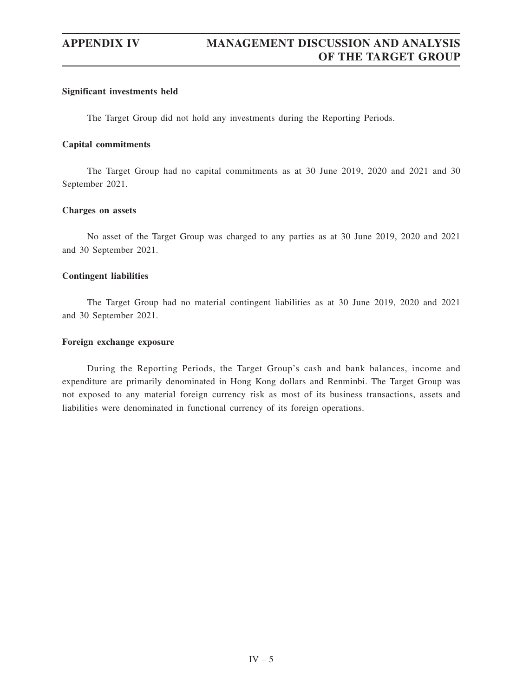## **Significant investments held**

The Target Group did not hold any investments during the Reporting Periods.

## **Capital commitments**

The Target Group had no capital commitments as at 30 June 2019, 2020 and 2021 and 30 September 2021.

## **Charges on assets**

No asset of the Target Group was charged to any parties as at 30 June 2019, 2020 and 2021 and 30 September 2021.

# **Contingent liabilities**

The Target Group had no material contingent liabilities as at 30 June 2019, 2020 and 2021 and 30 September 2021.

## **Foreign exchange exposure**

During the Reporting Periods, the Target Group's cash and bank balances, income and expenditure are primarily denominated in Hong Kong dollars and Renminbi. The Target Group was not exposed to any material foreign currency risk as most of its business transactions, assets and liabilities were denominated in functional currency of its foreign operations.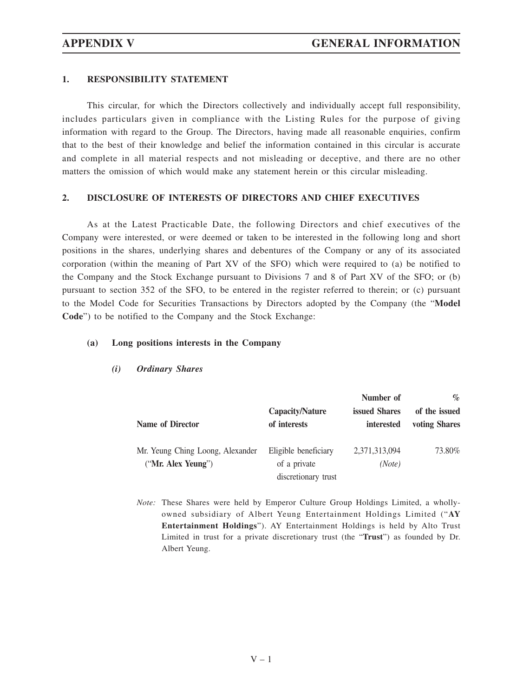# **1. RESPONSIBILITY STATEMENT**

This circular, for which the Directors collectively and individually accept full responsibility, includes particulars given in compliance with the Listing Rules for the purpose of giving information with regard to the Group. The Directors, having made all reasonable enquiries, confirm that to the best of their knowledge and belief the information contained in this circular is accurate and complete in all material respects and not misleading or deceptive, and there are no other matters the omission of which would make any statement herein or this circular misleading.

# **2. DISCLOSURE OF INTERESTS OF DIRECTORS AND CHIEF EXECUTIVES**

As at the Latest Practicable Date, the following Directors and chief executives of the Company were interested, or were deemed or taken to be interested in the following long and short positions in the shares, underlying shares and debentures of the Company or any of its associated corporation (within the meaning of Part XV of the SFO) which were required to (a) be notified to the Company and the Stock Exchange pursuant to Divisions 7 and 8 of Part XV of the SFO; or (b) pursuant to section 352 of the SFO, to be entered in the register referred to therein; or (c) pursuant to the Model Code for Securities Transactions by Directors adopted by the Company (the "**Model Code**") to be notified to the Company and the Stock Exchange:

## **(a) Long positions interests in the Company**

|                                  |                      | Number of         | $\%$          |
|----------------------------------|----------------------|-------------------|---------------|
| Name of Director                 | Capacity/Nature      | issued Shares     | of the issued |
|                                  | of interests         | <i>interested</i> | voting Shares |
| Mr. Yeung Ching Loong, Alexander | Eligible beneficiary | 2,371,313,094     | 73.80%        |
| ("Mr. Alex Yeung")               | of a private         | (Note)            |               |
|                                  | discretionary trust  |                   |               |

*(i) Ordinary Shares*

*Note:* These Shares were held by Emperor Culture Group Holdings Limited, a whollyowned subsidiary of Albert Yeung Entertainment Holdings Limited ("**AY Entertainment Holdings**"). AY Entertainment Holdings is held by Alto Trust Limited in trust for a private discretionary trust (the "**Trust**") as founded by Dr. Albert Yeung.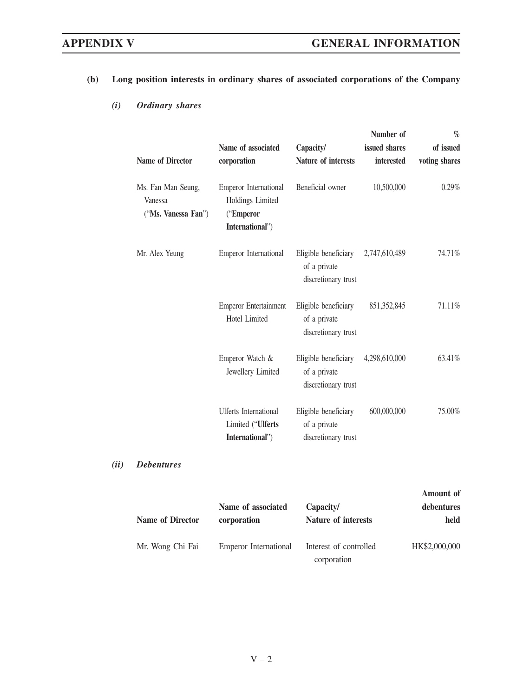# **(b) Long position interests in ordinary shares of associated corporations of the Company**

# *(i) Ordinary shares*

|                                                      |                                                                                  |                                                             | Number of     | $\%$          |
|------------------------------------------------------|----------------------------------------------------------------------------------|-------------------------------------------------------------|---------------|---------------|
|                                                      | Name of associated                                                               | Capacity/                                                   | issued shares | of issued     |
| <b>Name of Director</b>                              | corporation                                                                      | Nature of interests                                         | interested    | voting shares |
| Ms. Fan Man Seung,<br>Vanessa<br>("Ms. Vanessa Fan") | <b>Emperor</b> International<br>Holdings Limited<br>("Emperor<br>International") | Beneficial owner                                            | 10,500,000    | 0.29%         |
| Mr. Alex Yeung                                       | <b>Emperor International</b>                                                     | Eligible beneficiary<br>of a private<br>discretionary trust | 2,747,610,489 | 74.71%        |
|                                                      | <b>Emperor Entertainment</b><br><b>Hotel Limited</b>                             | Eligible beneficiary<br>of a private<br>discretionary trust | 851,352,845   | 71.11%        |
|                                                      | Emperor Watch &<br>Jewellery Limited                                             | Eligible beneficiary<br>of a private<br>discretionary trust | 4,298,610,000 | 63.41%        |
|                                                      | <b>Ulferts</b> International<br>Limited ("Ulferts<br>International")             | Eligible beneficiary<br>of a private<br>discretionary trust | 600,000,000   | 75.00%        |

# *(ii) Debentures*

|                         | Name of associated    | Capacity/                             | Amount of<br>debentures |
|-------------------------|-----------------------|---------------------------------------|-------------------------|
| <b>Name of Director</b> | corporation           | <b>Nature of interests</b>            | held                    |
| Mr. Wong Chi Fai        | Emperor International | Interest of controlled<br>corporation | HK\$2,000,000           |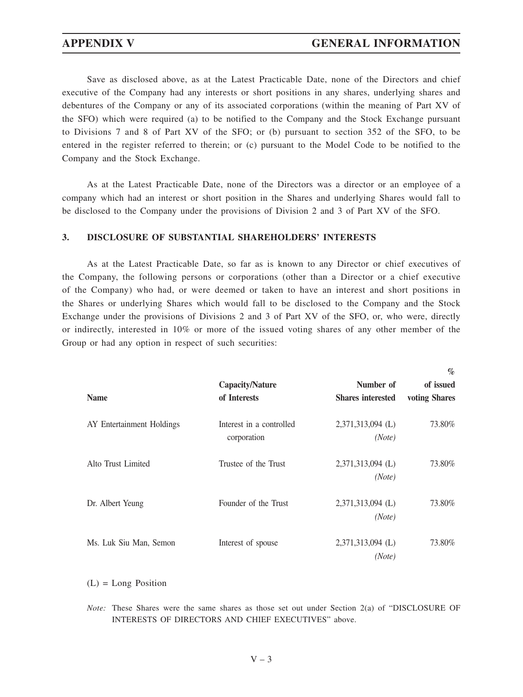Save as disclosed above, as at the Latest Practicable Date, none of the Directors and chief executive of the Company had any interests or short positions in any shares, underlying shares and debentures of the Company or any of its associated corporations (within the meaning of Part XV of the SFO) which were required (a) to be notified to the Company and the Stock Exchange pursuant to Divisions 7 and 8 of Part XV of the SFO; or (b) pursuant to section 352 of the SFO, to be entered in the register referred to therein; or (c) pursuant to the Model Code to be notified to the Company and the Stock Exchange.

As at the Latest Practicable Date, none of the Directors was a director or an employee of a company which had an interest or short position in the Shares and underlying Shares would fall to be disclosed to the Company under the provisions of Division 2 and 3 of Part XV of the SFO.

# **3. DISCLOSURE OF SUBSTANTIAL SHAREHOLDERS' INTERESTS**

As at the Latest Practicable Date, so far as is known to any Director or chief executives of the Company, the following persons or corporations (other than a Director or a chief executive of the Company) who had, or were deemed or taken to have an interest and short positions in the Shares or underlying Shares which would fall to be disclosed to the Company and the Stock Exchange under the provisions of Divisions 2 and 3 of Part XV of the SFO, or, who were, directly or indirectly, interested in 10% or more of the issued voting shares of any other member of the Group or had any option in respect of such securities:

|                           |                                         |                               | $\%$          |
|---------------------------|-----------------------------------------|-------------------------------|---------------|
|                           | <b>Capacity/Nature</b>                  | Number of                     | of issued     |
| <b>Name</b>               | of Interests                            | <b>Shares interested</b>      | voting Shares |
| AY Entertainment Holdings | Interest in a controlled<br>corporation | 2,371,313,094 (L)<br>(Note)   | 73.80%        |
| Alto Trust Limited        | Trustee of the Trust                    | $2,371,313,094$ (L)<br>(Note) | 73.80%        |
| Dr. Albert Yeung          | Founder of the Trust                    | 2,371,313,094 (L)<br>(Note)   | 73.80%        |
| Ms. Luk Siu Man, Semon    | Interest of spouse                      | 2,371,313,094 (L)<br>(Note)   | 73.80%        |

(L) = Long Position

*Note:* These Shares were the same shares as those set out under Section 2(a) of "DISCLOSURE OF INTERESTS OF DIRECTORS AND CHIEF EXECUTIVES" above.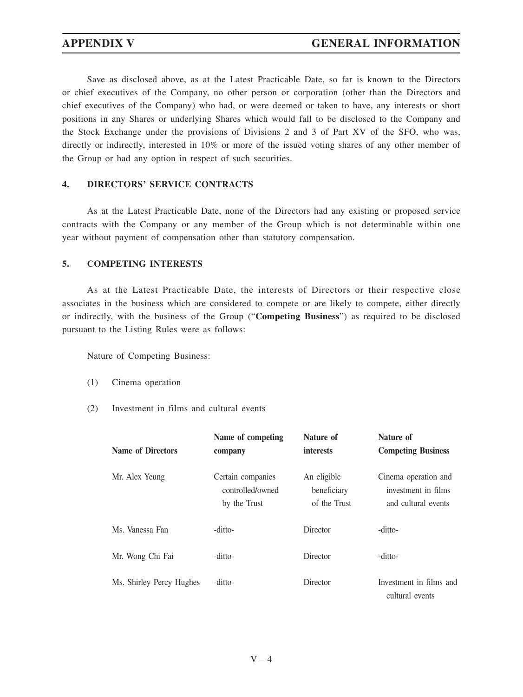Save as disclosed above, as at the Latest Practicable Date, so far is known to the Directors or chief executives of the Company, no other person or corporation (other than the Directors and chief executives of the Company) who had, or were deemed or taken to have, any interests or short positions in any Shares or underlying Shares which would fall to be disclosed to the Company and the Stock Exchange under the provisions of Divisions 2 and 3 of Part XV of the SFO, who was, directly or indirectly, interested in 10% or more of the issued voting shares of any other member of the Group or had any option in respect of such securities.

# **4. DIRECTORS' SERVICE CONTRACTS**

As at the Latest Practicable Date, none of the Directors had any existing or proposed service contracts with the Company or any member of the Group which is not determinable within one year without payment of compensation other than statutory compensation.

# **5. COMPETING INTERESTS**

As at the Latest Practicable Date, the interests of Directors or their respective close associates in the business which are considered to compete or are likely to compete, either directly or indirectly, with the business of the Group ("**Competing Business**") as required to be disclosed pursuant to the Listing Rules were as follows:

Nature of Competing Business:

- (1) Cinema operation
- (2) Investment in films and cultural events

| <b>Name of Directors</b> | Name of competing<br>company                          | Nature of<br><i>interests</i>              | Nature of<br><b>Competing Business</b>                             |
|--------------------------|-------------------------------------------------------|--------------------------------------------|--------------------------------------------------------------------|
| Mr. Alex Yeung           | Certain companies<br>controlled/owned<br>by the Trust | An eligible<br>beneficiary<br>of the Trust | Cinema operation and<br>investment in films<br>and cultural events |
| Ms. Vanessa Fan          | -ditto-                                               | Director                                   | -ditto-                                                            |
| Mr. Wong Chi Fai         | -ditto-                                               | Director                                   | -ditto-                                                            |
| Ms. Shirley Percy Hughes | -ditto-                                               | Director                                   | Investment in films and<br>cultural events                         |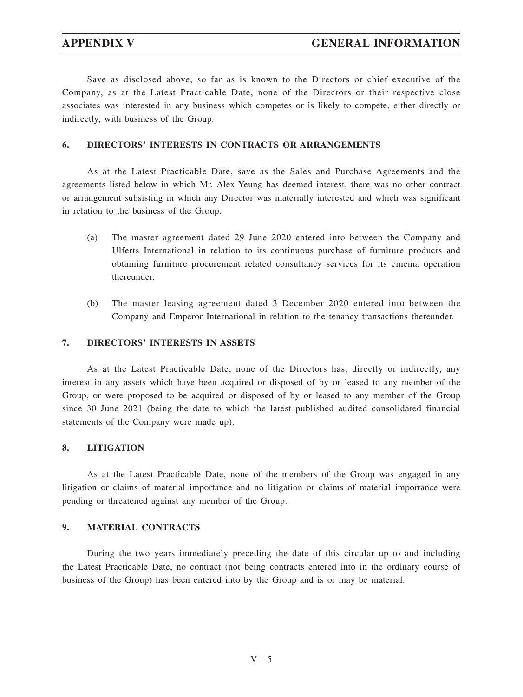Save as disclosed above, so far as is known to the Directors or chief executive of the Company, as at the Latest Practicable Date, none of the Directors or their respective close associates was interested in any business which competes or is likely to compete, either directly or indirectly, with business of the Group.

# **6. DIRECTORS' INTERESTS IN CONTRACTS OR ARRANGEMENTS**

As at the Latest Practicable Date, save as the Sales and Purchase Agreements and the agreements listed below in which Mr. Alex Yeung has deemed interest, there was no other contract or arrangement subsisting in which any Director was materially interested and which was significant in relation to the business of the Group.

- (a) The master agreement dated 29 June 2020 entered into between the Company and Ulferts International in relation to its continuous purchase of furniture products and obtaining furniture procurement related consultancy services for its cinema operation thereunder.
- (b) The master leasing agreement dated 3 December 2020 entered into between the Company and Emperor International in relation to the tenancy transactions thereunder.

# **7. DIRECTORS' INTERESTS IN ASSETS**

As at the Latest Practicable Date, none of the Directors has, directly or indirectly, any interest in any assets which have been acquired or disposed of by or leased to any member of the Group, or were proposed to be acquired or disposed of by or leased to any member of the Group since 30 June 2021 (being the date to which the latest published audited consolidated financial statements of the Company were made up).

# **8. LITIGATION**

As at the Latest Practicable Date, none of the members of the Group was engaged in any litigation or claims of material importance and no litigation or claims of material importance were pending or threatened against any member of the Group.

### **9. MATERIAL CONTRACTS**

During the two years immediately preceding the date of this circular up to and including the Latest Practicable Date, no contract (not being contracts entered into in the ordinary course of business of the Group) has been entered into by the Group and is or may be material.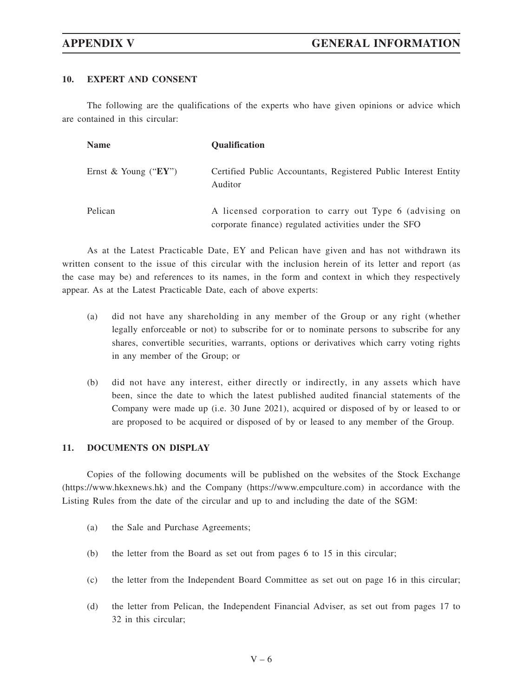# **10. EXPERT AND CONSENT**

The following are the qualifications of the experts who have given opinions or advice which are contained in this circular:

| <b>Name</b>              | <b>Oualification</b>                                                                                             |
|--------------------------|------------------------------------------------------------------------------------------------------------------|
| Ernst & Young (" $EY$ ") | Certified Public Accountants, Registered Public Interest Entity<br>Auditor                                       |
| Pelican                  | A licensed corporation to carry out Type 6 (advising on<br>corporate finance) regulated activities under the SFO |

As at the Latest Practicable Date, EY and Pelican have given and has not withdrawn its written consent to the issue of this circular with the inclusion herein of its letter and report (as the case may be) and references to its names, in the form and context in which they respectively appear. As at the Latest Practicable Date, each of above experts:

- (a) did not have any shareholding in any member of the Group or any right (whether legally enforceable or not) to subscribe for or to nominate persons to subscribe for any shares, convertible securities, warrants, options or derivatives which carry voting rights in any member of the Group; or
- (b) did not have any interest, either directly or indirectly, in any assets which have been, since the date to which the latest published audited financial statements of the Company were made up (i.e. 30 June 2021), acquired or disposed of by or leased to or are proposed to be acquired or disposed of by or leased to any member of the Group.

# **11. DOCUMENTS ON DISPLAY**

Copies of the following documents will be published on the websites of the Stock Exchange (https://www.hkexnews.hk) and the Company (https://www.empculture.com) in accordance with the Listing Rules from the date of the circular and up to and including the date of the SGM:

- (a) the Sale and Purchase Agreements;
- (b) the letter from the Board as set out from pages 6 to 15 in this circular;
- (c) the letter from the Independent Board Committee as set out on page 16 in this circular;
- (d) the letter from Pelican, the Independent Financial Adviser, as set out from pages 17 to 32 in this circular;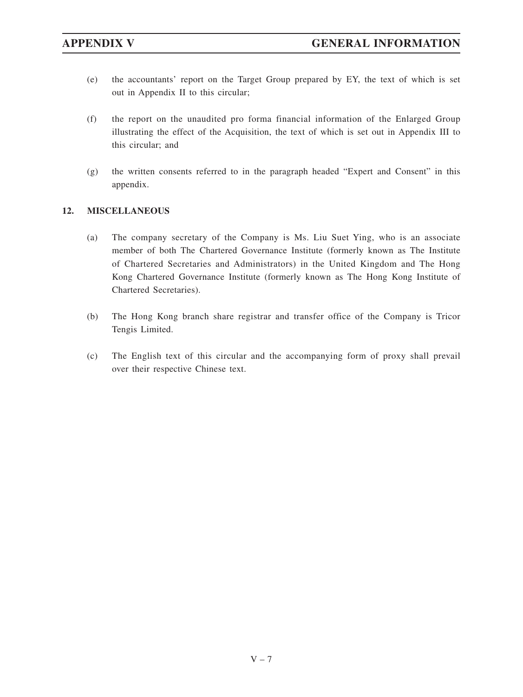- (e) the accountants' report on the Target Group prepared by EY, the text of which is set out in Appendix II to this circular;
- (f) the report on the unaudited pro forma financial information of the Enlarged Group illustrating the effect of the Acquisition, the text of which is set out in Appendix III to this circular; and
- (g) the written consents referred to in the paragraph headed "Expert and Consent" in this appendix.

# **12. MISCELLANEOUS**

- (a) The company secretary of the Company is Ms. Liu Suet Ying, who is an associate member of both The Chartered Governance Institute (formerly known as The Institute of Chartered Secretaries and Administrators) in the United Kingdom and The Hong Kong Chartered Governance Institute (formerly known as The Hong Kong Institute of Chartered Secretaries).
- (b) The Hong Kong branch share registrar and transfer office of the Company is Tricor Tengis Limited.
- (c) The English text of this circular and the accompanying form of proxy shall prevail over their respective Chinese text.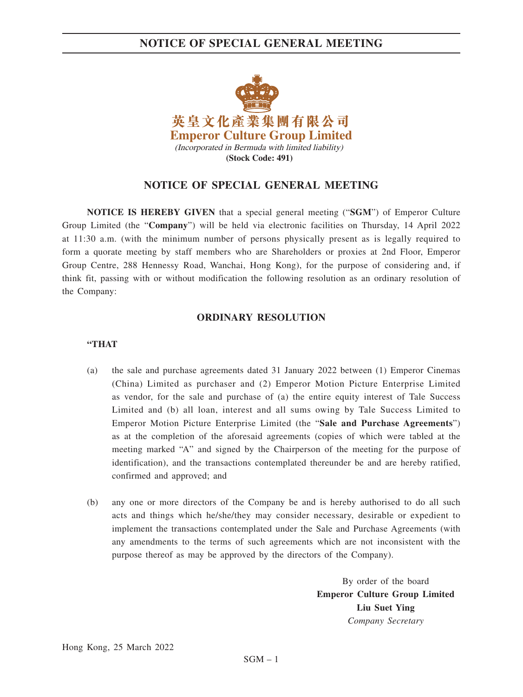# **NOTICE OF SPECIAL GENERAL MEETING**



# **NOTICE OF SPECIAL GENERAL MEETING**

**NOTICE IS HEREBY GIVEN** that a special general meeting ("**SGM**") of Emperor Culture Group Limited (the "**Company**") will be held via electronic facilities on Thursday, 14 April 2022 at 11:30 a.m. (with the minimum number of persons physically present as is legally required to form a quorate meeting by staff members who are Shareholders or proxies at 2nd Floor, Emperor Group Centre, 288 Hennessy Road, Wanchai, Hong Kong), for the purpose of considering and, if think fit, passing with or without modification the following resolution as an ordinary resolution of the Company:

# **ORDINARY RESOLUTION**

### **"THAT**

- (a) the sale and purchase agreements dated 31 January 2022 between (1) Emperor Cinemas (China) Limited as purchaser and (2) Emperor Motion Picture Enterprise Limited as vendor, for the sale and purchase of (a) the entire equity interest of Tale Success Limited and (b) all loan, interest and all sums owing by Tale Success Limited to Emperor Motion Picture Enterprise Limited (the "**Sale and Purchase Agreements**") as at the completion of the aforesaid agreements (copies of which were tabled at the meeting marked "A" and signed by the Chairperson of the meeting for the purpose of identification), and the transactions contemplated thereunder be and are hereby ratified, confirmed and approved; and
- (b) any one or more directors of the Company be and is hereby authorised to do all such acts and things which he/she/they may consider necessary, desirable or expedient to implement the transactions contemplated under the Sale and Purchase Agreements (with any amendments to the terms of such agreements which are not inconsistent with the purpose thereof as may be approved by the directors of the Company).

By order of the board **Emperor Culture Group Limited Liu Suet Ying** *Company Secretary*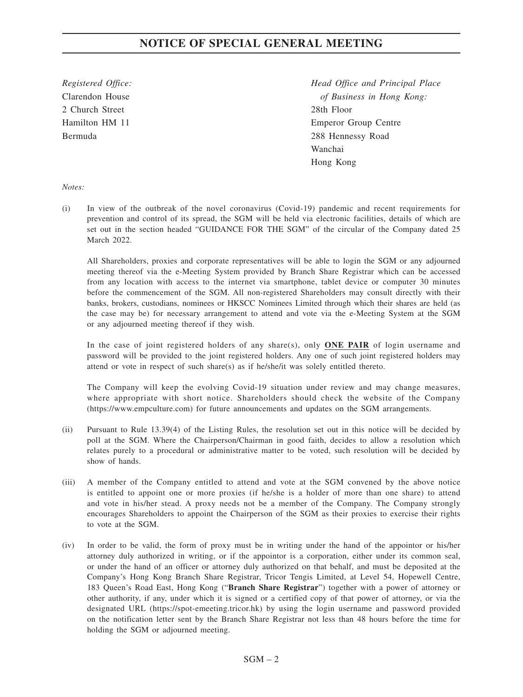# **NOTICE OF SPECIAL GENERAL MEETING**

2 Church Street 28th Floor

*Registered Office: Head Office and Principal Place*  Clarendon House *of Business in Hong Kong:* Hamilton HM 11 Emperor Group Centre Bermuda 288 Hennessy Road Wanchai Hong Kong

### *Notes:*

(i) In view of the outbreak of the novel coronavirus (Covid-19) pandemic and recent requirements for prevention and control of its spread, the SGM will be held via electronic facilities, details of which are set out in the section headed "GUIDANCE FOR THE SGM" of the circular of the Company dated 25 March 2022.

All Shareholders, proxies and corporate representatives will be able to login the SGM or any adjourned meeting thereof via the e-Meeting System provided by Branch Share Registrar which can be accessed from any location with access to the internet via smartphone, tablet device or computer 30 minutes before the commencement of the SGM. All non-registered Shareholders may consult directly with their banks, brokers, custodians, nominees or HKSCC Nominees Limited through which their shares are held (as the case may be) for necessary arrangement to attend and vote via the e-Meeting System at the SGM or any adjourned meeting thereof if they wish.

In the case of joint registered holders of any share(s), only **ONE PAIR** of login username and password will be provided to the joint registered holders. Any one of such joint registered holders may attend or vote in respect of such share(s) as if he/she/it was solely entitled thereto.

 The Company will keep the evolving Covid-19 situation under review and may change measures, where appropriate with short notice. Shareholders should check the website of the Company (https://www.empculture.com) for future announcements and updates on the SGM arrangements.

- (ii) Pursuant to Rule 13.39(4) of the Listing Rules, the resolution set out in this notice will be decided by poll at the SGM. Where the Chairperson/Chairman in good faith, decides to allow a resolution which relates purely to a procedural or administrative matter to be voted, such resolution will be decided by show of hands.
- (iii) A member of the Company entitled to attend and vote at the SGM convened by the above notice is entitled to appoint one or more proxies (if he/she is a holder of more than one share) to attend and vote in his/her stead. A proxy needs not be a member of the Company. The Company strongly encourages Shareholders to appoint the Chairperson of the SGM as their proxies to exercise their rights to vote at the SGM.
- (iv) In order to be valid, the form of proxy must be in writing under the hand of the appointor or his/her attorney duly authorized in writing, or if the appointor is a corporation, either under its common seal, or under the hand of an officer or attorney duly authorized on that behalf, and must be deposited at the Company's Hong Kong Branch Share Registrar, Tricor Tengis Limited, at Level 54, Hopewell Centre, 183 Queen's Road East, Hong Kong ("**Branch Share Registrar**") together with a power of attorney or other authority, if any, under which it is signed or a certified copy of that power of attorney, or via the designated URL (https://spot-emeeting.tricor.hk) by using the login username and password provided on the notification letter sent by the Branch Share Registrar not less than 48 hours before the time for holding the SGM or adjourned meeting.